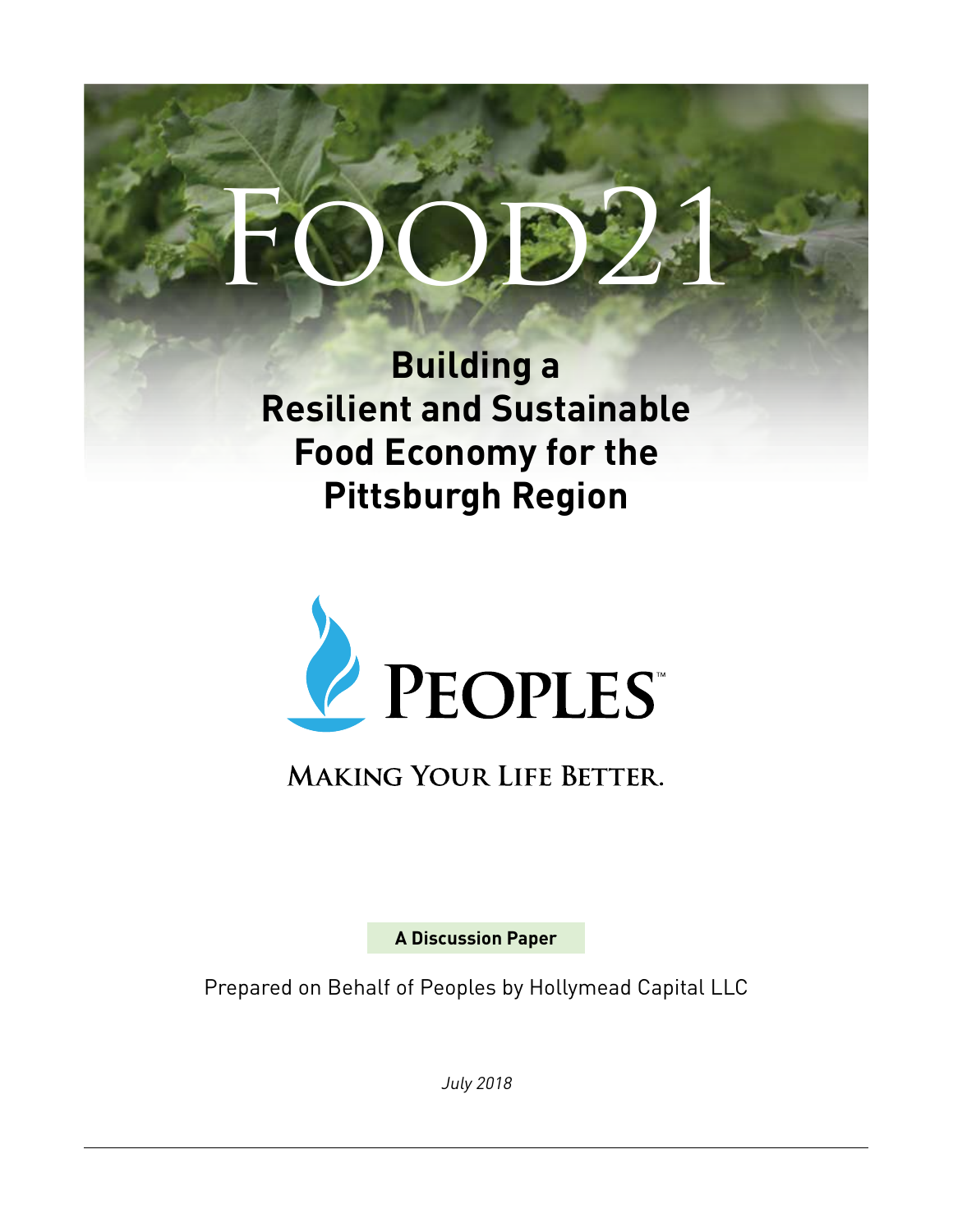



## **MAKING YOUR LIFE BETTER.**

**A Discussion Paper**

Prepared on Behalf of Peoples by Hollymead Capital LLC

July 2018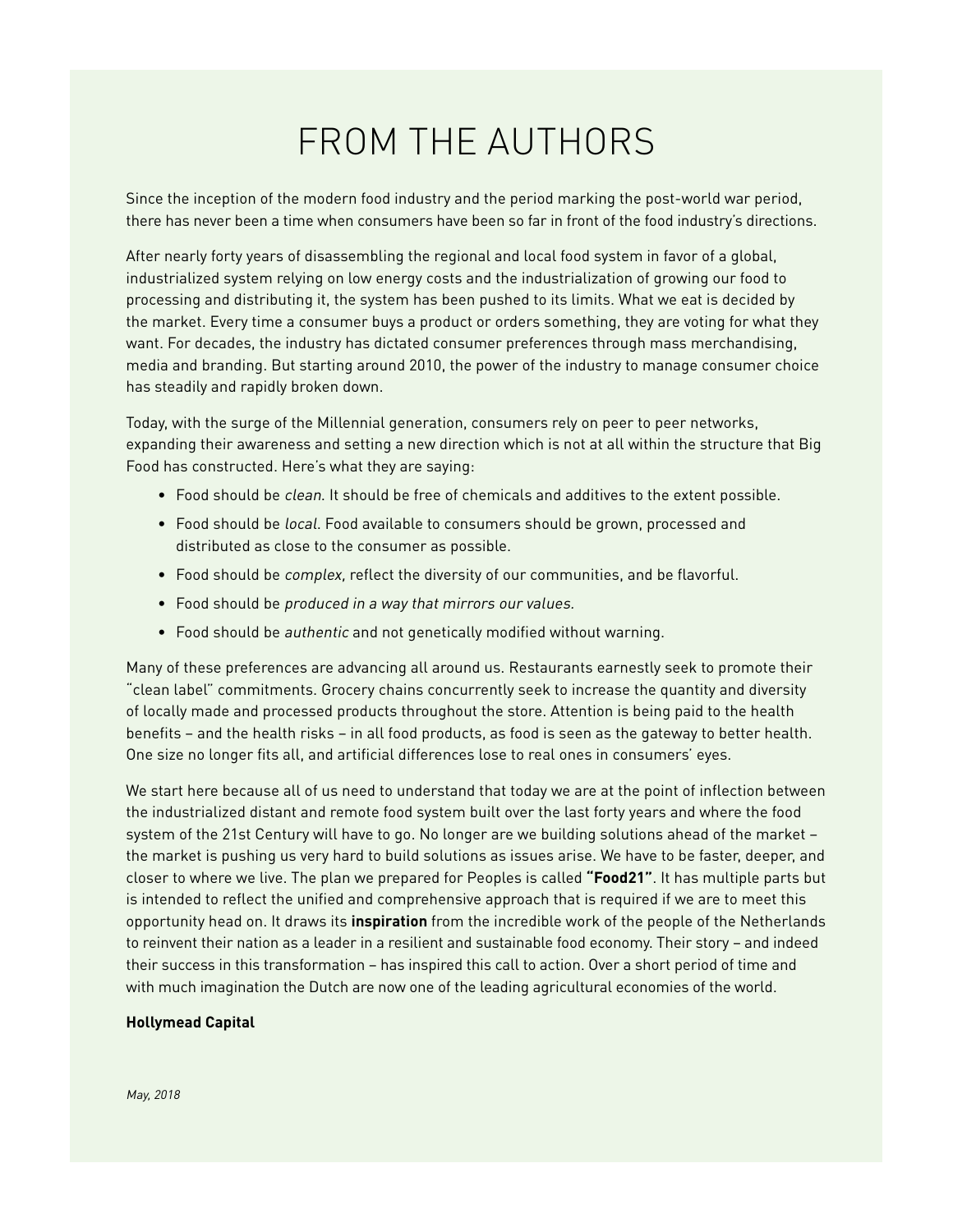## FROM THE AUTHORS

Since the inception of the modern food industry and the period marking the post-world war period, there has never been a time when consumers have been so far in front of the food industry's directions.

After nearly forty years of disassembling the regional and local food system in favor of a global, industrialized system relying on low energy costs and the industrialization of growing our food to processing and distributing it, the system has been pushed to its limits. What we eat is decided by the market. Every time a consumer buys a product or orders something, they are voting for what they want. For decades, the industry has dictated consumer preferences through mass merchandising, media and branding. But starting around 2010, the power of the industry to manage consumer choice has steadily and rapidly broken down.

Today, with the surge of the Millennial generation, consumers rely on peer to peer networks, expanding their awareness and setting a new direction which is not at all within the structure that Big Food has constructed. Here's what they are saying:

- Food should be clean. It should be free of chemicals and additives to the extent possible.
- Food should be local. Food available to consumers should be grown, processed and distributed as close to the consumer as possible.
- Food should be complex, reflect the diversity of our communities, and be flavorful.
- Food should be produced in a way that mirrors our values.
- Food should be authentic and not genetically modified without warning.

Many of these preferences are advancing all around us. Restaurants earnestly seek to promote their "clean label" commitments. Grocery chains concurrently seek to increase the quantity and diversity of locally made and processed products throughout the store. Attention is being paid to the health benefits – and the health risks – in all food products, as food is seen as the gateway to better health. One size no longer fits all, and artificial differences lose to real ones in consumers' eyes.

We start here because all of us need to understand that today we are at the point of inflection between the industrialized distant and remote food system built over the last forty years and where the food system of the 21st Century will have to go. No longer are we building solutions ahead of the market – the market is pushing us very hard to build solutions as issues arise. We have to be faster, deeper, and closer to where we live. The plan we prepared for Peoples is called **"Food21"**. It has multiple parts but is intended to reflect the unified and comprehensive approach that is required if we are to meet this opportunity head on. It draws its **inspiration** from the incredible work of the people of the Netherlands to reinvent their nation as a leader in a resilient and sustainable food economy. Their story – and indeed their success in this transformation – has inspired this call to action. Over a short period of time and with much imagination the Dutch are now one of the leading agricultural economies of the world.

#### **Hollymead Capital**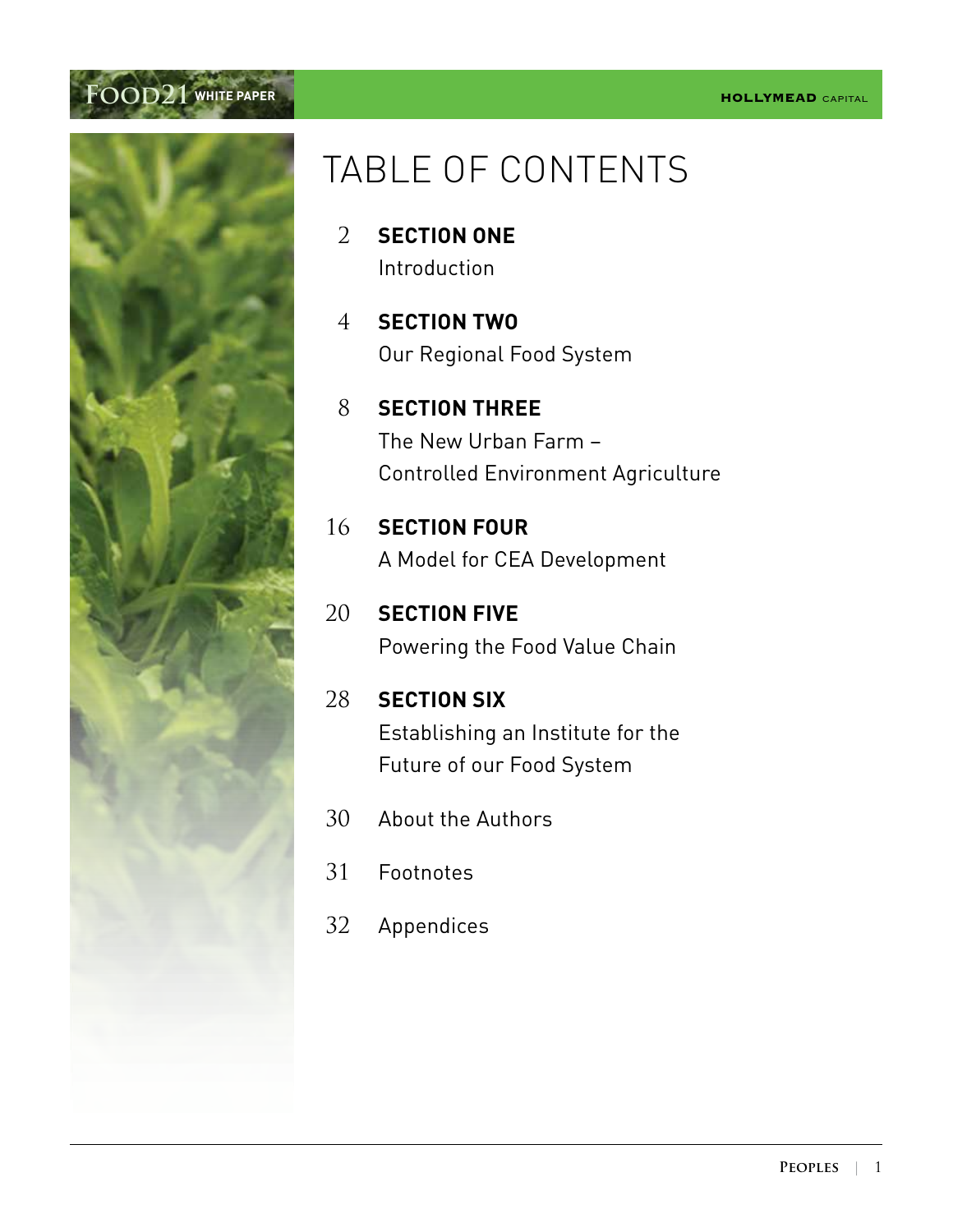## $F\mathrm{OOD21}$  white paper  $F\mathrm{ODE21}$



# TABLE OF CONTENTS

- 2 **SECTION ONE** Introduction
- 4 **SECTION TWO** Our Regional Food System
- 8 **SECTION THREE** The New Urban Farm – Controlled Environment Agriculture
- 16 **SECTION FOUR** A Model for CEA Development
- 20 **SECTION FIVE** Powering the Food Value Chain
- 28 **SECTION SIX** Establishing an Institute for the Future of our Food System
- 30 About the Authors
- 31 Footnotes
- 32 Appendices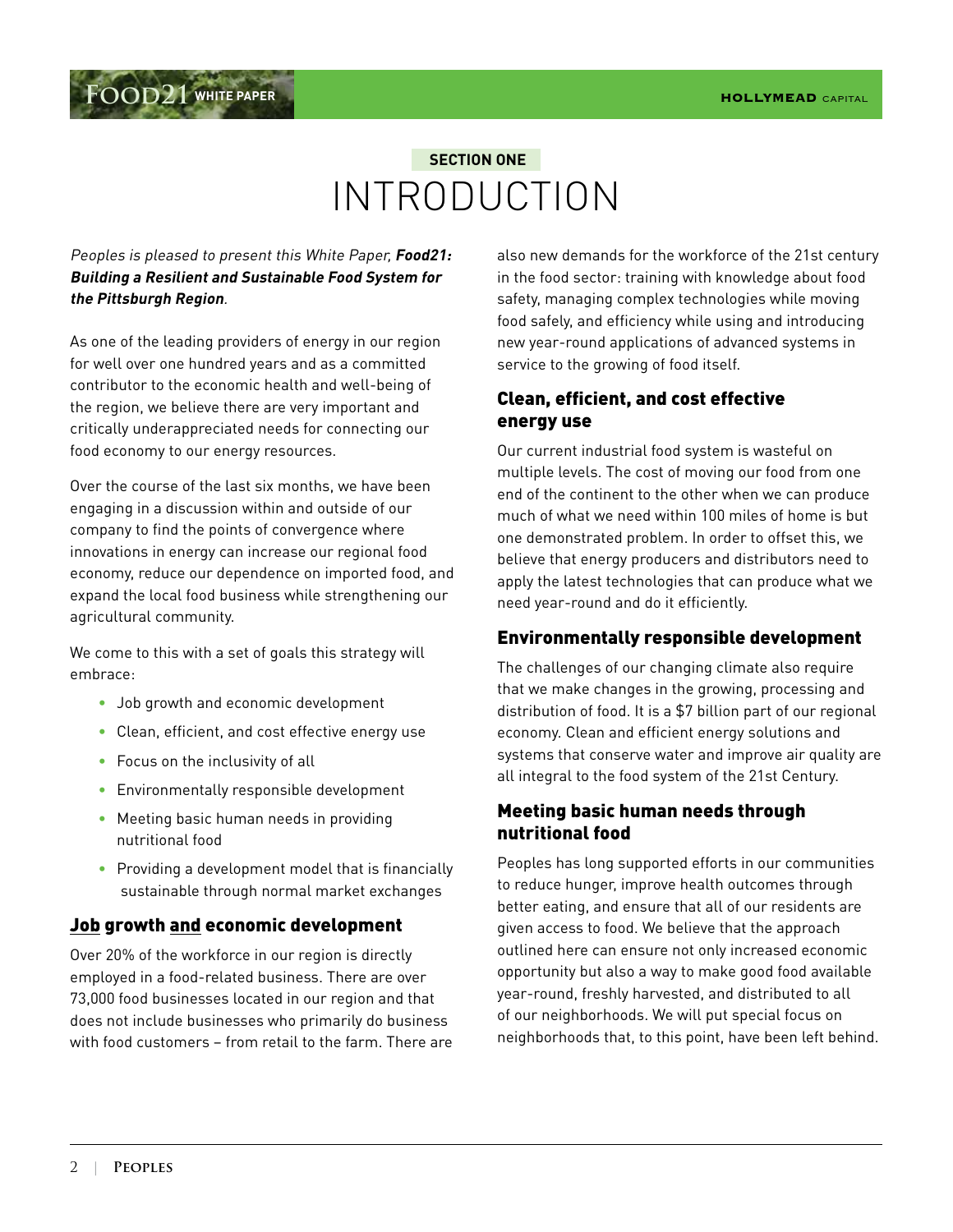

## **SECTION ONE**  INTRODUCTION

Peoples is pleased to present this White Paper, **Food21: Building a Resilient and Sustainable Food System for the Pittsburgh Region**.

As one of the leading providers of energy in our region for well over one hundred years and as a committed contributor to the economic health and well-being of the region, we believe there are very important and critically underappreciated needs for connecting our food economy to our energy resources.

Over the course of the last six months, we have been engaging in a discussion within and outside of our company to find the points of convergence where innovations in energy can increase our regional food economy, reduce our dependence on imported food, and expand the local food business while strengthening our agricultural community.

We come to this with a set of goals this strategy will embrace:

- Job growth and economic development
- Clean, efficient, and cost effective energy use
- Focus on the inclusivity of all
- Environmentally responsible development
- Meeting basic human needs in providing nutritional food
- Providing a development model that is financially sustainable through normal market exchanges

### Job growth and economic development

Over 20% of the workforce in our region is directly employed in a food-related business. There are over 73,000 food businesses located in our region and that does not include businesses who primarily do business with food customers – from retail to the farm. There are also new demands for the workforce of the 21st century in the food sector: training with knowledge about food safety, managing complex technologies while moving food safely, and efficiency while using and introducing new year-round applications of advanced systems in service to the growing of food itself.

## Clean, efficient, and cost effective energy use

Our current industrial food system is wasteful on multiple levels. The cost of moving our food from one end of the continent to the other when we can produce much of what we need within 100 miles of home is but one demonstrated problem. In order to offset this, we believe that energy producers and distributors need to apply the latest technologies that can produce what we need year-round and do it efficiently.

### Environmentally responsible development

The challenges of our changing climate also require that we make changes in the growing, processing and distribution of food. It is a \$7 billion part of our regional economy. Clean and efficient energy solutions and systems that conserve water and improve air quality are all integral to the food system of the 21st Century.

## Meeting basic human needs through nutritional food

Peoples has long supported efforts in our communities to reduce hunger, improve health outcomes through better eating, and ensure that all of our residents are given access to food. We believe that the approach outlined here can ensure not only increased economic opportunity but also a way to make good food available year-round, freshly harvested, and distributed to all of our neighborhoods. We will put special focus on neighborhoods that, to this point, have been left behind.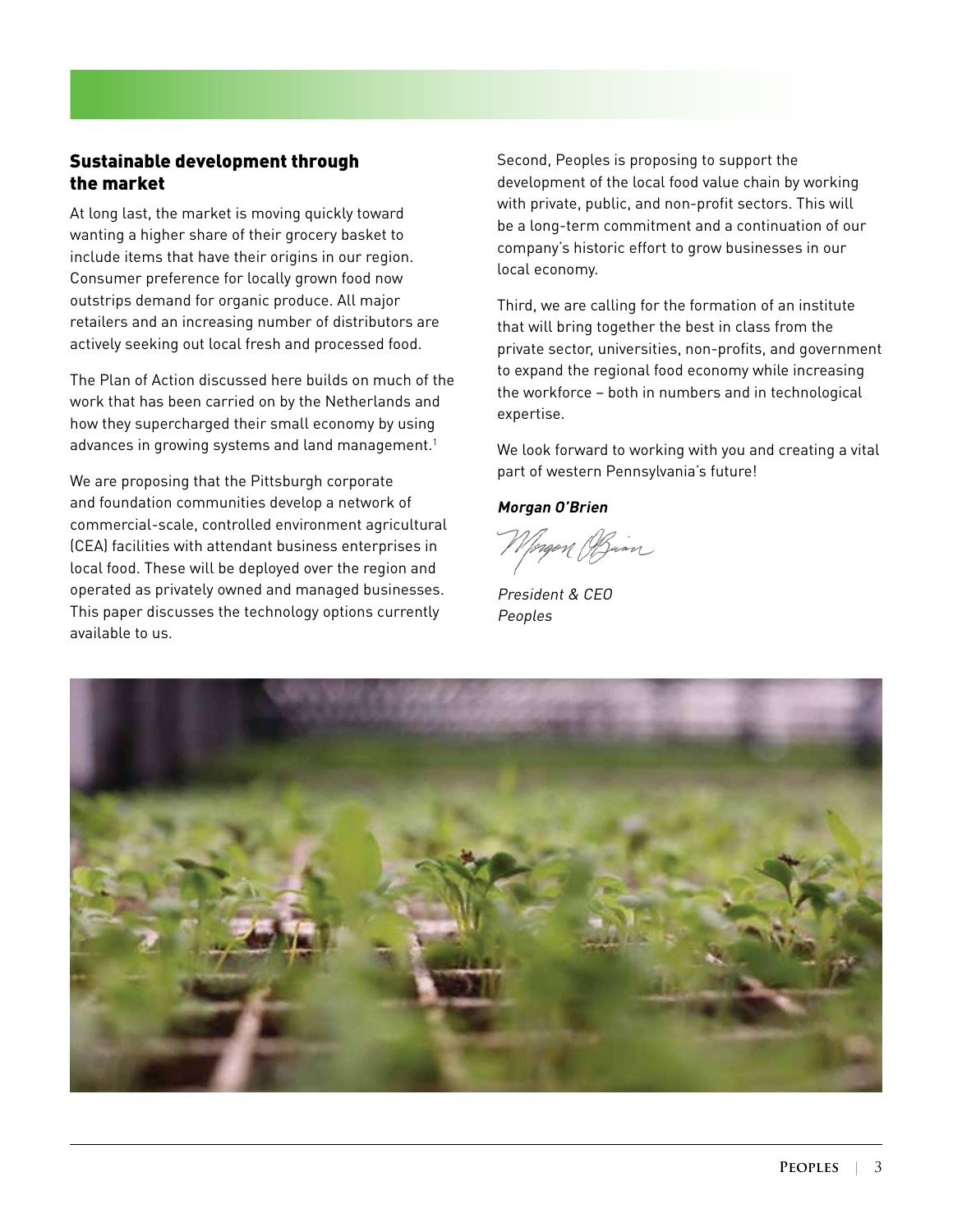## Sustainable development through the market

At long last, the market is moving quickly toward wanting a higher share of their grocery basket to include items that have their origins in our region. Consumer preference for locally grown food now outstrips demand for organic produce. All major retailers and an increasing number of distributors are actively seeking out local fresh and processed food.

The Plan of Action discussed here builds on much of the work that has been carried on by the Netherlands and how they supercharged their small economy by using advances in growing systems and land management.<sup>1</sup>

We are proposing that the Pittsburgh corporate and foundation communities develop a network of commercial-scale, controlled environment agricultural (CEA) facilities with attendant business enterprises in local food. These will be deployed over the region and operated as privately owned and managed businesses. This paper discusses the technology options currently available to us.

Second, Peoples is proposing to support the development of the local food value chain by working with private, public, and non-profit sectors. This will be a long-term commitment and a continuation of our company's historic effort to grow businesses in our local economy.

Third, we are calling for the formation of an institute that will bring together the best in class from the private sector, universities, non-profits, and government to expand the regional food economy while increasing the workforce – both in numbers and in technological expertise.

We look forward to working with you and creating a vital part of western Pennsylvania's future!

**Morgan O'Brien**

Torgan (Buan

President & CEO Peoples

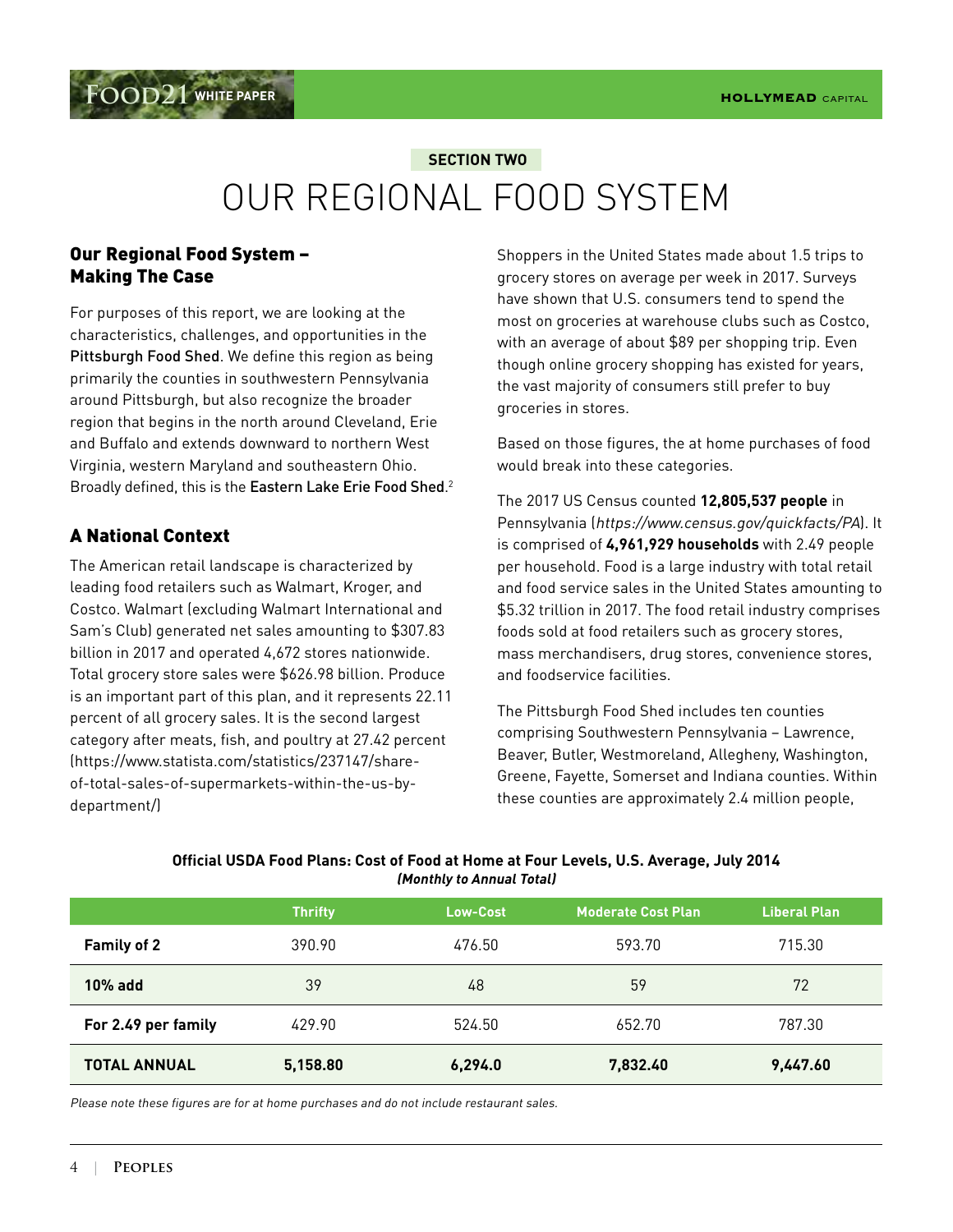

## **SECTION TWO**  OUR REGIONAL FOOD SYSTEM

### Our Regional Food System – Making The Case

For purposes of this report, we are looking at the characteristics, challenges, and opportunities in the Pittsburgh Food Shed. We define this region as being primarily the counties in southwestern Pennsylvania around Pittsburgh, but also recognize the broader region that begins in the north around Cleveland, Erie and Buffalo and extends downward to northern West Virginia, western Maryland and southeastern Ohio. Broadly defined, this is the Eastern Lake Erie Food Shed.<sup>2</sup>

## A National Context

The American retail landscape is characterized by leading food retailers such as Walmart, Kroger, and Costco. Walmart (excluding Walmart International and Sam's Club) generated net sales amounting to \$307.83 billion in 2017 and operated 4,672 stores nationwide. Total grocery store sales were \$626.98 billion. Produce is an important part of this plan, and it represents 22.11 percent of all grocery sales. It is the second largest category after meats, fish, and poultry at 27.42 percent (https://www.statista.com/statistics/237147/shareof-total-sales-of-supermarkets-within-the-us-bydepartment/)

Shoppers in the United States made about 1.5 trips to grocery stores on average per week in 2017. Surveys have shown that U.S. consumers tend to spend the most on groceries at warehouse clubs such as Costco, with an average of about \$89 per shopping trip. Even though online grocery shopping has existed for years, the vast majority of consumers still prefer to buy groceries in stores.

Based on those figures, the at home purchases of food would break into these categories.

The 2017 US Census counted **12,805,537 people** in Pennsylvania (https://www.census.gov/quickfacts/PA). It is comprised of **4,961,929 households** with 2.49 people per household. Food is a large industry with total retail and food service sales in the United States amounting to \$5.32 trillion in 2017. The food retail industry comprises foods sold at food retailers such as grocery stores, mass merchandisers, drug stores, convenience stores, and foodservice facilities.

The Pittsburgh Food Shed includes ten counties comprising Southwestern Pennsylvania – Lawrence, Beaver, Butler, Westmoreland, Allegheny, Washington, Greene, Fayette, Somerset and Indiana counties. Within these counties are approximately 2.4 million people,

|                     | <b>Thrifty</b> | <b>Low-Cost</b> | <b>Moderate Cost Plan</b> | <b>Liberal Plan</b> |
|---------------------|----------------|-----------------|---------------------------|---------------------|
| <b>Family of 2</b>  | 390.90         | 476.50          | 593.70                    | 715.30              |
| $10\%$ add          | 39             | 48              | 59                        | 72                  |
| For 2.49 per family | 429.90         | 524.50          | 652.70                    | 787.30              |
| <b>TOTAL ANNUAL</b> | 5,158.80       | 6,294.0         | 7,832.40                  | 9,447.60            |

#### **Official USDA Food Plans: Cost of Food at Home at Four Levels, U.S. Average, July 2014 (Monthly to Annual Total)**

Please note these figures are for at home purchases and do not include restaurant sales.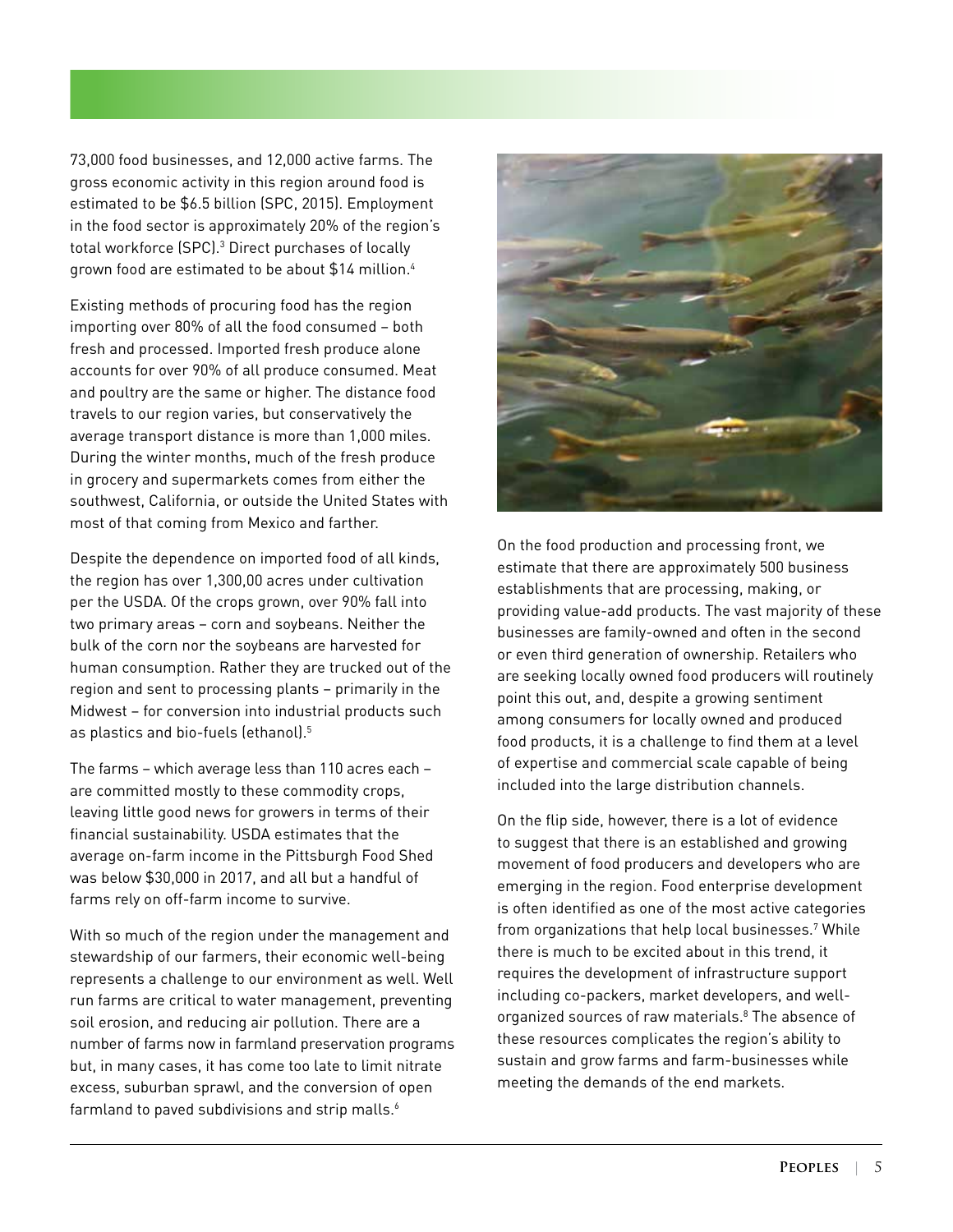73,000 food businesses, and 12,000 active farms. The gross economic activity in this region around food is estimated to be \$6.5 billion (SPC, 2015). Employment in the food sector is approximately 20% of the region's total workforce (SPC).3 Direct purchases of locally grown food are estimated to be about \$14 million.<sup>4</sup>

Existing methods of procuring food has the region importing over 80% of all the food consumed – both fresh and processed. Imported fresh produce alone accounts for over 90% of all produce consumed. Meat and poultry are the same or higher. The distance food travels to our region varies, but conservatively the average transport distance is more than 1,000 miles. During the winter months, much of the fresh produce in grocery and supermarkets comes from either the southwest, California, or outside the United States with most of that coming from Mexico and farther.

Despite the dependence on imported food of all kinds, the region has over 1,300,00 acres under cultivation per the USDA. Of the crops grown, over 90% fall into two primary areas – corn and soybeans. Neither the bulk of the corn nor the soybeans are harvested for human consumption. Rather they are trucked out of the region and sent to processing plants – primarily in the Midwest – for conversion into industrial products such as plastics and bio-fuels (ethanol).<sup>5</sup>

The farms – which average less than 110 acres each – are committed mostly to these commodity crops, leaving little good news for growers in terms of their financial sustainability. USDA estimates that the average on-farm income in the Pittsburgh Food Shed was below \$30,000 in 2017, and all but a handful of farms rely on off-farm income to survive.

With so much of the region under the management and stewardship of our farmers, their economic well-being represents a challenge to our environment as well. Well run farms are critical to water management, preventing soil erosion, and reducing air pollution. There are a number of farms now in farmland preservation programs but, in many cases, it has come too late to limit nitrate excess, suburban sprawl, and the conversion of open farmland to paved subdivisions and strip malls.<sup>6</sup>



On the food production and processing front, we estimate that there are approximately 500 business establishments that are processing, making, or providing value-add products. The vast majority of these businesses are family-owned and often in the second or even third generation of ownership. Retailers who are seeking locally owned food producers will routinely point this out, and, despite a growing sentiment among consumers for locally owned and produced food products, it is a challenge to find them at a level of expertise and commercial scale capable of being included into the large distribution channels.

On the flip side, however, there is a lot of evidence to suggest that there is an established and growing movement of food producers and developers who are emerging in the region. Food enterprise development is often identified as one of the most active categories from organizations that help local businesses.7 While there is much to be excited about in this trend, it requires the development of infrastructure support including co-packers, market developers, and wellorganized sources of raw materials.<sup>8</sup> The absence of these resources complicates the region's ability to sustain and grow farms and farm-businesses while meeting the demands of the end markets.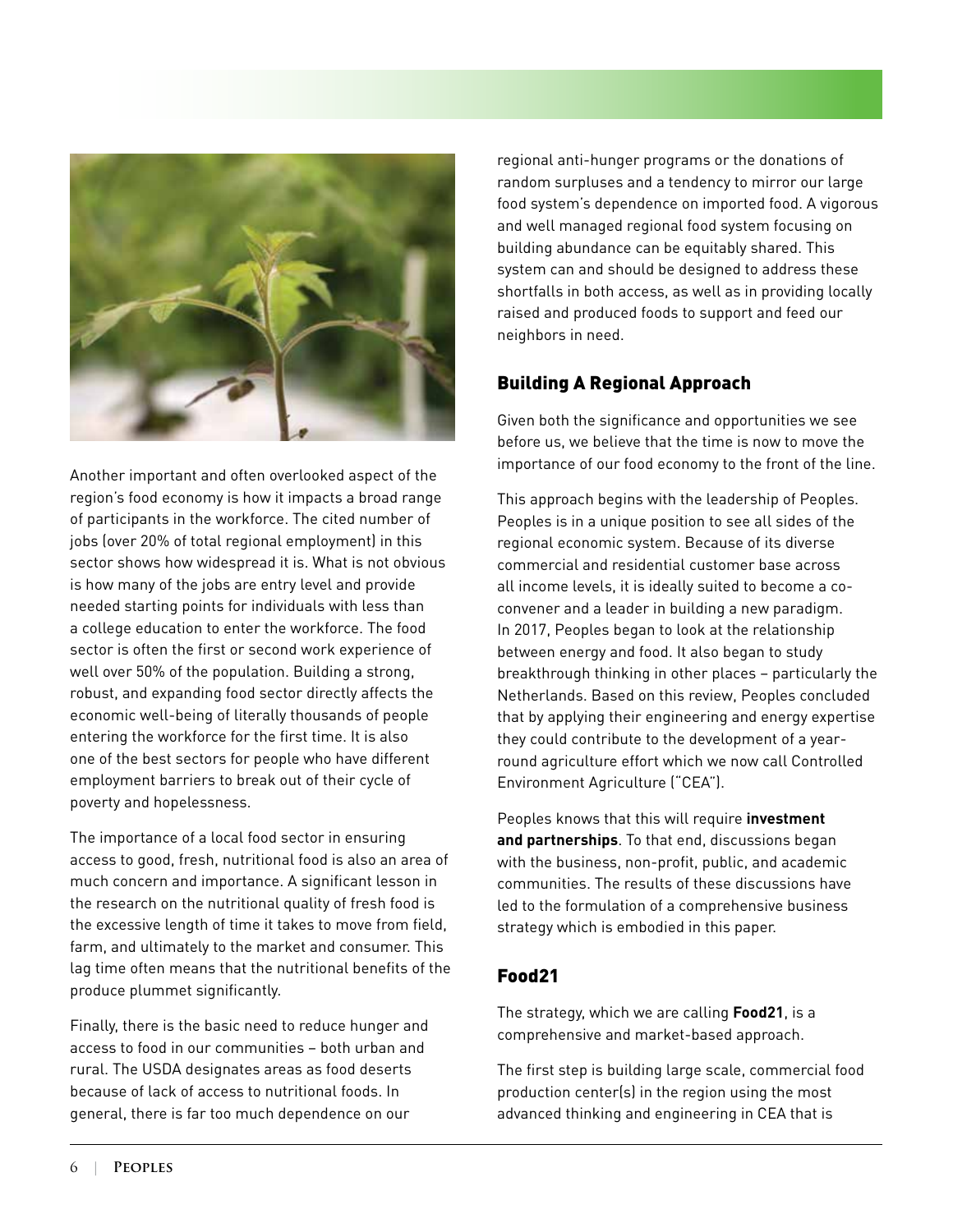

Another important and often overlooked aspect of the region's food economy is how it impacts a broad range of participants in the workforce. The cited number of jobs (over 20% of total regional employment) in this sector shows how widespread it is. What is not obvious is how many of the jobs are entry level and provide needed starting points for individuals with less than a college education to enter the workforce. The food sector is often the first or second work experience of well over 50% of the population. Building a strong, robust, and expanding food sector directly affects the economic well-being of literally thousands of people entering the workforce for the first time. It is also one of the best sectors for people who have different employment barriers to break out of their cycle of poverty and hopelessness.

The importance of a local food sector in ensuring access to good, fresh, nutritional food is also an area of much concern and importance. A significant lesson in the research on the nutritional quality of fresh food is the excessive length of time it takes to move from field, farm, and ultimately to the market and consumer. This lag time often means that the nutritional benefits of the produce plummet significantly.

Finally, there is the basic need to reduce hunger and access to food in our communities – both urban and rural. The USDA designates areas as food deserts because of lack of access to nutritional foods. In general, there is far too much dependence on our

regional anti-hunger programs or the donations of random surpluses and a tendency to mirror our large food system's dependence on imported food. A vigorous and well managed regional food system focusing on building abundance can be equitably shared. This system can and should be designed to address these shortfalls in both access, as well as in providing locally raised and produced foods to support and feed our neighbors in need.

## Building A Regional Approach

Given both the significance and opportunities we see before us, we believe that the time is now to move the importance of our food economy to the front of the line.

This approach begins with the leadership of Peoples. Peoples is in a unique position to see all sides of the regional economic system. Because of its diverse commercial and residential customer base across all income levels, it is ideally suited to become a coconvener and a leader in building a new paradigm. In 2017, Peoples began to look at the relationship between energy and food. It also began to study breakthrough thinking in other places – particularly the Netherlands. Based on this review, Peoples concluded that by applying their engineering and energy expertise they could contribute to the development of a yearround agriculture effort which we now call Controlled Environment Agriculture ("CEA").

Peoples knows that this will require **investment and partnerships**. To that end, discussions began with the business, non-profit, public, and academic communities. The results of these discussions have led to the formulation of a comprehensive business strategy which is embodied in this paper.

## Food21

The strategy, which we are calling **Food21**, is a comprehensive and market-based approach.

The first step is building large scale, commercial food production center(s) in the region using the most advanced thinking and engineering in CEA that is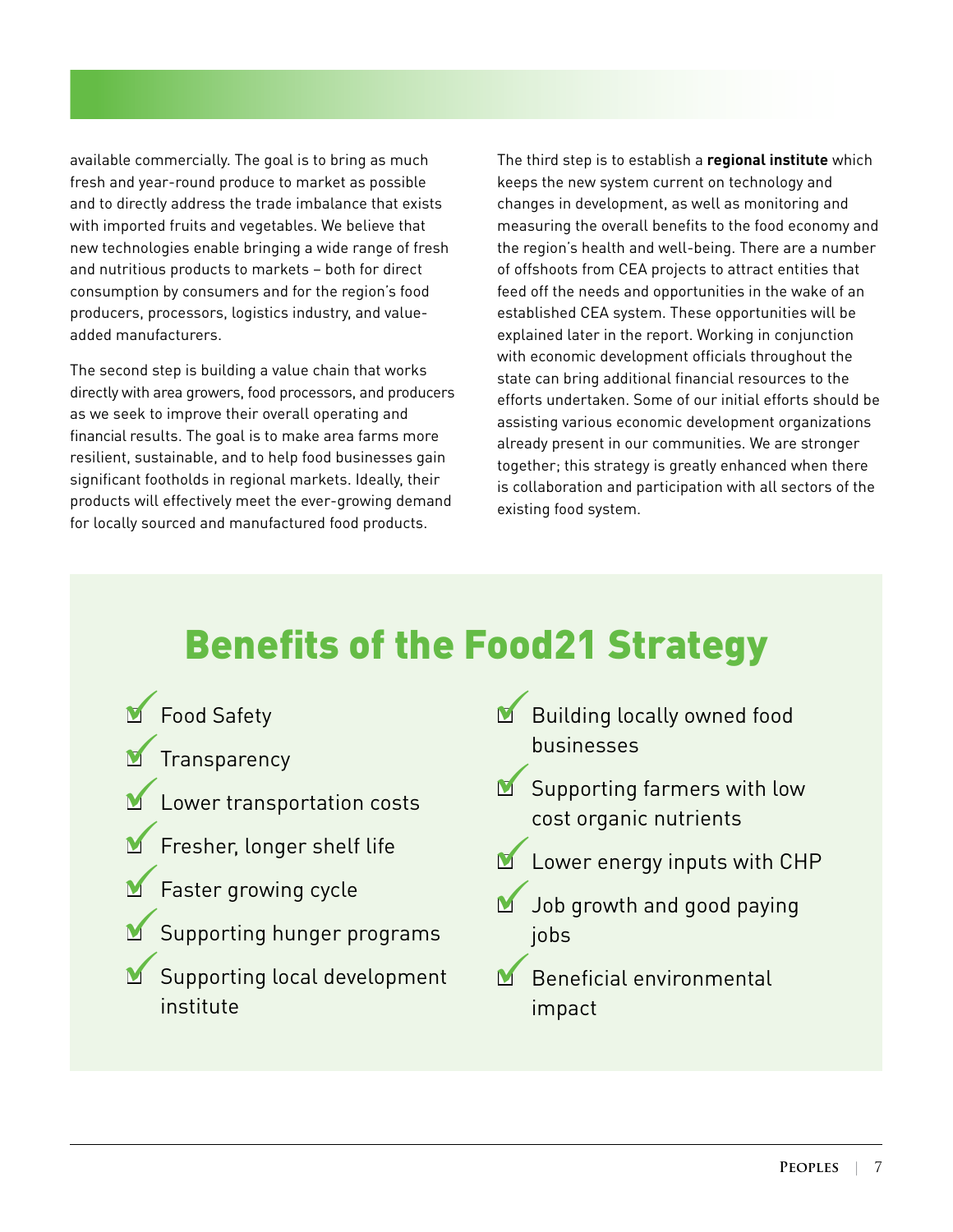available commercially. The goal is to bring as much fresh and year-round produce to market as possible and to directly address the trade imbalance that exists with imported fruits and vegetables. We believe that new technologies enable bringing a wide range of fresh and nutritious products to markets – both for direct consumption by consumers and for the region's food producers, processors, logistics industry, and valueadded manufacturers.

The second step is building a value chain that works directly with area growers, food processors, and producers as we seek to improve their overall operating and financial results. The goal is to make area farms more resilient, sustainable, and to help food businesses gain significant footholds in regional markets. Ideally, their products will effectively meet the ever-growing demand for locally sourced and manufactured food products.

The third step is to establish a **regional institute** which keeps the new system current on technology and changes in development, as well as monitoring and measuring the overall benefits to the food economy and the region's health and well-being. There are a number of offshoots from CEA projects to attract entities that feed off the needs and opportunities in the wake of an established CEA system. These opportunities will be explained later in the report. Working in conjunction with economic development officials throughout the state can bring additional financial resources to the efforts undertaken. Some of our initial efforts should be assisting various economic development organizations already present in our communities. We are stronger together; this strategy is greatly enhanced when there is collaboration and participation with all sectors of the existing food system.

# Benefits of the Food21 Strategy

| Food Safety                               | <b>Building locally owned food</b><br>businesses           |  |  |
|-------------------------------------------|------------------------------------------------------------|--|--|
| Transparency                              |                                                            |  |  |
| Lower transportation costs                | Supporting farmers with low<br>cost organic nutrients      |  |  |
| Fresher, longer shelf life                | Lower energy inputs with CHP<br>Job growth and good paying |  |  |
| Faster growing cycle                      |                                                            |  |  |
| Supporting hunger programs                | jobs                                                       |  |  |
| Supporting local development<br>institute | Beneficial environmental<br>impact                         |  |  |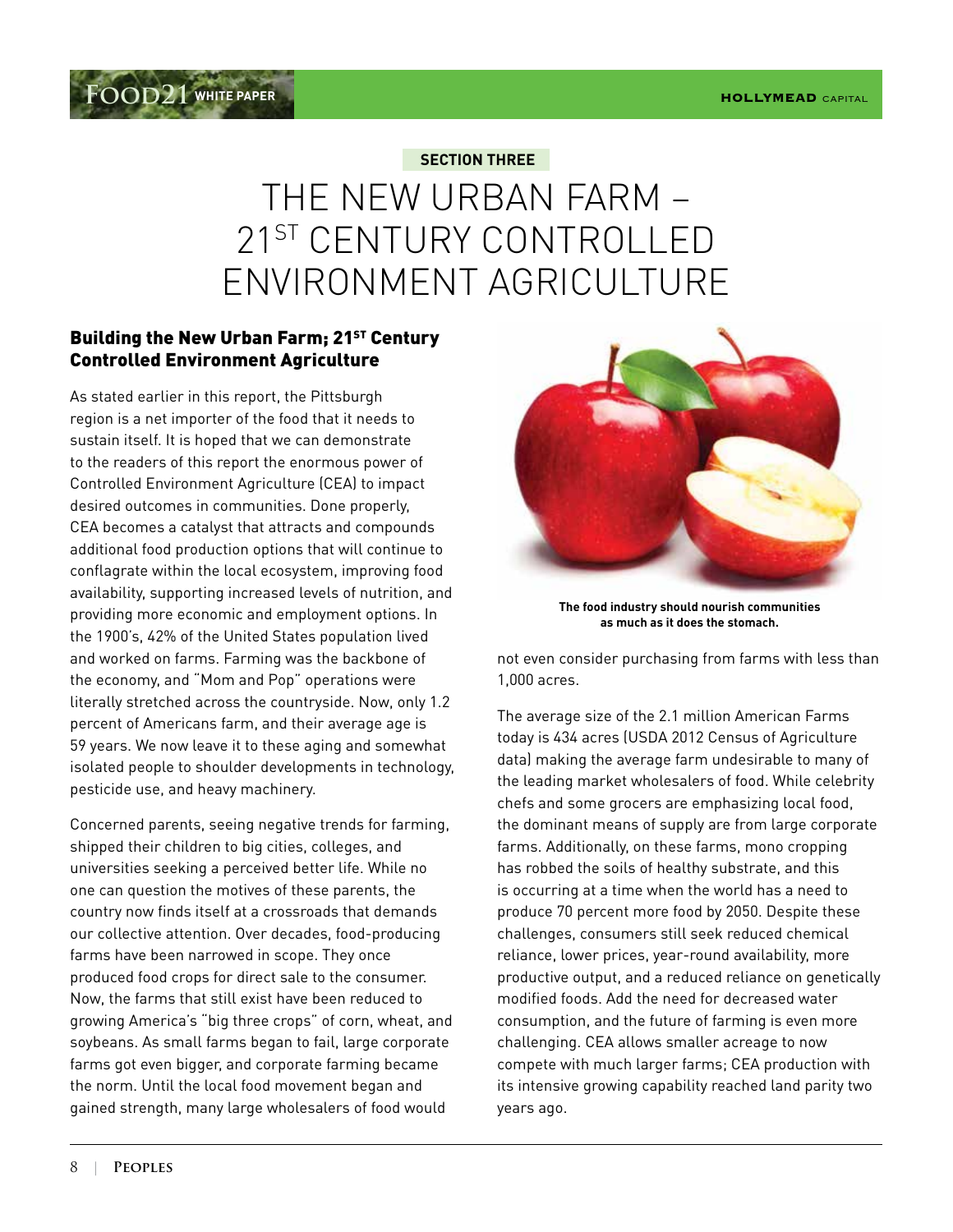

#### **SECTION THREE**

## THE NEW URBAN FARM – 21ST CENTURY CONTROLLED FNVIRONMENT AGRICUI TURF

### Building the New Urban Farm; 21<sup>ST</sup> Century Controlled Environment Agriculture

As stated earlier in this report, the Pittsburgh region is a net importer of the food that it needs to sustain itself. It is hoped that we can demonstrate to the readers of this report the enormous power of Controlled Environment Agriculture (CEA) to impact desired outcomes in communities. Done properly, CEA becomes a catalyst that attracts and compounds additional food production options that will continue to conflagrate within the local ecosystem, improving food availability, supporting increased levels of nutrition, and providing more economic and employment options. In the 1900's, 42% of the United States population lived and worked on farms. Farming was the backbone of the economy, and "Mom and Pop" operations were literally stretched across the countryside. Now, only 1.2 percent of Americans farm, and their average age is 59 years. We now leave it to these aging and somewhat isolated people to shoulder developments in technology, pesticide use, and heavy machinery.

Concerned parents, seeing negative trends for farming, shipped their children to big cities, colleges, and universities seeking a perceived better life. While no one can question the motives of these parents, the country now finds itself at a crossroads that demands our collective attention. Over decades, food-producing farms have been narrowed in scope. They once produced food crops for direct sale to the consumer. Now, the farms that still exist have been reduced to growing America's "big three crops" of corn, wheat, and soybeans. As small farms began to fail, large corporate farms got even bigger, and corporate farming became the norm. Until the local food movement began and gained strength, many large wholesalers of food would



**The food industry should nourish communities as much as it does the stomach.**

not even consider purchasing from farms with less than 1,000 acres.

The average size of the 2.1 million American Farms today is 434 acres (USDA 2012 Census of Agriculture data) making the average farm undesirable to many of the leading market wholesalers of food. While celebrity chefs and some grocers are emphasizing local food, the dominant means of supply are from large corporate farms. Additionally, on these farms, mono cropping has robbed the soils of healthy substrate, and this is occurring at a time when the world has a need to produce 70 percent more food by 2050. Despite these challenges, consumers still seek reduced chemical reliance, lower prices, year-round availability, more productive output, and a reduced reliance on genetically modified foods. Add the need for decreased water consumption, and the future of farming is even more challenging. CEA allows smaller acreage to now compete with much larger farms; CEA production with its intensive growing capability reached land parity two years ago.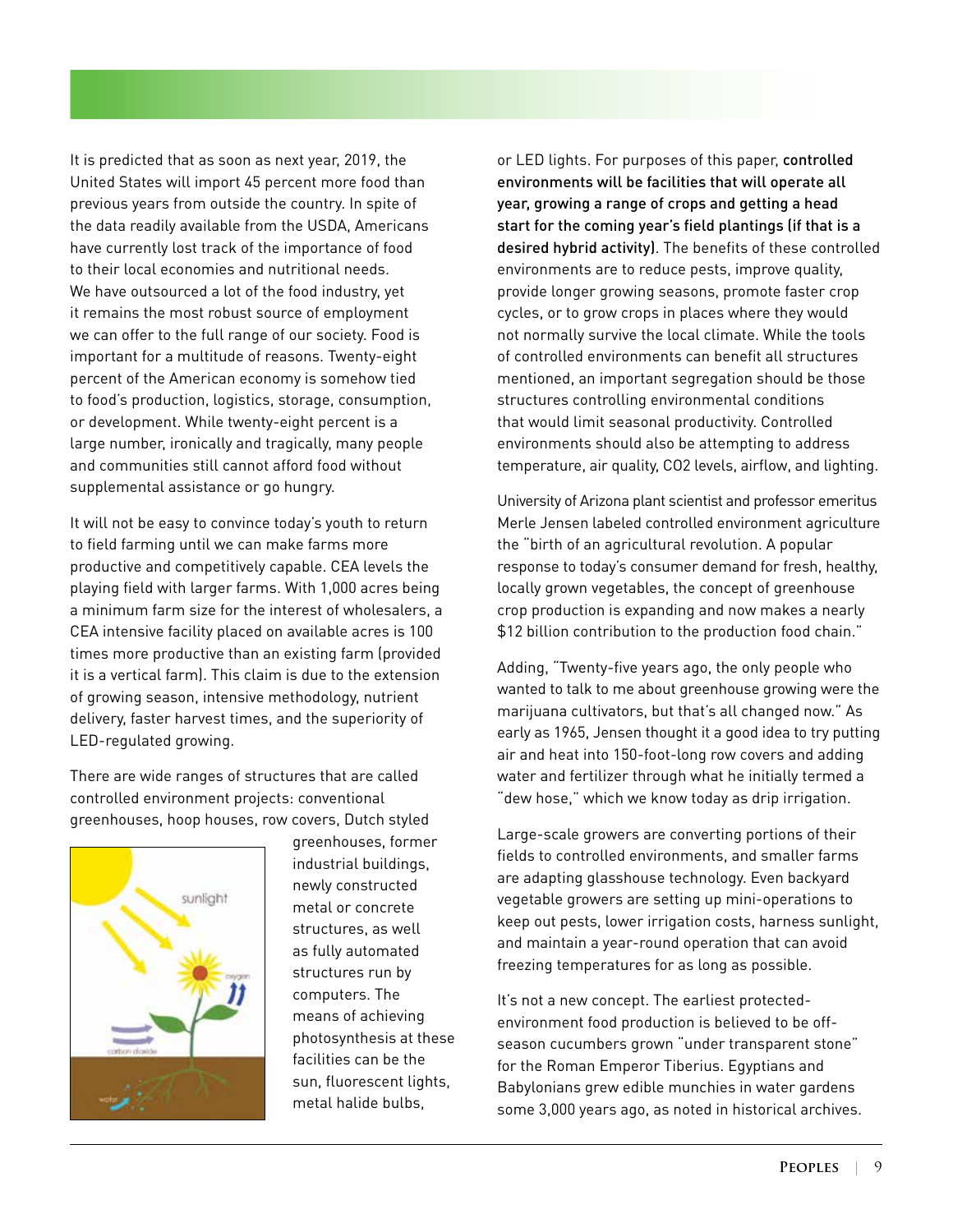It is predicted that as soon as next year, 2019, the United States will import 45 percent more food than previous years from outside the country. In spite of the data readily available from the USDA, Americans have currently lost track of the importance of food to their local economies and nutritional needs. We have outsourced a lot of the food industry, yet it remains the most robust source of employment we can offer to the full range of our society. Food is important for a multitude of reasons. Twenty-eight percent of the American economy is somehow tied to food's production, logistics, storage, consumption, or development. While twenty-eight percent is a large number, ironically and tragically, many people and communities still cannot afford food without supplemental assistance or go hungry.

It will not be easy to convince today's youth to return to field farming until we can make farms more productive and competitively capable. CEA levels the playing field with larger farms. With 1,000 acres being a minimum farm size for the interest of wholesalers, a CEA intensive facility placed on available acres is 100 times more productive than an existing farm (provided it is a vertical farm). This claim is due to the extension of growing season, intensive methodology, nutrient delivery, faster harvest times, and the superiority of LED-regulated growing.

There are wide ranges of structures that are called controlled environment projects: conventional greenhouses, hoop houses, row covers, Dutch styled



greenhouses, former industrial buildings, newly constructed metal or concrete structures, as well as fully automated structures run by computers. The means of achieving photosynthesis at these facilities can be the sun, fluorescent lights, metal halide bulbs,

or LED lights. For purposes of this paper, controlled environments will be facilities that will operate all year, growing a range of crops and getting a head start for the coming year's field plantings (if that is a desired hybrid activity). The benefits of these controlled environments are to reduce pests, improve quality, provide longer growing seasons, promote faster crop cycles, or to grow crops in places where they would not normally survive the local climate. While the tools of controlled environments can benefit all structures mentioned, an important segregation should be those structures controlling environmental conditions that would limit seasonal productivity. Controlled environments should also be attempting to address temperature, air quality, CO2 levels, airflow, and lighting.

University of Arizona plant scientist and professor emeritus Merle Jensen labeled controlled environment agriculture the "birth of an agricultural revolution. A popular response to today's consumer demand for fresh, healthy, locally grown vegetables, the concept of greenhouse crop production is expanding and now makes a nearly \$12 billion contribution to the production food chain."

Adding, "Twenty-five years ago, the only people who wanted to talk to me about greenhouse growing were the marijuana cultivators, but that's all changed now." As early as 1965, Jensen thought it a good idea to try putting air and heat into 150-foot-long row covers and adding water and fertilizer through what he initially termed a "dew hose," which we know today as drip irrigation.

Large-scale growers are converting portions of their fields to controlled environments, and smaller farms are adapting glasshouse technology. Even backyard vegetable growers are setting up mini-operations to keep out pests, lower irrigation costs, harness sunlight, and maintain a year-round operation that can avoid freezing temperatures for as long as possible.

It's not a new concept. The earliest protectedenvironment food production is believed to be offseason cucumbers grown "under transparent stone" for the Roman Emperor Tiberius. Egyptians and Babylonians grew edible munchies in water gardens some 3,000 years ago, as noted in historical archives.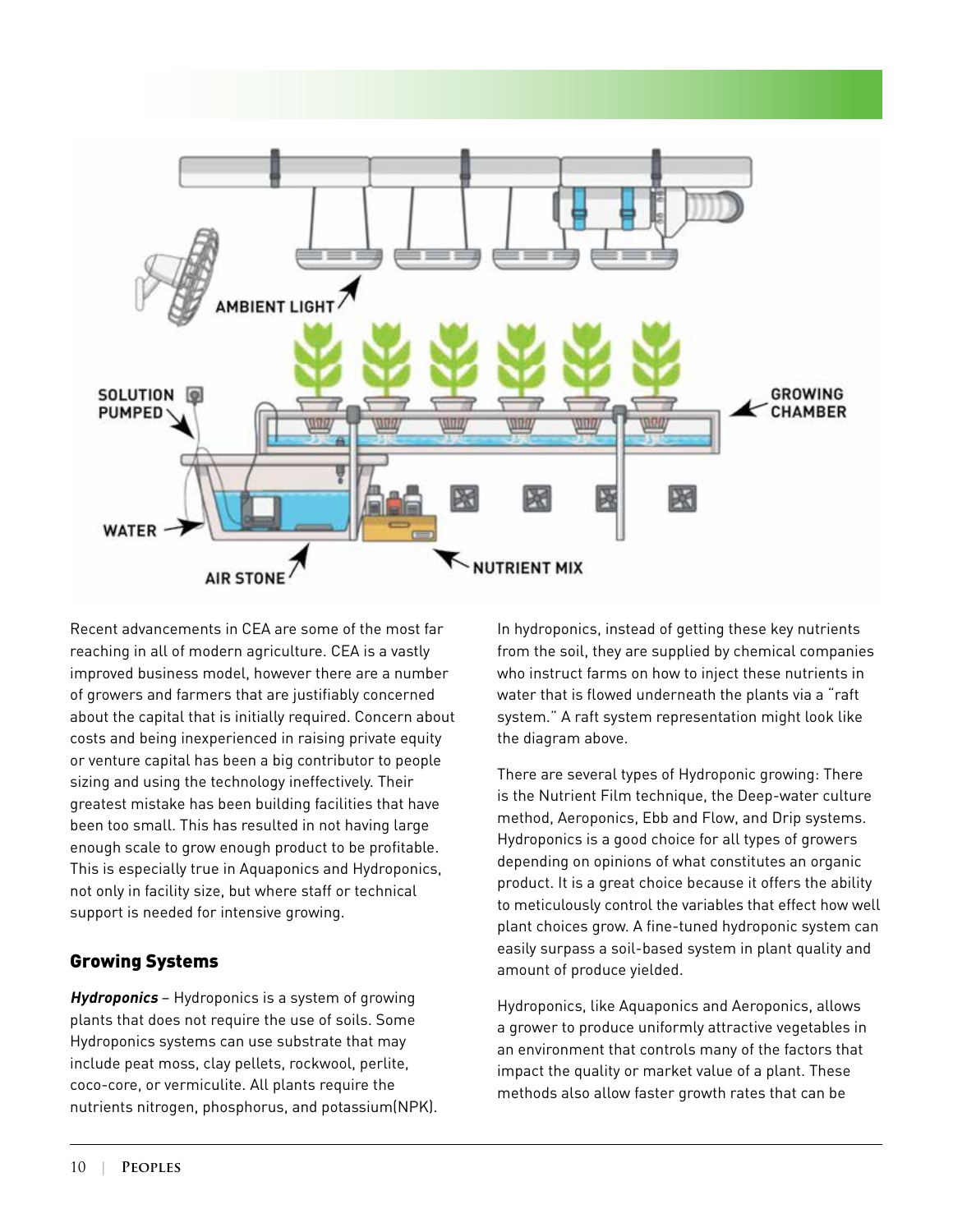

Recent advancements in CEA are some of the most far reaching in all of modern agriculture. CEA is a vastly improved business model, however there are a number of growers and farmers that are justifiably concerned about the capital that is initially required. Concern about costs and being inexperienced in raising private equity or venture capital has been a big contributor to people sizing and using the technology ineffectively. Their greatest mistake has been building facilities that have been too small. This has resulted in not having large enough scale to grow enough product to be profitable. This is especially true in Aquaponics and Hydroponics, not only in facility size, but where staff or technical support is needed for intensive growing.

## Growing Systems

**Hydroponics** – Hydroponics is a system of growing plants that does not require the use of soils. Some Hydroponics systems can use substrate that may include peat moss, clay pellets, rockwool, perlite, coco-core, or vermiculite. All plants require the nutrients nitrogen, phosphorus, and potassium(NPK).

In hydroponics, instead of getting these key nutrients from the soil, they are supplied by chemical companies who instruct farms on how to inject these nutrients in water that is flowed underneath the plants via a "raft system." A raft system representation might look like the diagram above.

There are several types of Hydroponic growing: There is the Nutrient Film technique, the Deep-water culture method, Aeroponics, Ebb and Flow, and Drip systems. Hydroponics is a good choice for all types of growers depending on opinions of what constitutes an organic product. It is a great choice because it offers the ability to meticulously control the variables that effect how well plant choices grow. A fine-tuned hydroponic system can easily surpass a soil-based system in plant quality and amount of produce yielded.

Hydroponics, like Aquaponics and Aeroponics, allows a grower to produce uniformly attractive vegetables in an environment that controls many of the factors that impact the quality or market value of a plant. These methods also allow faster growth rates that can be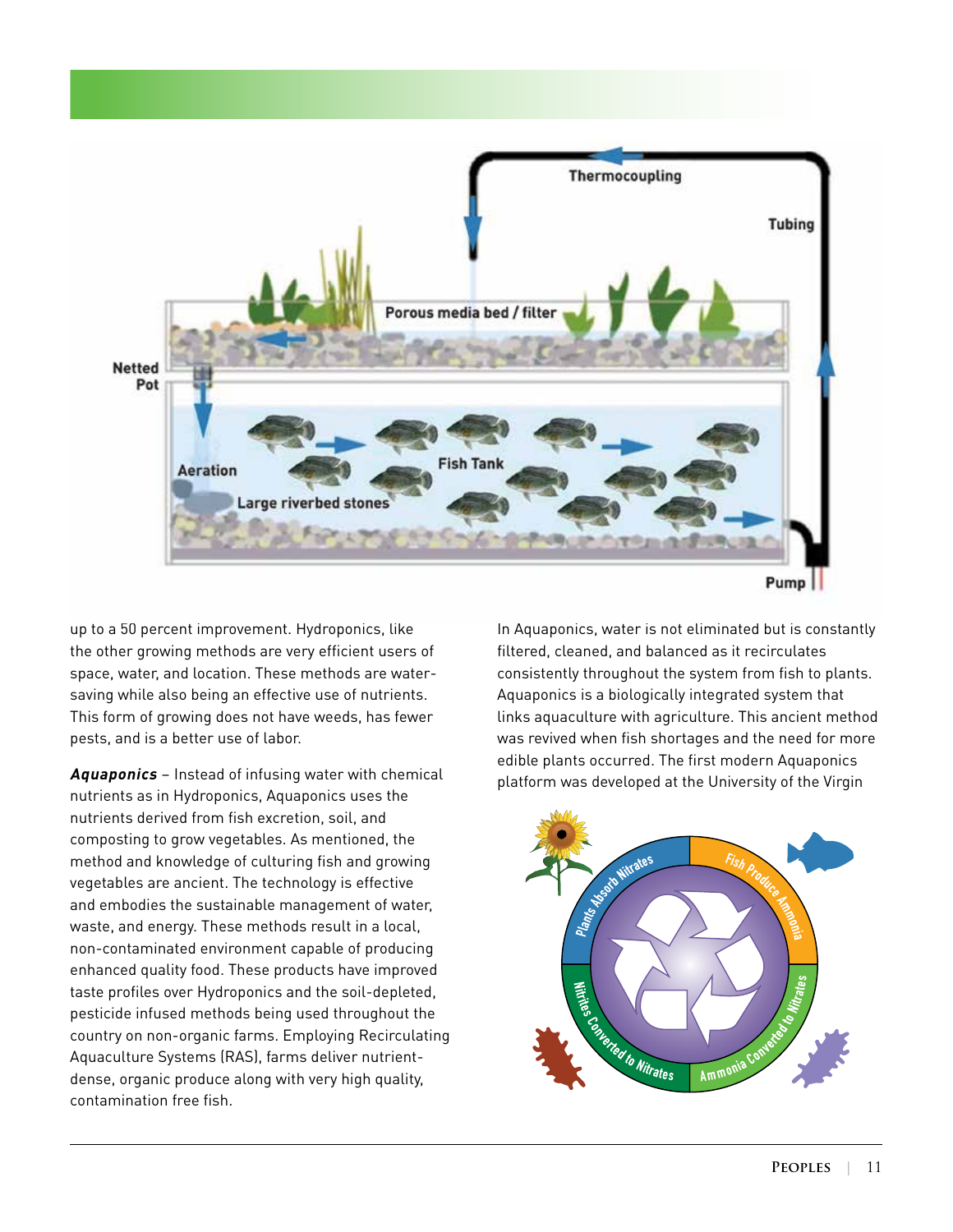

Pump

up to a 50 percent improvement. Hydroponics, like the other growing methods are very efficient users of space, water, and location. These methods are watersaving while also being an effective use of nutrients. This form of growing does not have weeds, has fewer pests, and is a better use of labor.

**Aquaponics** – Instead of infusing water with chemical nutrients as in Hydroponics, Aquaponics uses the nutrients derived from fish excretion, soil, and composting to grow vegetables. As mentioned, the method and knowledge of culturing fish and growing vegetables are ancient. The technology is effective and embodies the sustainable management of water, waste, and energy. These methods result in a local, non-contaminated environment capable of producing enhanced quality food. These products have improved taste profiles over Hydroponics and the soil-depleted, pesticide infused methods being used throughout the country on non-organic farms. Employing Recirculating Aquaculture Systems (RAS), farms deliver nutrientdense, organic produce along with very high quality, contamination free fish.

In Aquaponics, water is not eliminated but is constantly filtered, cleaned, and balanced as it recirculates consistently throughout the system from fish to plants. Aquaponics is a biologically integrated system that links aquaculture with agriculture. This ancient method was revived when fish shortages and the need for more edible plants occurred. The first modern Aquaponics platform was developed at the University of the Virgin

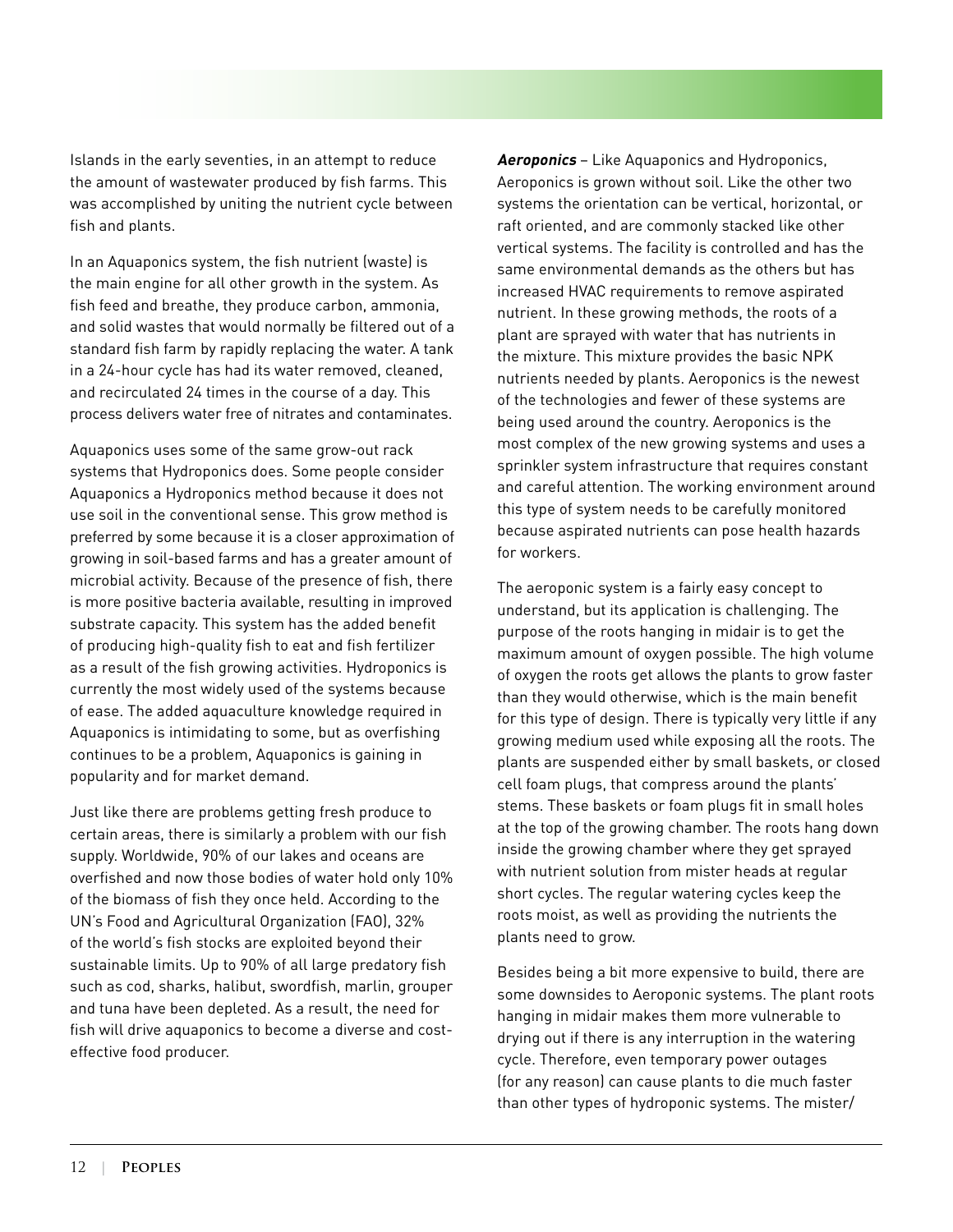Islands in the early seventies, in an attempt to reduce the amount of wastewater produced by fish farms. This was accomplished by uniting the nutrient cycle between fish and plants.

In an Aquaponics system, the fish nutrient (waste) is the main engine for all other growth in the system. As fish feed and breathe, they produce carbon, ammonia, and solid wastes that would normally be filtered out of a standard fish farm by rapidly replacing the water. A tank in a 24-hour cycle has had its water removed, cleaned, and recirculated 24 times in the course of a day. This process delivers water free of nitrates and contaminates.

Aquaponics uses some of the same grow-out rack systems that Hydroponics does. Some people consider Aquaponics a Hydroponics method because it does not use soil in the conventional sense. This grow method is preferred by some because it is a closer approximation of growing in soil-based farms and has a greater amount of microbial activity. Because of the presence of fish, there is more positive bacteria available, resulting in improved substrate capacity. This system has the added benefit of producing high-quality fish to eat and fish fertilizer as a result of the fish growing activities. Hydroponics is currently the most widely used of the systems because of ease. The added aquaculture knowledge required in Aquaponics is intimidating to some, but as overfishing continues to be a problem, Aquaponics is gaining in popularity and for market demand.

Just like there are problems getting fresh produce to certain areas, there is similarly a problem with our fish supply. Worldwide, 90% of our lakes and oceans are overfished and now those bodies of water hold only 10% of the biomass of fish they once held. According to the UN's Food and Agricultural Organization (FAO), 32% of the world's fish stocks are exploited beyond their sustainable limits. Up to 90% of all large predatory fish such as cod, sharks, halibut, swordfish, marlin, grouper and tuna have been depleted. As a result, the need for fish will drive aquaponics to become a diverse and costeffective food producer.

**Aeroponics** – Like Aquaponics and Hydroponics, Aeroponics is grown without soil. Like the other two systems the orientation can be vertical, horizontal, or raft oriented, and are commonly stacked like other vertical systems. The facility is controlled and has the same environmental demands as the others but has increased HVAC requirements to remove aspirated nutrient. In these growing methods, the roots of a plant are sprayed with water that has nutrients in the mixture. This mixture provides the basic NPK nutrients needed by plants. Aeroponics is the newest of the technologies and fewer of these systems are being used around the country. Aeroponics is the most complex of the new growing systems and uses a sprinkler system infrastructure that requires constant and careful attention. The working environment around this type of system needs to be carefully monitored because aspirated nutrients can pose health hazards for workers.

The aeroponic system is a fairly easy concept to understand, but its application is challenging. The purpose of the roots hanging in midair is to get the maximum amount of oxygen possible. The high volume of oxygen the roots get allows the plants to grow faster than they would otherwise, which is the main benefit for this type of design. There is typically very little if any growing medium used while exposing all the roots. The plants are suspended either by small baskets, or closed cell foam plugs, that compress around the plants' stems. These baskets or foam plugs fit in small holes at the top of the growing chamber. The roots hang down inside the growing chamber where they get sprayed with nutrient solution from mister heads at regular short cycles. The regular watering cycles keep the roots moist, as well as providing the nutrients the plants need to grow.

Besides being a bit more expensive to build, there are some downsides to Aeroponic systems. The plant roots hanging in midair makes them more vulnerable to drying out if there is any interruption in the watering cycle. Therefore, even temporary power outages (for any reason) can cause plants to die much faster than other types of hydroponic systems. The mister/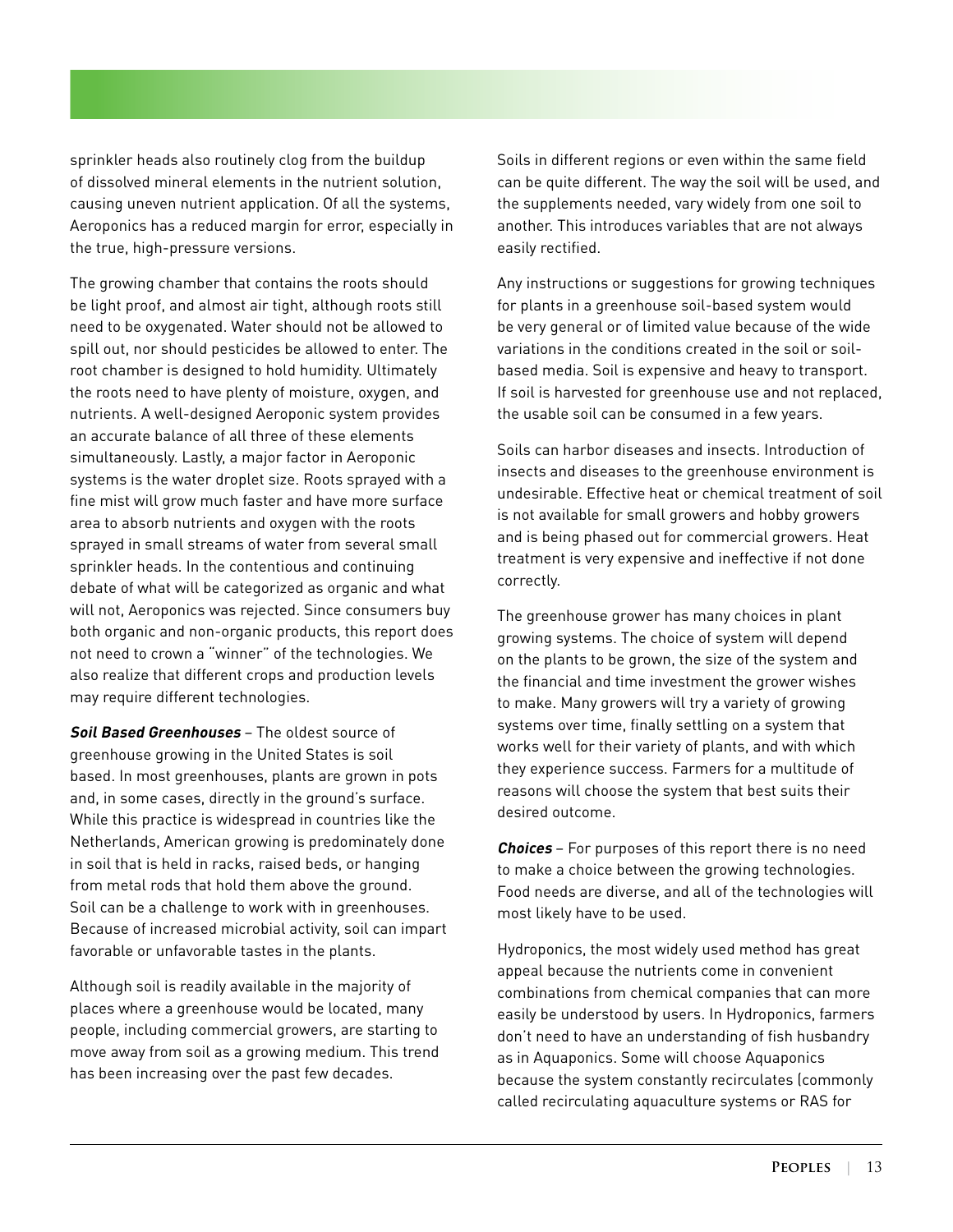sprinkler heads also routinely clog from the buildup of dissolved mineral elements in the nutrient solution, causing uneven nutrient application. Of all the systems, Aeroponics has a reduced margin for error, especially in the true, high-pressure versions.

The growing chamber that contains the roots should be light proof, and almost air tight, although roots still need to be oxygenated. Water should not be allowed to spill out, nor should pesticides be allowed to enter. The root chamber is designed to hold humidity. Ultimately the roots need to have plenty of moisture, oxygen, and nutrients. A well-designed Aeroponic system provides an accurate balance of all three of these elements simultaneously. Lastly, a major factor in Aeroponic systems is the water droplet size. Roots sprayed with a fine mist will grow much faster and have more surface area to absorb nutrients and oxygen with the roots sprayed in small streams of water from several small sprinkler heads. In the contentious and continuing debate of what will be categorized as organic and what will not, Aeroponics was rejected. Since consumers buy both organic and non-organic products, this report does not need to crown a "winner" of the technologies. We also realize that different crops and production levels may require different technologies.

**Soil Based Greenhouses** – The oldest source of greenhouse growing in the United States is soil based. In most greenhouses, plants are grown in pots and, in some cases, directly in the ground's surface. While this practice is widespread in countries like the Netherlands, American growing is predominately done in soil that is held in racks, raised beds, or hanging from metal rods that hold them above the ground. Soil can be a challenge to work with in greenhouses. Because of increased microbial activity, soil can impart favorable or unfavorable tastes in the plants.

Although soil is readily available in the majority of places where a greenhouse would be located, many people, including commercial growers, are starting to move away from soil as a growing medium. This trend has been increasing over the past few decades.

Soils in different regions or even within the same field can be quite different. The way the soil will be used, and the supplements needed, vary widely from one soil to another. This introduces variables that are not always easily rectified.

Any instructions or suggestions for growing techniques for plants in a greenhouse soil-based system would be very general or of limited value because of the wide variations in the conditions created in the soil or soilbased media. Soil is expensive and heavy to transport. If soil is harvested for greenhouse use and not replaced, the usable soil can be consumed in a few years.

Soils can harbor diseases and insects. Introduction of insects and diseases to the greenhouse environment is undesirable. Effective heat or chemical treatment of soil is not available for small growers and hobby growers and is being phased out for commercial growers. Heat treatment is very expensive and ineffective if not done correctly.

The greenhouse grower has many choices in plant growing systems. The choice of system will depend on the plants to be grown, the size of the system and the financial and time investment the grower wishes to make. Many growers will try a variety of growing systems over time, finally settling on a system that works well for their variety of plants, and with which they experience success. Farmers for a multitude of reasons will choose the system that best suits their desired outcome.

**Choices** – For purposes of this report there is no need to make a choice between the growing technologies. Food needs are diverse, and all of the technologies will most likely have to be used.

Hydroponics, the most widely used method has great appeal because the nutrients come in convenient combinations from chemical companies that can more easily be understood by users. In Hydroponics, farmers don't need to have an understanding of fish husbandry as in Aquaponics. Some will choose Aquaponics because the system constantly recirculates (commonly called recirculating aquaculture systems or RAS for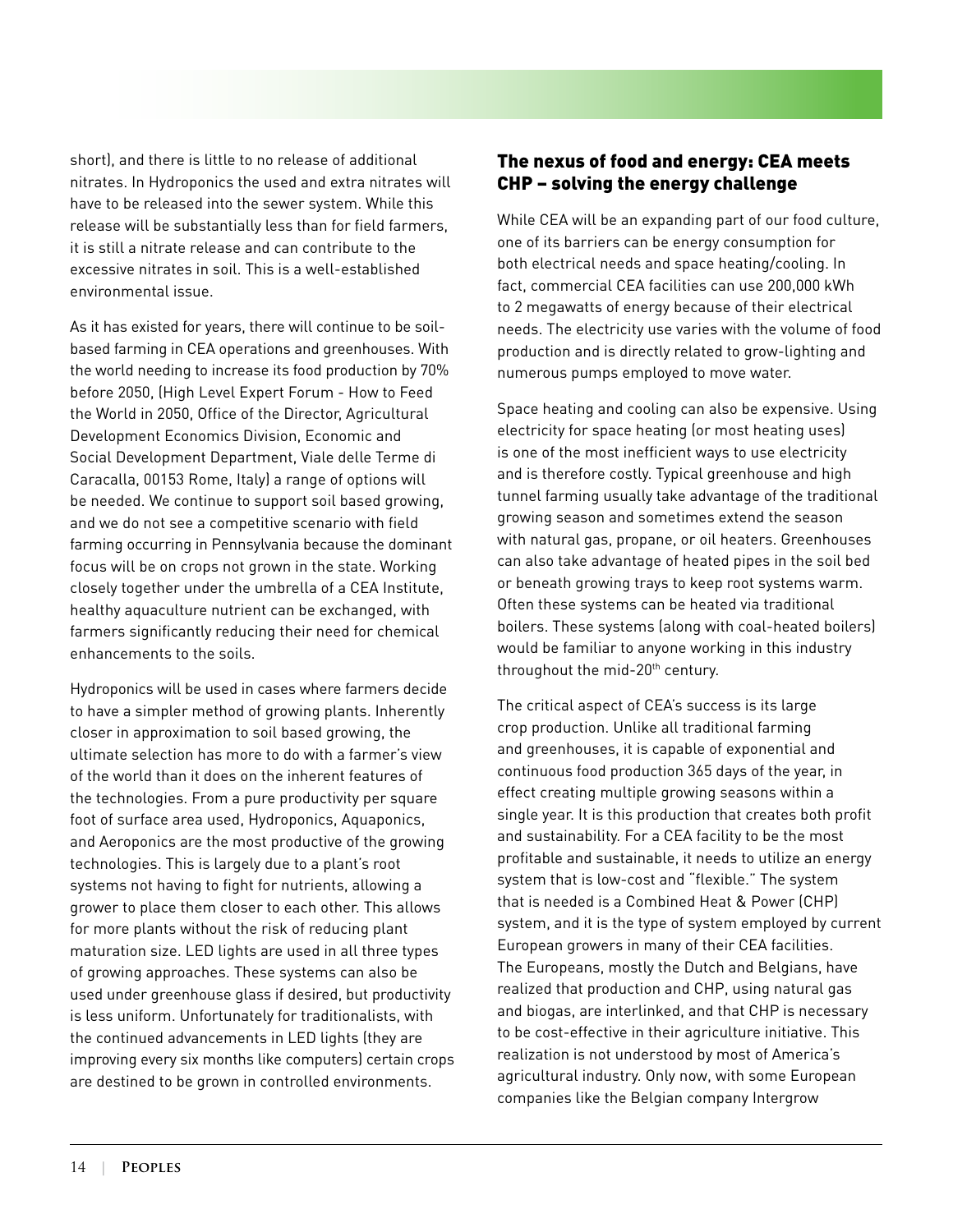short), and there is little to no release of additional nitrates. In Hydroponics the used and extra nitrates will have to be released into the sewer system. While this release will be substantially less than for field farmers, it is still a nitrate release and can contribute to the excessive nitrates in soil. This is a well-established environmental issue.

As it has existed for years, there will continue to be soilbased farming in CEA operations and greenhouses. With the world needing to increase its food production by 70% before 2050, (High Level Expert Forum - How to Feed the World in 2050, Office of the Director, Agricultural Development Economics Division, Economic and Social Development Department, Viale delle Terme di Caracalla, 00153 Rome, Italy) a range of options will be needed. We continue to support soil based growing, and we do not see a competitive scenario with field farming occurring in Pennsylvania because the dominant focus will be on crops not grown in the state. Working closely together under the umbrella of a CEA Institute, healthy aquaculture nutrient can be exchanged, with farmers significantly reducing their need for chemical enhancements to the soils.

Hydroponics will be used in cases where farmers decide to have a simpler method of growing plants. Inherently closer in approximation to soil based growing, the ultimate selection has more to do with a farmer's view of the world than it does on the inherent features of the technologies. From a pure productivity per square foot of surface area used, Hydroponics, Aquaponics, and Aeroponics are the most productive of the growing technologies. This is largely due to a plant's root systems not having to fight for nutrients, allowing a grower to place them closer to each other. This allows for more plants without the risk of reducing plant maturation size. LED lights are used in all three types of growing approaches. These systems can also be used under greenhouse glass if desired, but productivity is less uniform. Unfortunately for traditionalists, with the continued advancements in LED lights (they are improving every six months like computers) certain crops are destined to be grown in controlled environments.

## The nexus of food and energy: CEA meets CHP – solving the energy challenge

While CEA will be an expanding part of our food culture, one of its barriers can be energy consumption for both electrical needs and space heating/cooling. In fact, commercial CEA facilities can use 200,000 kWh to 2 megawatts of energy because of their electrical needs. The electricity use varies with the volume of food production and is directly related to grow-lighting and numerous pumps employed to move water.

Space heating and cooling can also be expensive. Using electricity for space heating (or most heating uses) is one of the most inefficient ways to use electricity and is therefore costly. Typical greenhouse and high tunnel farming usually take advantage of the traditional growing season and sometimes extend the season with natural gas, propane, or oil heaters. Greenhouses can also take advantage of heated pipes in the soil bed or beneath growing trays to keep root systems warm. Often these systems can be heated via traditional boilers. These systems (along with coal-heated boilers) would be familiar to anyone working in this industry throughout the mid-20<sup>th</sup> century.

The critical aspect of CEA's success is its large crop production. Unlike all traditional farming and greenhouses, it is capable of exponential and continuous food production 365 days of the year, in effect creating multiple growing seasons within a single year. It is this production that creates both profit and sustainability. For a CEA facility to be the most profitable and sustainable, it needs to utilize an energy system that is low-cost and "flexible." The system that is needed is a Combined Heat & Power (CHP) system, and it is the type of system employed by current European growers in many of their CEA facilities. The Europeans, mostly the Dutch and Belgians, have realized that production and CHP, using natural gas and biogas, are interlinked, and that CHP is necessary to be cost-effective in their agriculture initiative. This realization is not understood by most of America's agricultural industry. Only now, with some European companies like the Belgian company Intergrow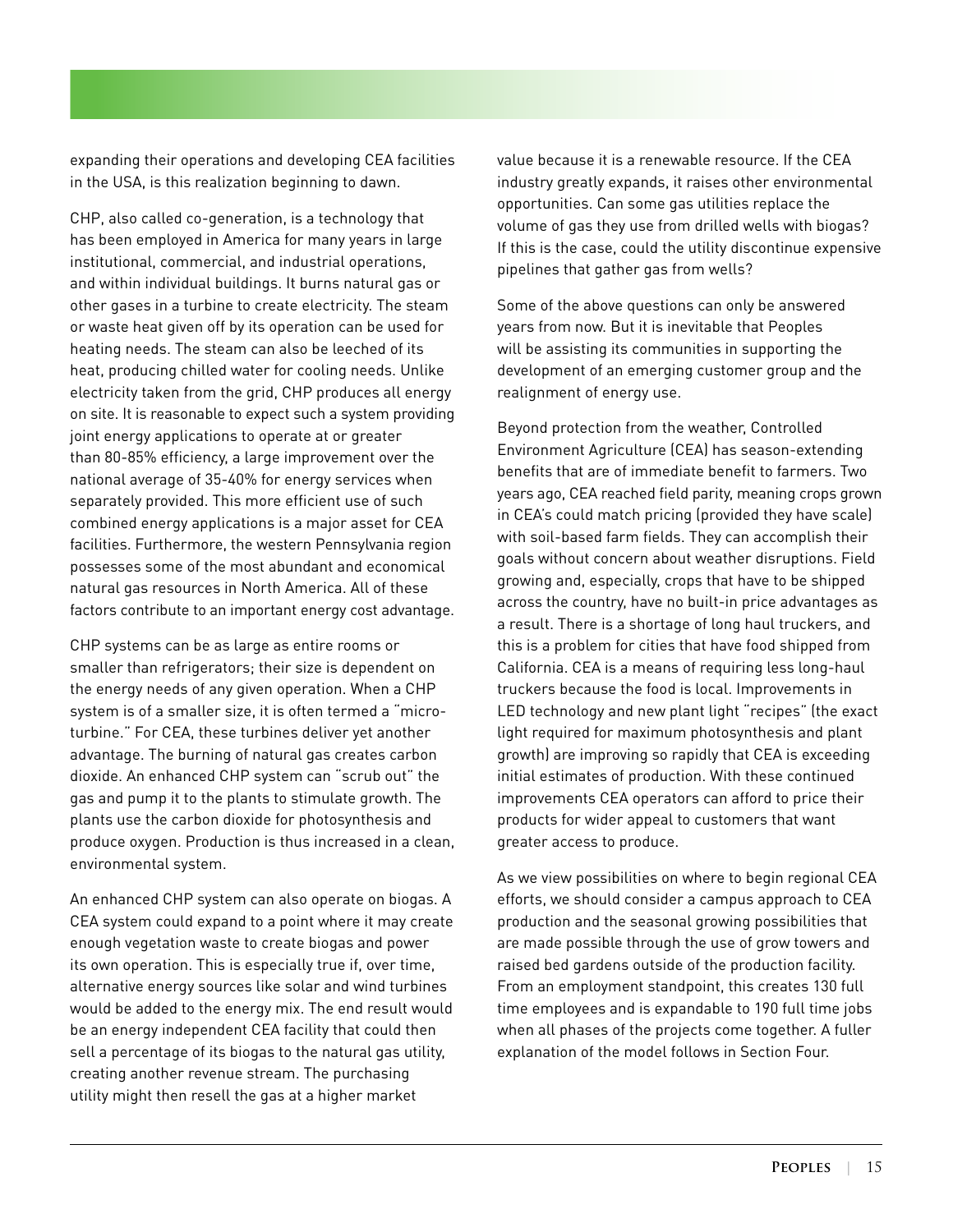expanding their operations and developing CEA facilities in the USA, is this realization beginning to dawn.

CHP, also called co-generation, is a technology that has been employed in America for many years in large institutional, commercial, and industrial operations, and within individual buildings. It burns natural gas or other gases in a turbine to create electricity. The steam or waste heat given off by its operation can be used for heating needs. The steam can also be leeched of its heat, producing chilled water for cooling needs. Unlike electricity taken from the grid, CHP produces all energy on site. It is reasonable to expect such a system providing joint energy applications to operate at or greater than 80-85% efficiency, a large improvement over the national average of 35-40% for energy services when separately provided. This more efficient use of such combined energy applications is a major asset for CEA facilities. Furthermore, the western Pennsylvania region possesses some of the most abundant and economical natural gas resources in North America. All of these factors contribute to an important energy cost advantage.

CHP systems can be as large as entire rooms or smaller than refrigerators; their size is dependent on the energy needs of any given operation. When a CHP system is of a smaller size, it is often termed a "microturbine." For CEA, these turbines deliver yet another advantage. The burning of natural gas creates carbon dioxide. An enhanced CHP system can "scrub out" the gas and pump it to the plants to stimulate growth. The plants use the carbon dioxide for photosynthesis and produce oxygen. Production is thus increased in a clean, environmental system.

An enhanced CHP system can also operate on biogas. A CEA system could expand to a point where it may create enough vegetation waste to create biogas and power its own operation. This is especially true if, over time, alternative energy sources like solar and wind turbines would be added to the energy mix. The end result would be an energy independent CEA facility that could then sell a percentage of its biogas to the natural gas utility, creating another revenue stream. The purchasing utility might then resell the gas at a higher market

value because it is a renewable resource. If the CEA industry greatly expands, it raises other environmental opportunities. Can some gas utilities replace the volume of gas they use from drilled wells with biogas? If this is the case, could the utility discontinue expensive pipelines that gather gas from wells?

Some of the above questions can only be answered years from now. But it is inevitable that Peoples will be assisting its communities in supporting the development of an emerging customer group and the realignment of energy use.

Beyond protection from the weather, Controlled Environment Agriculture (CEA) has season-extending benefits that are of immediate benefit to farmers. Two years ago, CEA reached field parity, meaning crops grown in CEA's could match pricing (provided they have scale) with soil-based farm fields. They can accomplish their goals without concern about weather disruptions. Field growing and, especially, crops that have to be shipped across the country, have no built-in price advantages as a result. There is a shortage of long haul truckers, and this is a problem for cities that have food shipped from California. CEA is a means of requiring less long-haul truckers because the food is local. Improvements in LED technology and new plant light "recipes" (the exact light required for maximum photosynthesis and plant growth) are improving so rapidly that CEA is exceeding initial estimates of production. With these continued improvements CEA operators can afford to price their products for wider appeal to customers that want greater access to produce.

As we view possibilities on where to begin regional CEA efforts, we should consider a campus approach to CEA production and the seasonal growing possibilities that are made possible through the use of grow towers and raised bed gardens outside of the production facility. From an employment standpoint, this creates 130 full time employees and is expandable to 190 full time jobs when all phases of the projects come together. A fuller explanation of the model follows in Section Four.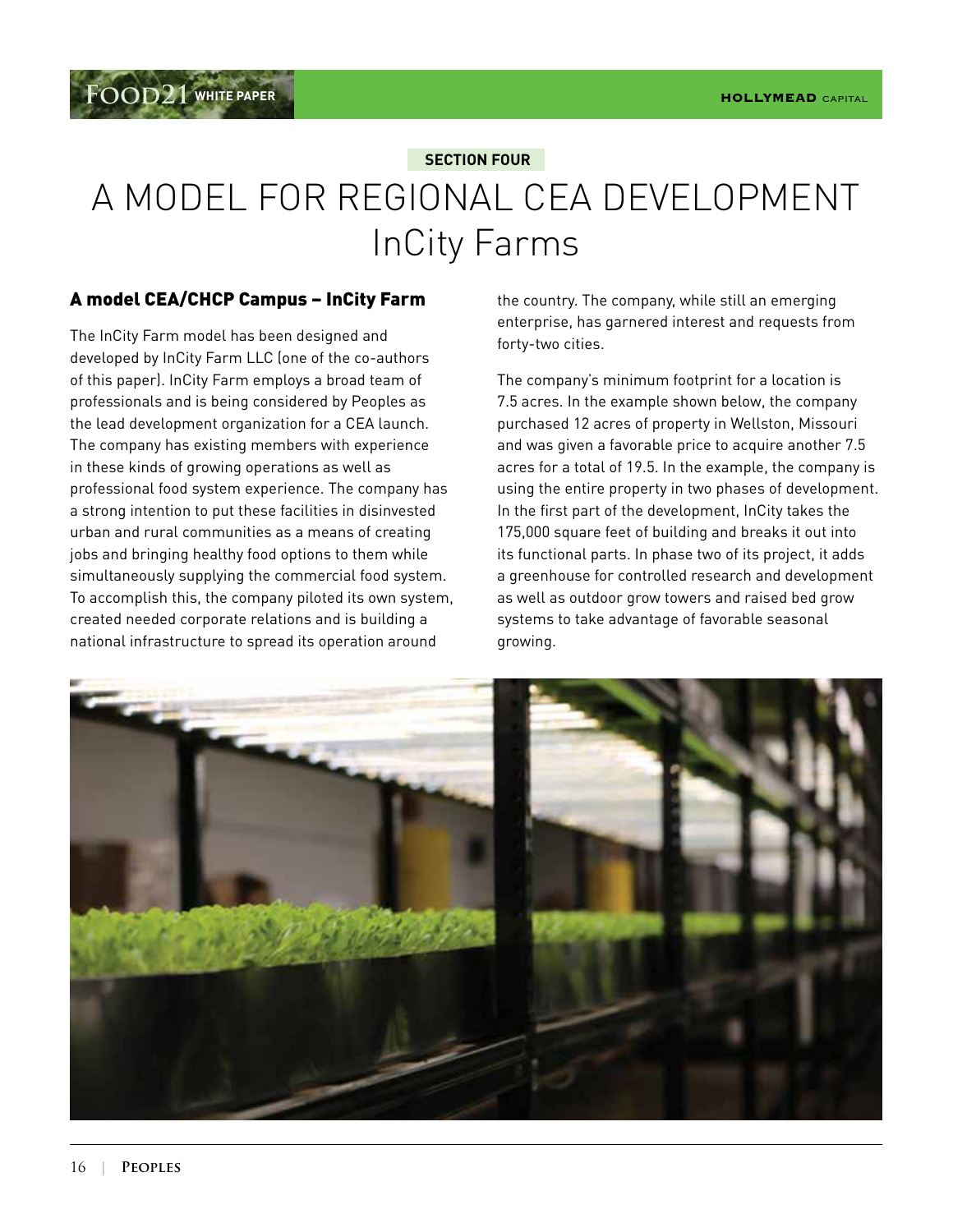

#### **SECTION FOUR**

## A MODEL FOR REGIONAL CEA DEVELOPMENT InCity Farms

### A model CEA/CHCP Campus – InCity Farm

The InCity Farm model has been designed and developed by InCity Farm LLC (one of the co-authors of this paper). InCity Farm employs a broad team of professionals and is being considered by Peoples as the lead development organization for a CEA launch. The company has existing members with experience in these kinds of growing operations as well as professional food system experience. The company has a strong intention to put these facilities in disinvested urban and rural communities as a means of creating jobs and bringing healthy food options to them while simultaneously supplying the commercial food system. To accomplish this, the company piloted its own system, created needed corporate relations and is building a national infrastructure to spread its operation around

the country. The company, while still an emerging enterprise, has garnered interest and requests from forty-two cities.

The company's minimum footprint for a location is 7.5 acres. In the example shown below, the company purchased 12 acres of property in Wellston, Missouri and was given a favorable price to acquire another 7.5 acres for a total of 19.5. In the example, the company is using the entire property in two phases of development. In the first part of the development, InCity takes the 175,000 square feet of building and breaks it out into its functional parts. In phase two of its project, it adds a greenhouse for controlled research and development as well as outdoor grow towers and raised bed grow systems to take advantage of favorable seasonal growing.

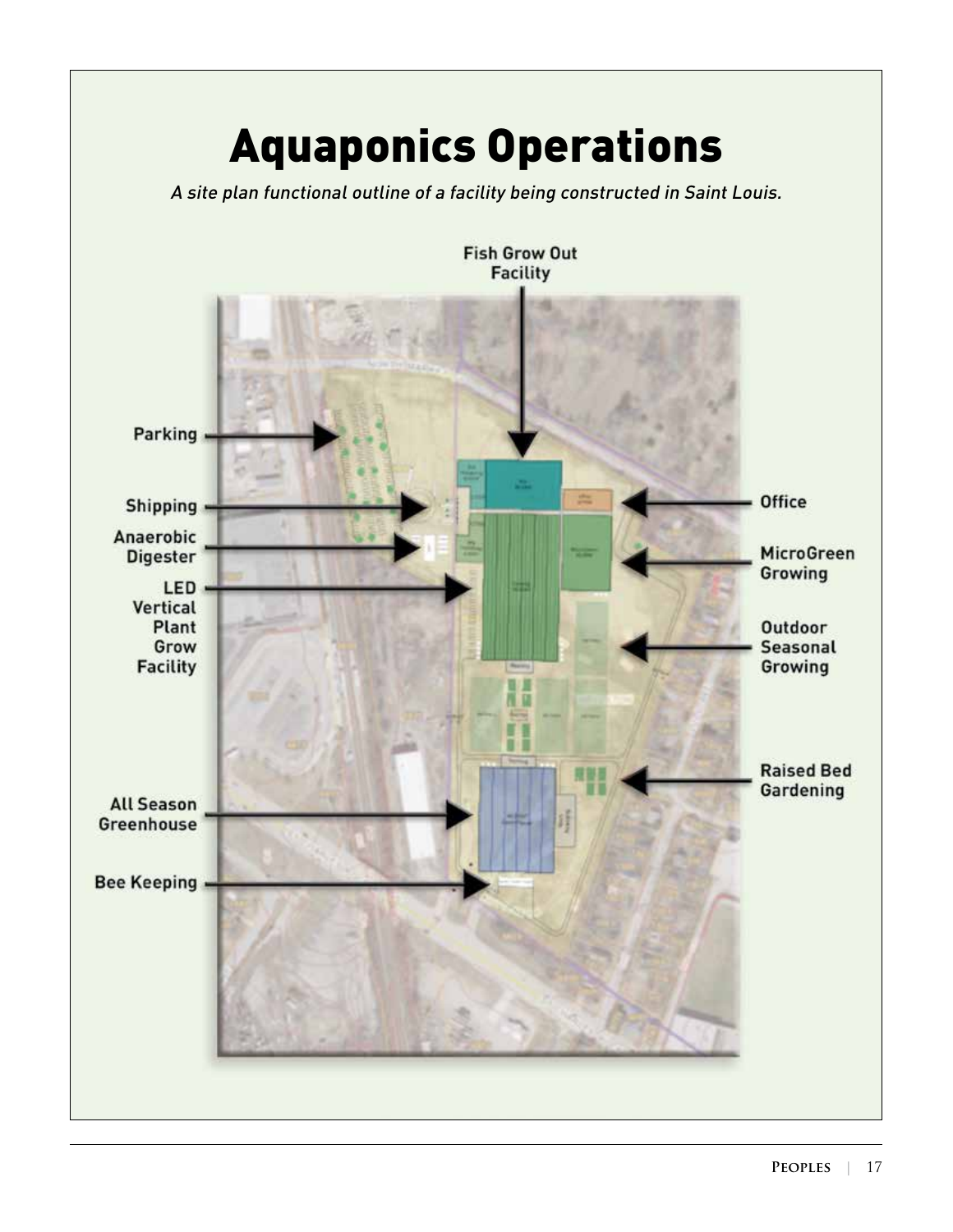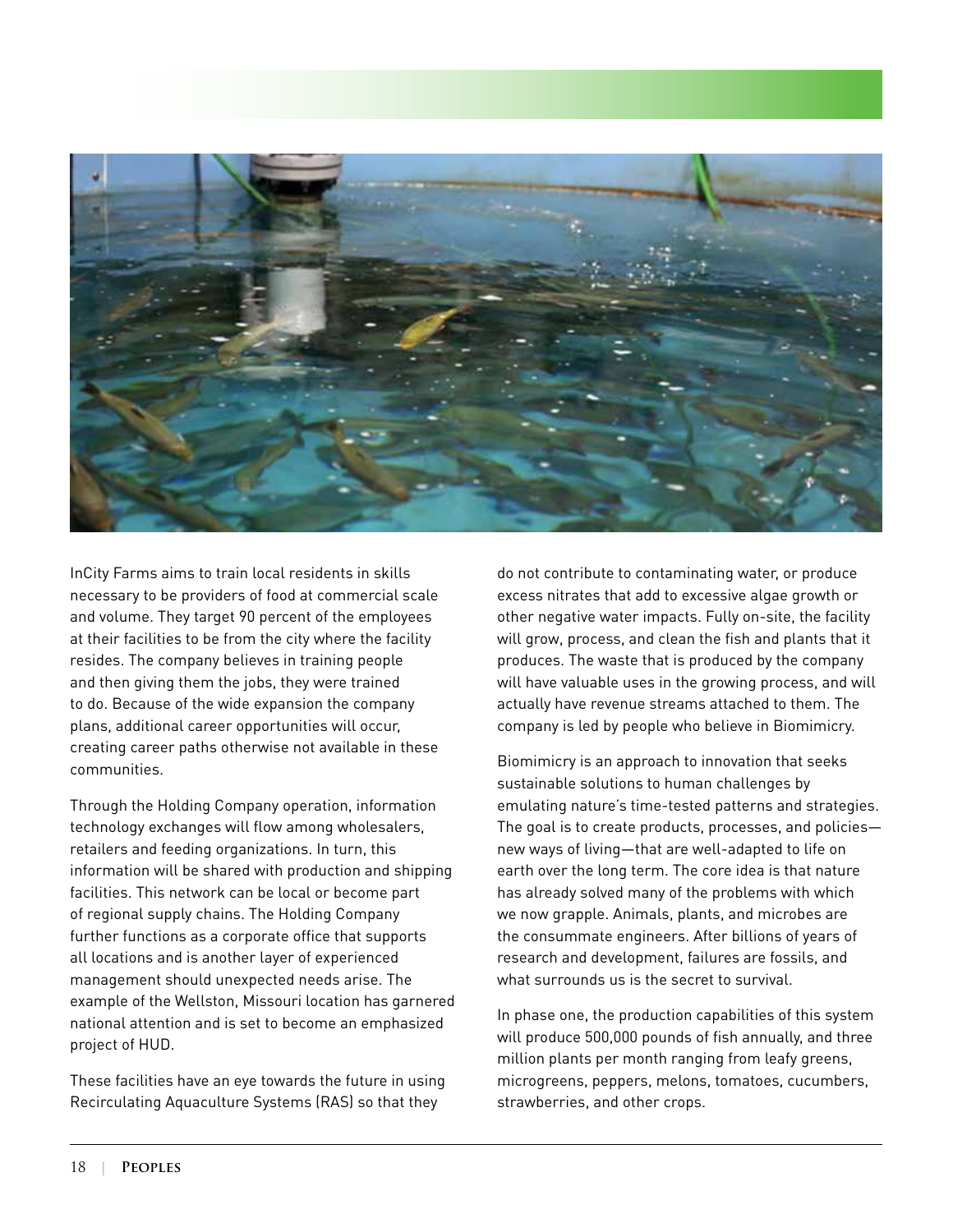

InCity Farms aims to train local residents in skills necessary to be providers of food at commercial scale and volume. They target 90 percent of the employees at their facilities to be from the city where the facility resides. The company believes in training people and then giving them the jobs, they were trained to do. Because of the wide expansion the company plans, additional career opportunities will occur, creating career paths otherwise not available in these communities.

Through the Holding Company operation, information technology exchanges will flow among wholesalers, retailers and feeding organizations. In turn, this information will be shared with production and shipping facilities. This network can be local or become part of regional supply chains. The Holding Company further functions as a corporate office that supports all locations and is another layer of experienced management should unexpected needs arise. The example of the Wellston, Missouri location has garnered national attention and is set to become an emphasized project of HUD.

These facilities have an eye towards the future in using Recirculating Aquaculture Systems (RAS) so that they

do not contribute to contaminating water, or produce excess nitrates that add to excessive algae growth or other negative water impacts. Fully on-site, the facility will grow, process, and clean the fish and plants that it produces. The waste that is produced by the company will have valuable uses in the growing process, and will actually have revenue streams attached to them. The company is led by people who believe in Biomimicry.

Biomimicry is an approach to innovation that seeks sustainable solutions to human challenges by emulating nature's time-tested patterns and strategies. The goal is to create products, processes, and policies new ways of living—that are well-adapted to life on earth over the long term. The core idea is that nature has already solved many of the problems with which we now grapple. Animals, plants, and microbes are the consummate engineers. After billions of years of research and development, failures are fossils, and what surrounds us is the secret to survival.

In phase one, the production capabilities of this system will produce 500,000 pounds of fish annually, and three million plants per month ranging from leafy greens, microgreens, peppers, melons, tomatoes, cucumbers, strawberries, and other crops.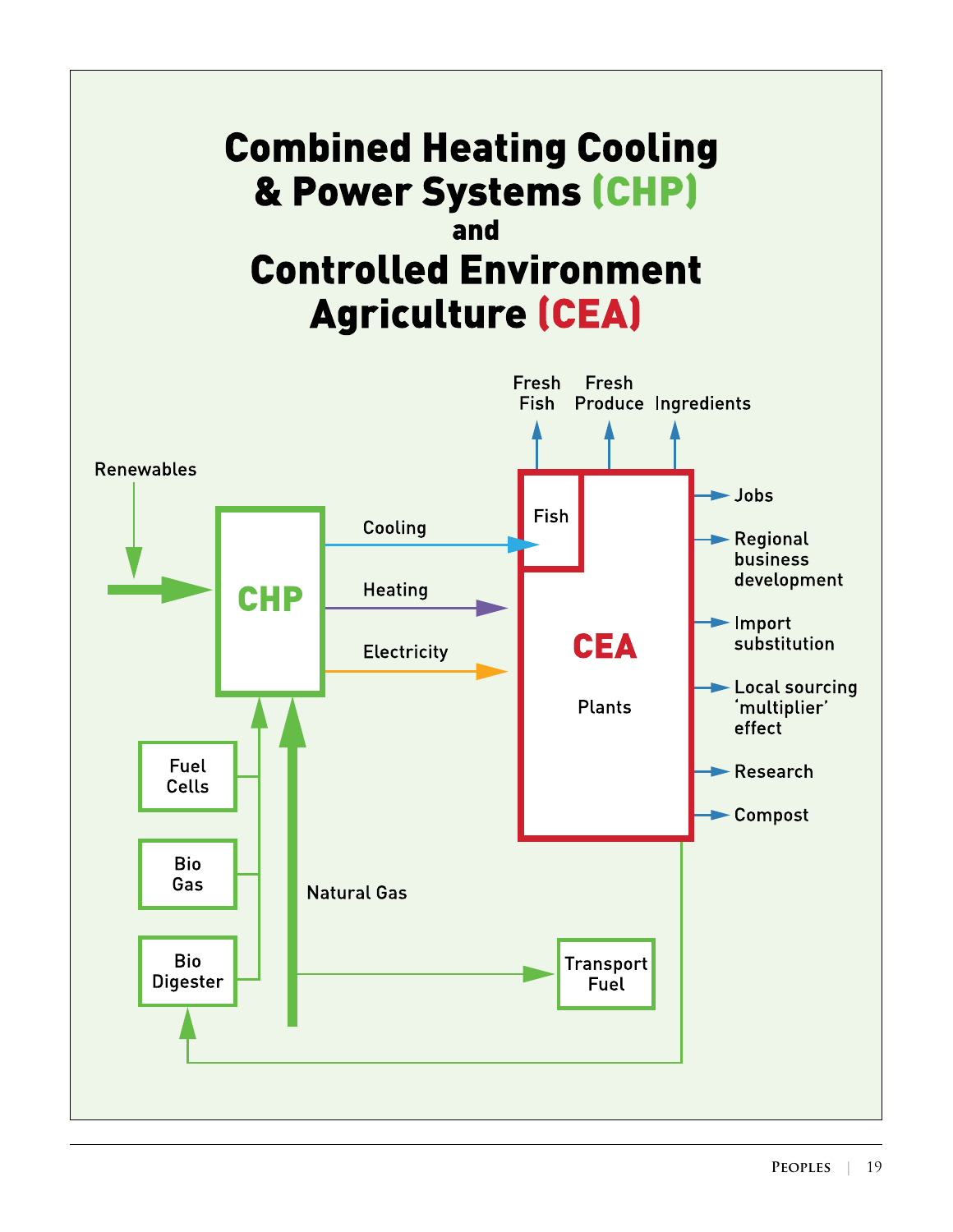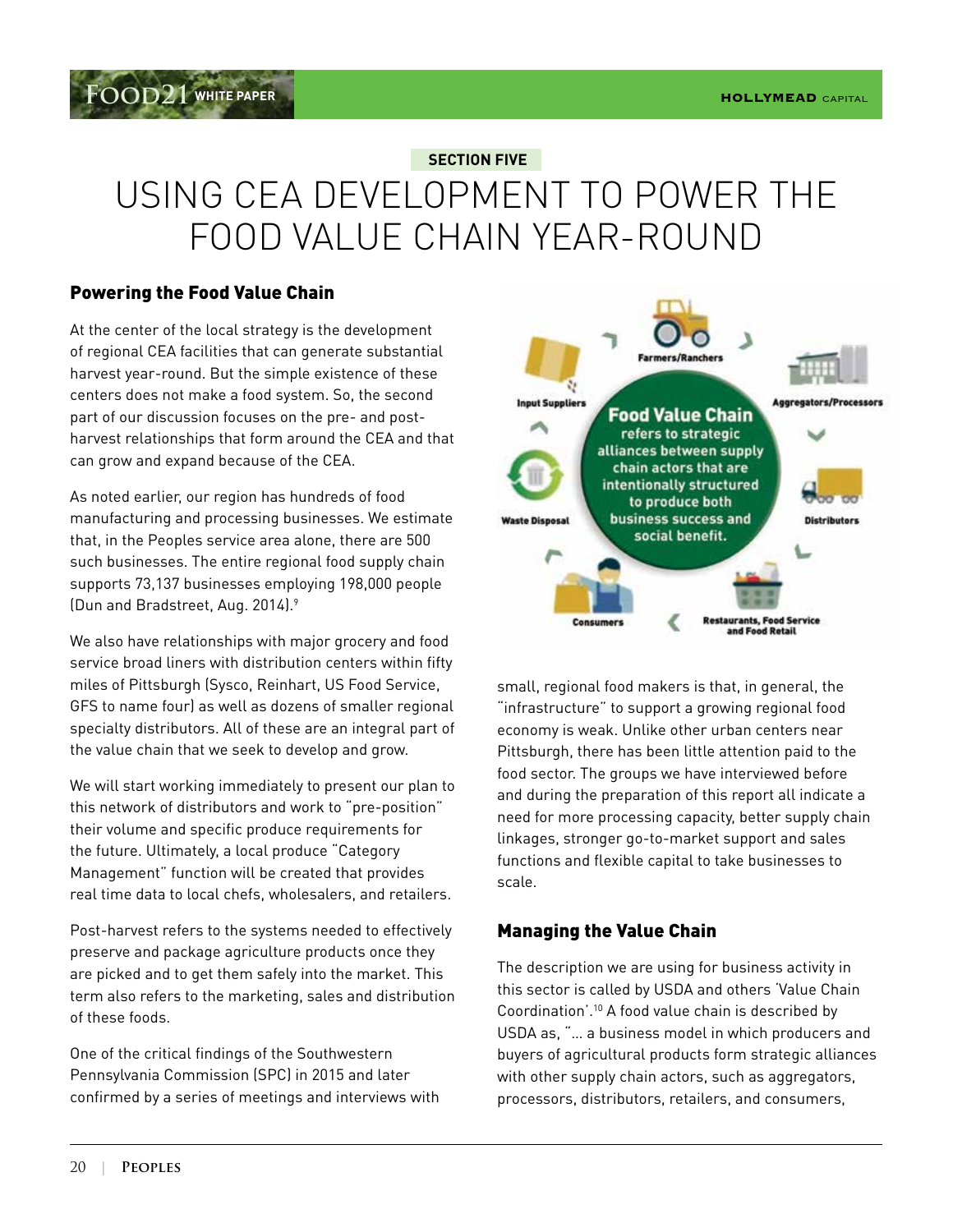

## **SECTION FIVE**  USING CEA DEVELOPMENT TO POWER THE FOOD VALUE CHAIN YEAR-ROUND

### Powering the Food Value Chain

At the center of the local strategy is the development of regional CEA facilities that can generate substantial harvest year-round. But the simple existence of these centers does not make a food system. So, the second part of our discussion focuses on the pre- and postharvest relationships that form around the CEA and that can grow and expand because of the CEA.

As noted earlier, our region has hundreds of food manufacturing and processing businesses. We estimate that, in the Peoples service area alone, there are 500 such businesses. The entire regional food supply chain supports 73,137 businesses employing 198,000 people (Dun and Bradstreet, Aug. 2014).9

We also have relationships with major grocery and food service broad liners with distribution centers within fifty miles of Pittsburgh (Sysco, Reinhart, US Food Service, GFS to name four) as well as dozens of smaller regional specialty distributors. All of these are an integral part of the value chain that we seek to develop and grow.

We will start working immediately to present our plan to this network of distributors and work to "pre-position" their volume and specific produce requirements for the future. Ultimately, a local produce "Category Management" function will be created that provides real time data to local chefs, wholesalers, and retailers.

Post-harvest refers to the systems needed to effectively preserve and package agriculture products once they are picked and to get them safely into the market. This term also refers to the marketing, sales and distribution of these foods.

One of the critical findings of the Southwestern Pennsylvania Commission (SPC) in 2015 and later confirmed by a series of meetings and interviews with



small, regional food makers is that, in general, the "infrastructure" to support a growing regional food economy is weak. Unlike other urban centers near Pittsburgh, there has been little attention paid to the food sector. The groups we have interviewed before and during the preparation of this report all indicate a need for more processing capacity, better supply chain linkages, stronger go-to-market support and sales functions and flexible capital to take businesses to scale.

### Managing the Value Chain

The description we are using for business activity in this sector is called by USDA and others 'Value Chain Coordination'.10 A food value chain is described by USDA as, "… a business model in which producers and buyers of agricultural products form strategic alliances with other supply chain actors, such as aggregators, processors, distributors, retailers, and consumers,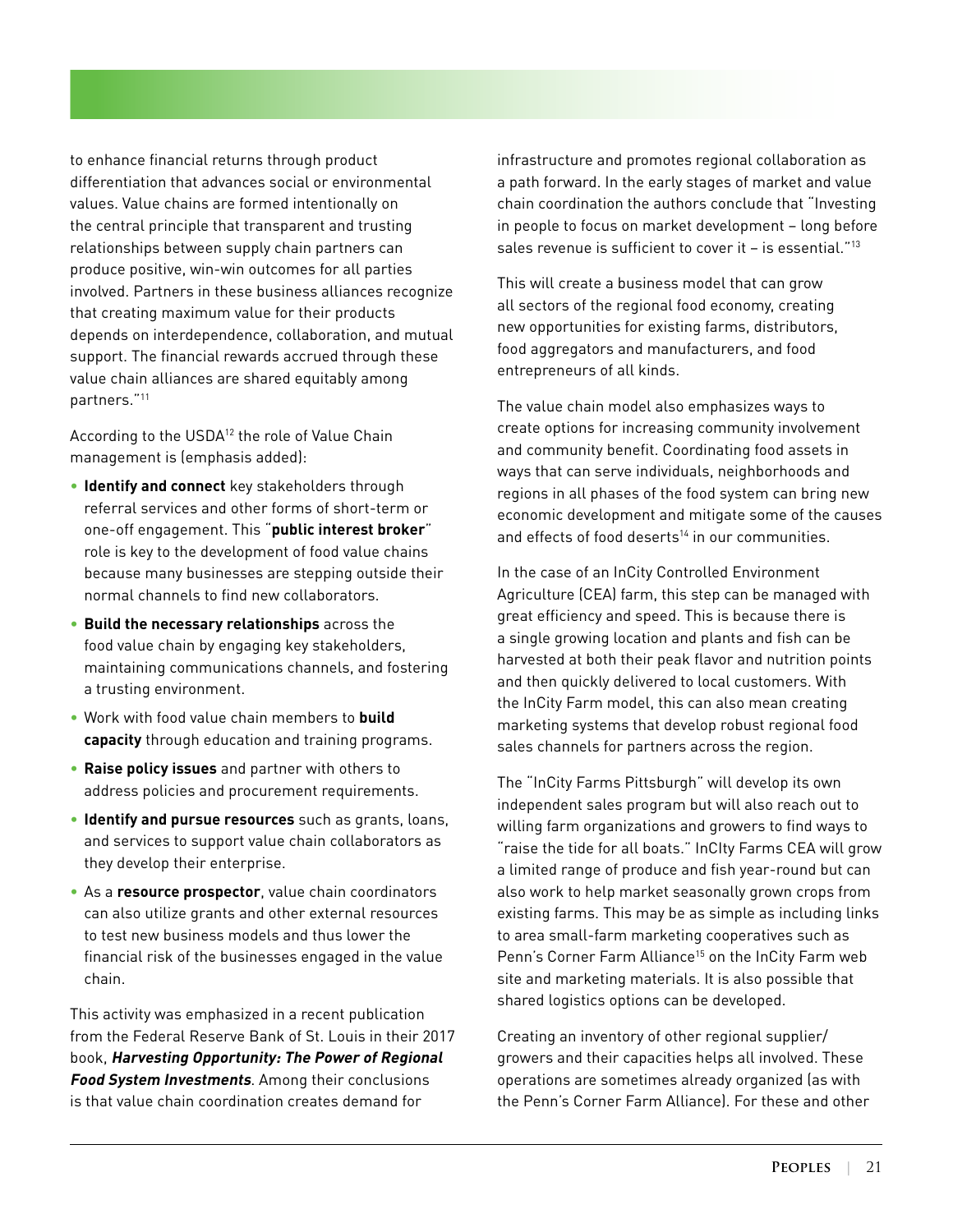to enhance financial returns through product differentiation that advances social or environmental values. Value chains are formed intentionally on the central principle that transparent and trusting relationships between supply chain partners can produce positive, win-win outcomes for all parties involved. Partners in these business alliances recognize that creating maximum value for their products depends on interdependence, collaboration, and mutual support. The financial rewards accrued through these value chain alliances are shared equitably among partners."11

According to the USDA<sup>12</sup> the role of Value Chain management is (emphasis added):

- **Identify and connect** key stakeholders through referral services and other forms of short-term or one-off engagement. This "**public interest broker**" role is key to the development of food value chains because many businesses are stepping outside their normal channels to find new collaborators.
- **Build the necessary relationships** across the food value chain by engaging key stakeholders, maintaining communications channels, and fostering a trusting environment.
- Work with food value chain members to **build capacity** through education and training programs.
- **Raise policy issues** and partner with others to address policies and procurement requirements.
- **Identify and pursue resources** such as grants, loans, and services to support value chain collaborators as they develop their enterprise.
- As a **resource prospector**, value chain coordinators can also utilize grants and other external resources to test new business models and thus lower the financial risk of the businesses engaged in the value chain.

This activity was emphasized in a recent publication from the Federal Reserve Bank of St. Louis in their 2017 book, **Harvesting Opportunity: The Power of Regional Food System Investments**. Among their conclusions is that value chain coordination creates demand for

infrastructure and promotes regional collaboration as a path forward. In the early stages of market and value chain coordination the authors conclude that "Investing in people to focus on market development – long before sales revenue is sufficient to cover it  $-$  is essential."<sup>13</sup>

This will create a business model that can grow all sectors of the regional food economy, creating new opportunities for existing farms, distributors, food aggregators and manufacturers, and food entrepreneurs of all kinds.

The value chain model also emphasizes ways to create options for increasing community involvement and community benefit. Coordinating food assets in ways that can serve individuals, neighborhoods and regions in all phases of the food system can bring new economic development and mitigate some of the causes and effects of food deserts<sup>14</sup> in our communities.

In the case of an InCity Controlled Environment Agriculture (CEA) farm, this step can be managed with great efficiency and speed. This is because there is a single growing location and plants and fish can be harvested at both their peak flavor and nutrition points and then quickly delivered to local customers. With the InCity Farm model, this can also mean creating marketing systems that develop robust regional food sales channels for partners across the region.

The "InCity Farms Pittsburgh" will develop its own independent sales program but will also reach out to willing farm organizations and growers to find ways to "raise the tide for all boats." InCIty Farms CEA will grow a limited range of produce and fish year-round but can also work to help market seasonally grown crops from existing farms. This may be as simple as including links to area small-farm marketing cooperatives such as Penn's Corner Farm Alliance<sup>15</sup> on the InCity Farm web site and marketing materials. It is also possible that shared logistics options can be developed.

Creating an inventory of other regional supplier/ growers and their capacities helps all involved. These operations are sometimes already organized (as with the Penn's Corner Farm Alliance). For these and other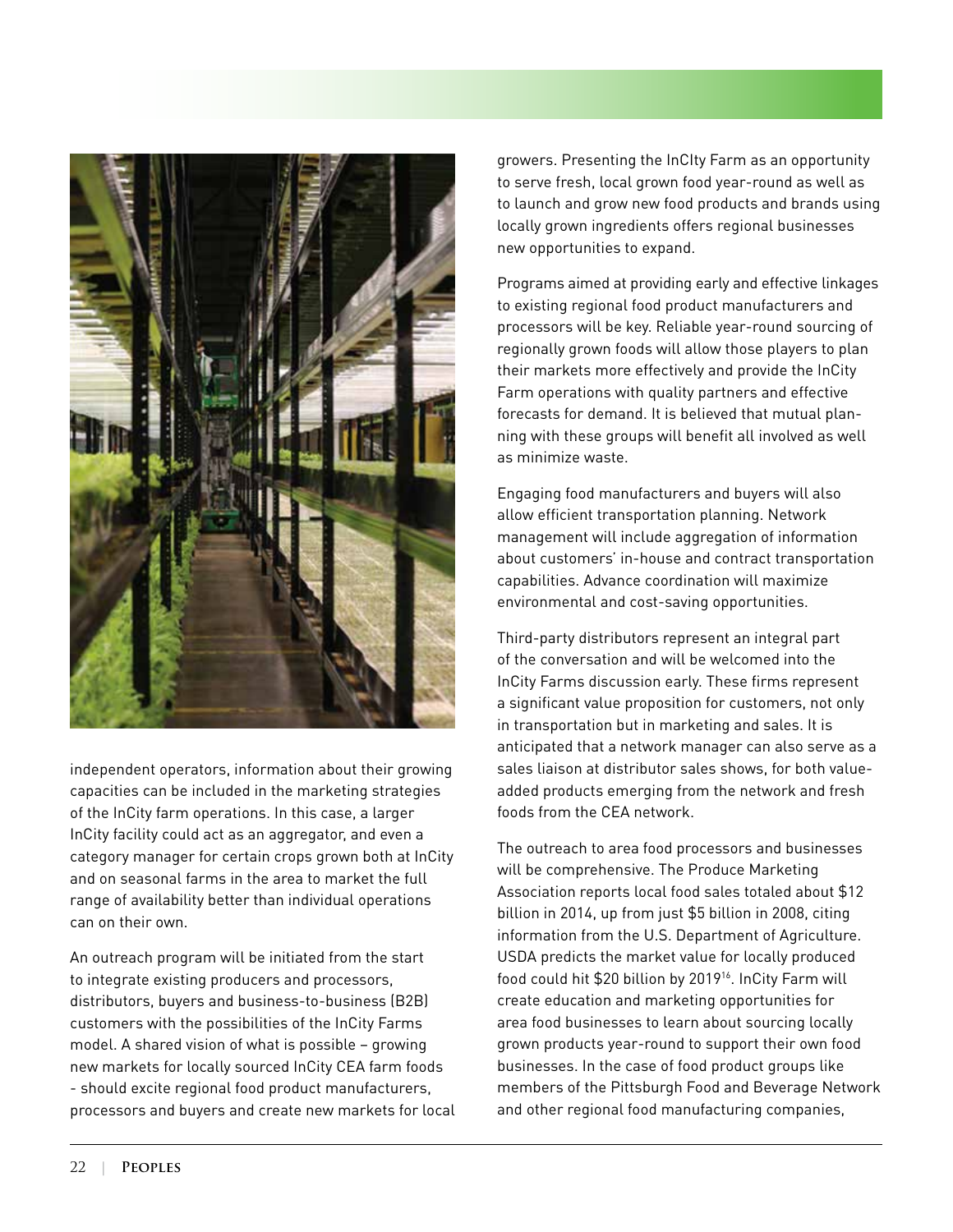

independent operators, information about their growing capacities can be included in the marketing strategies of the InCity farm operations. In this case, a larger InCity facility could act as an aggregator, and even a category manager for certain crops grown both at InCity and on seasonal farms in the area to market the full range of availability better than individual operations can on their own.

An outreach program will be initiated from the start to integrate existing producers and processors, distributors, buyers and business-to-business (B2B) customers with the possibilities of the InCity Farms model. A shared vision of what is possible – growing new markets for locally sourced InCity CEA farm foods - should excite regional food product manufacturers, processors and buyers and create new markets for local growers. Presenting the InCIty Farm as an opportunity to serve fresh, local grown food year-round as well as to launch and grow new food products and brands using locally grown ingredients offers regional businesses new opportunities to expand.

Programs aimed at providing early and effective linkages to existing regional food product manufacturers and processors will be key. Reliable year-round sourcing of regionally grown foods will allow those players to plan their markets more effectively and provide the InCity Farm operations with quality partners and effective forecasts for demand. It is believed that mutual planning with these groups will benefit all involved as well as minimize waste.

Engaging food manufacturers and buyers will also allow efficient transportation planning. Network management will include aggregation of information about customers' in-house and contract transportation capabilities. Advance coordination will maximize environmental and cost-saving opportunities.

Third-party distributors represent an integral part of the conversation and will be welcomed into the InCity Farms discussion early. These firms represent a significant value proposition for customers, not only in transportation but in marketing and sales. It is anticipated that a network manager can also serve as a sales liaison at distributor sales shows, for both valueadded products emerging from the network and fresh foods from the CEA network.

The outreach to area food processors and businesses will be comprehensive. The Produce Marketing Association reports local food sales totaled about \$12 billion in 2014, up from just \$5 billion in 2008, citing information from the U.S. Department of Agriculture. USDA predicts the market value for locally produced food could hit \$20 billion by 2019<sup>16</sup>. InCity Farm will create education and marketing opportunities for area food businesses to learn about sourcing locally grown products year-round to support their own food businesses. In the case of food product groups like members of the Pittsburgh Food and Beverage Network and other regional food manufacturing companies,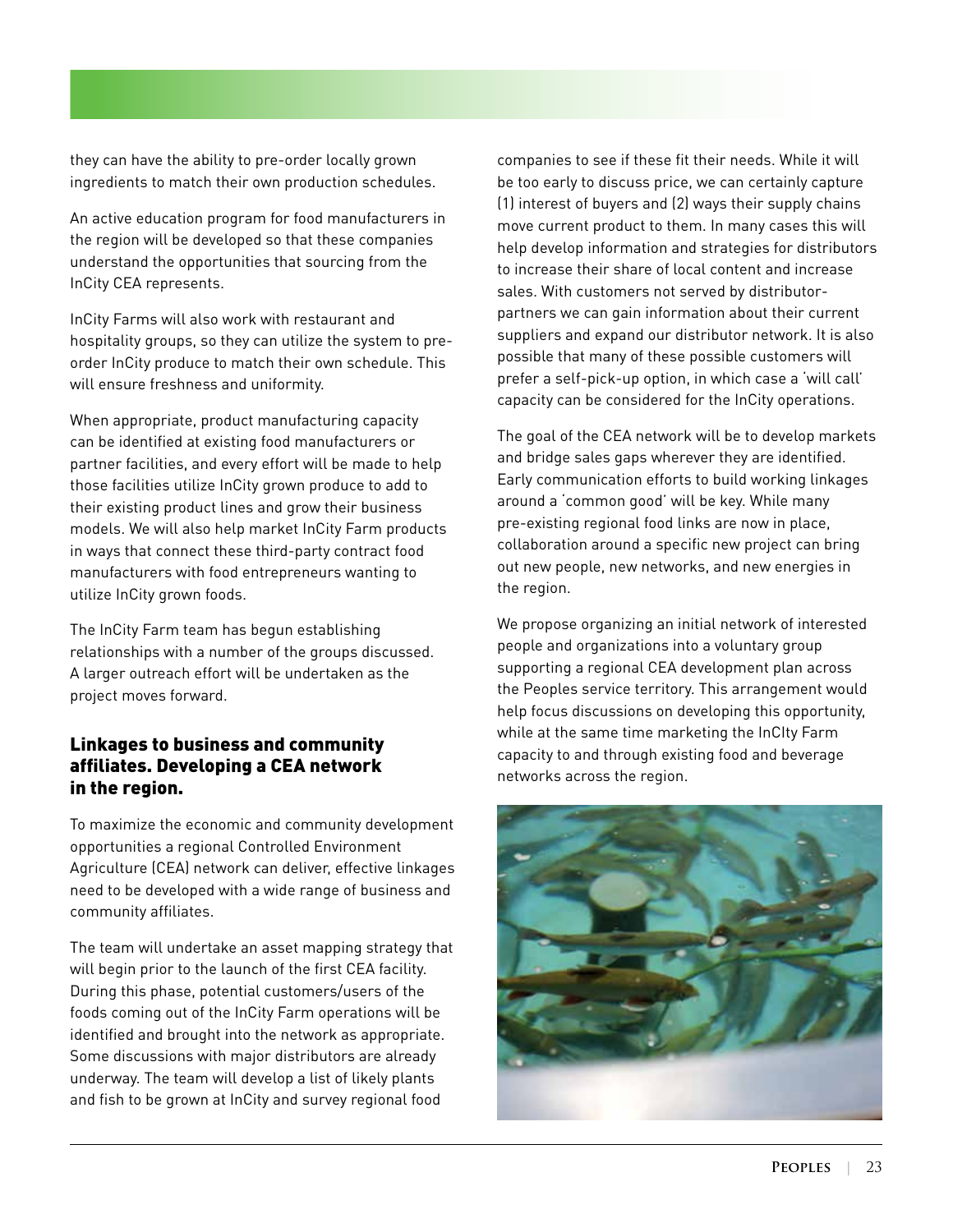they can have the ability to pre-order locally grown ingredients to match their own production schedules.

An active education program for food manufacturers in the region will be developed so that these companies understand the opportunities that sourcing from the InCity CEA represents.

InCity Farms will also work with restaurant and hospitality groups, so they can utilize the system to preorder InCity produce to match their own schedule. This will ensure freshness and uniformity.

When appropriate, product manufacturing capacity can be identified at existing food manufacturers or partner facilities, and every effort will be made to help those facilities utilize InCity grown produce to add to their existing product lines and grow their business models. We will also help market InCity Farm products in ways that connect these third-party contract food manufacturers with food entrepreneurs wanting to utilize InCity grown foods.

The InCity Farm team has begun establishing relationships with a number of the groups discussed. A larger outreach effort will be undertaken as the project moves forward.

## Linkages to business and community affiliates. Developing a CEA network in the region.

To maximize the economic and community development opportunities a regional Controlled Environment Agriculture (CEA) network can deliver, effective linkages need to be developed with a wide range of business and community affiliates.

The team will undertake an asset mapping strategy that will begin prior to the launch of the first CEA facility. During this phase, potential customers/users of the foods coming out of the InCity Farm operations will be identified and brought into the network as appropriate. Some discussions with major distributors are already underway. The team will develop a list of likely plants and fish to be grown at InCity and survey regional food

companies to see if these fit their needs. While it will be too early to discuss price, we can certainly capture (1) interest of buyers and (2) ways their supply chains move current product to them. In many cases this will help develop information and strategies for distributors to increase their share of local content and increase sales. With customers not served by distributorpartners we can gain information about their current suppliers and expand our distributor network. It is also possible that many of these possible customers will prefer a self-pick-up option, in which case a 'will call' capacity can be considered for the InCity operations.

The goal of the CEA network will be to develop markets and bridge sales gaps wherever they are identified. Early communication efforts to build working linkages around a 'common good' will be key. While many pre-existing regional food links are now in place, collaboration around a specific new project can bring out new people, new networks, and new energies in the region.

We propose organizing an initial network of interested people and organizations into a voluntary group supporting a regional CEA development plan across the Peoples service territory. This arrangement would help focus discussions on developing this opportunity, while at the same time marketing the InCIty Farm capacity to and through existing food and beverage networks across the region.

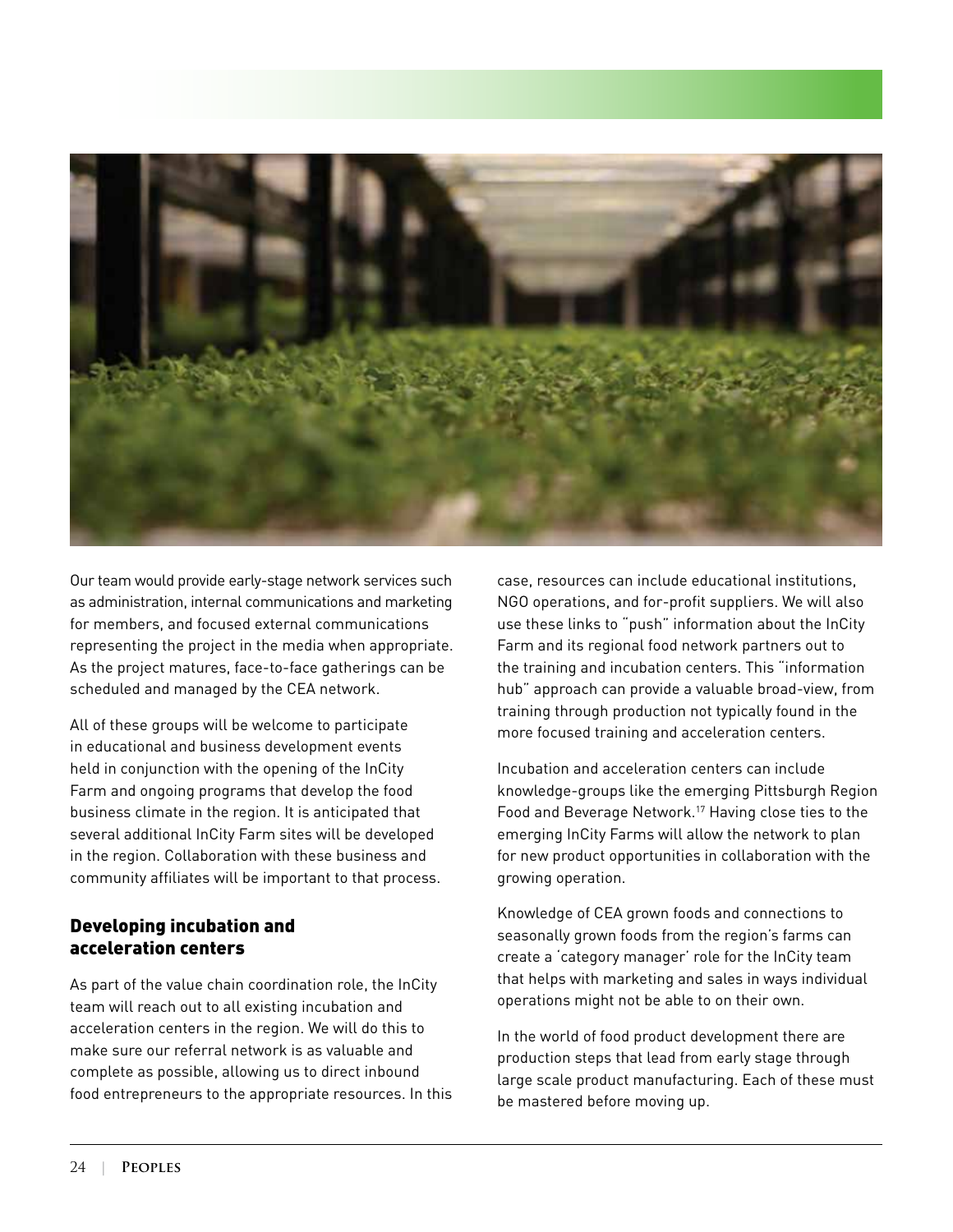

Our team would provide early-stage network services such as administration, internal communications and marketing for members, and focused external communications representing the project in the media when appropriate. As the project matures, face-to-face gatherings can be scheduled and managed by the CEA network.

All of these groups will be welcome to participate in educational and business development events held in conjunction with the opening of the InCity Farm and ongoing programs that develop the food business climate in the region. It is anticipated that several additional InCity Farm sites will be developed in the region. Collaboration with these business and community affiliates will be important to that process.

## Developing incubation and acceleration centers

As part of the value chain coordination role, the InCity team will reach out to all existing incubation and acceleration centers in the region. We will do this to make sure our referral network is as valuable and complete as possible, allowing us to direct inbound food entrepreneurs to the appropriate resources. In this

case, resources can include educational institutions, NGO operations, and for-profit suppliers. We will also use these links to "push" information about the InCity Farm and its regional food network partners out to the training and incubation centers. This "information hub" approach can provide a valuable broad-view, from training through production not typically found in the more focused training and acceleration centers.

Incubation and acceleration centers can include knowledge-groups like the emerging Pittsburgh Region Food and Beverage Network.17 Having close ties to the emerging InCity Farms will allow the network to plan for new product opportunities in collaboration with the growing operation.

Knowledge of CEA grown foods and connections to seasonally grown foods from the region's farms can create a 'category manager' role for the InCity team that helps with marketing and sales in ways individual operations might not be able to on their own.

In the world of food product development there are production steps that lead from early stage through large scale product manufacturing. Each of these must be mastered before moving up.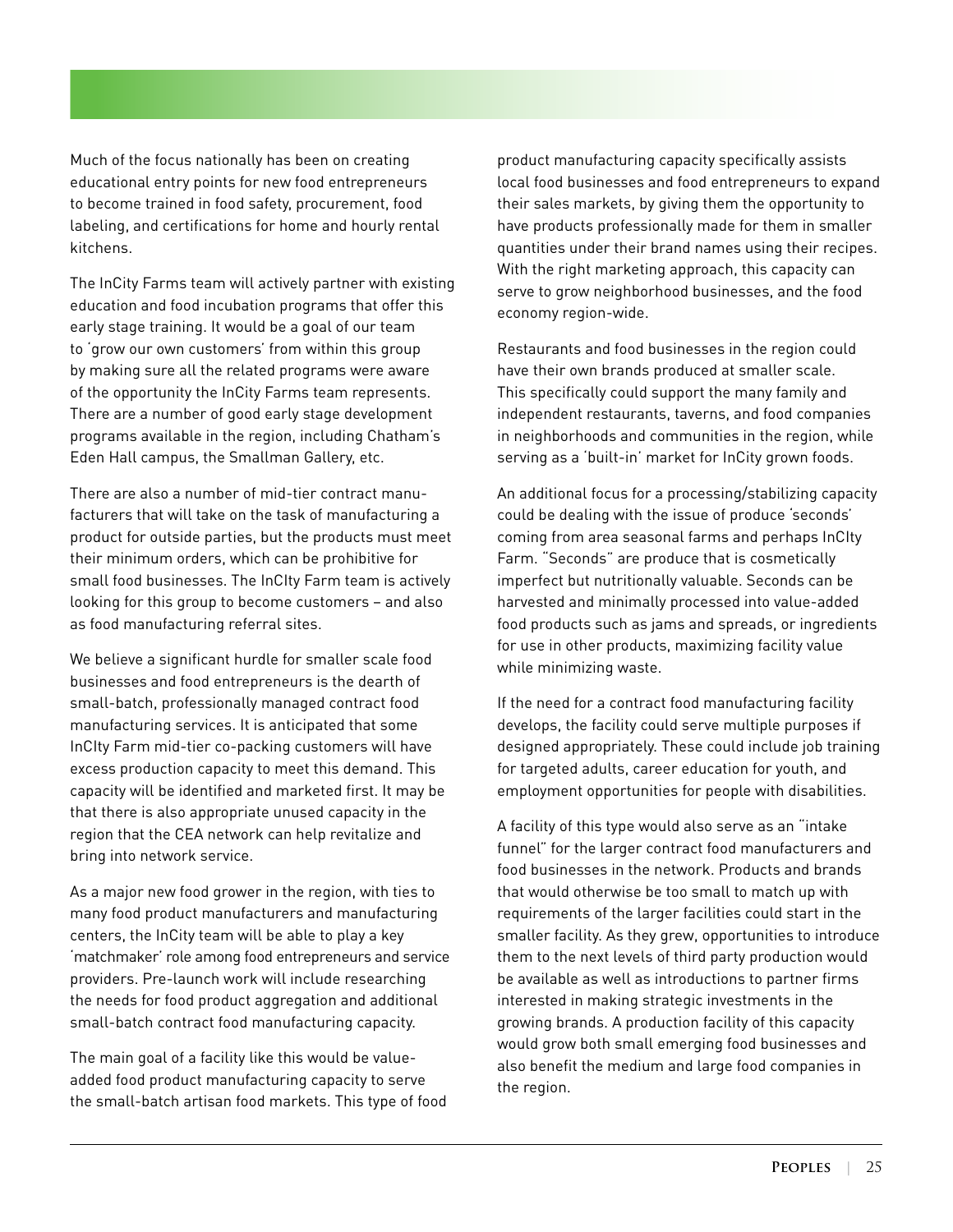Much of the focus nationally has been on creating educational entry points for new food entrepreneurs to become trained in food safety, procurement, food labeling, and certifications for home and hourly rental kitchens.

The InCity Farms team will actively partner with existing education and food incubation programs that offer this early stage training. It would be a goal of our team to 'grow our own customers' from within this group by making sure all the related programs were aware of the opportunity the InCity Farms team represents. There are a number of good early stage development programs available in the region, including Chatham's Eden Hall campus, the Smallman Gallery, etc.

There are also a number of mid-tier contract manufacturers that will take on the task of manufacturing a product for outside parties, but the products must meet their minimum orders, which can be prohibitive for small food businesses. The InCIty Farm team is actively looking for this group to become customers – and also as food manufacturing referral sites.

We believe a significant hurdle for smaller scale food businesses and food entrepreneurs is the dearth of small-batch, professionally managed contract food manufacturing services. It is anticipated that some InCIty Farm mid-tier co-packing customers will have excess production capacity to meet this demand. This capacity will be identified and marketed first. It may be that there is also appropriate unused capacity in the region that the CEA network can help revitalize and bring into network service.

As a major new food grower in the region, with ties to many food product manufacturers and manufacturing centers, the InCity team will be able to play a key 'matchmaker' role among food entrepreneurs and service providers. Pre-launch work will include researching the needs for food product aggregation and additional small-batch contract food manufacturing capacity.

The main goal of a facility like this would be valueadded food product manufacturing capacity to serve the small-batch artisan food markets. This type of food

product manufacturing capacity specifically assists local food businesses and food entrepreneurs to expand their sales markets, by giving them the opportunity to have products professionally made for them in smaller quantities under their brand names using their recipes. With the right marketing approach, this capacity can serve to grow neighborhood businesses, and the food economy region-wide.

Restaurants and food businesses in the region could have their own brands produced at smaller scale. This specifically could support the many family and independent restaurants, taverns, and food companies in neighborhoods and communities in the region, while serving as a 'built-in' market for InCity grown foods.

An additional focus for a processing/stabilizing capacity could be dealing with the issue of produce 'seconds' coming from area seasonal farms and perhaps InCIty Farm. "Seconds" are produce that is cosmetically imperfect but nutritionally valuable. Seconds can be harvested and minimally processed into value-added food products such as jams and spreads, or ingredients for use in other products, maximizing facility value while minimizing waste.

If the need for a contract food manufacturing facility develops, the facility could serve multiple purposes if designed appropriately. These could include job training for targeted adults, career education for youth, and employment opportunities for people with disabilities.

A facility of this type would also serve as an "intake funnel" for the larger contract food manufacturers and food businesses in the network. Products and brands that would otherwise be too small to match up with requirements of the larger facilities could start in the smaller facility. As they grew, opportunities to introduce them to the next levels of third party production would be available as well as introductions to partner firms interested in making strategic investments in the growing brands. A production facility of this capacity would grow both small emerging food businesses and also benefit the medium and large food companies in the region.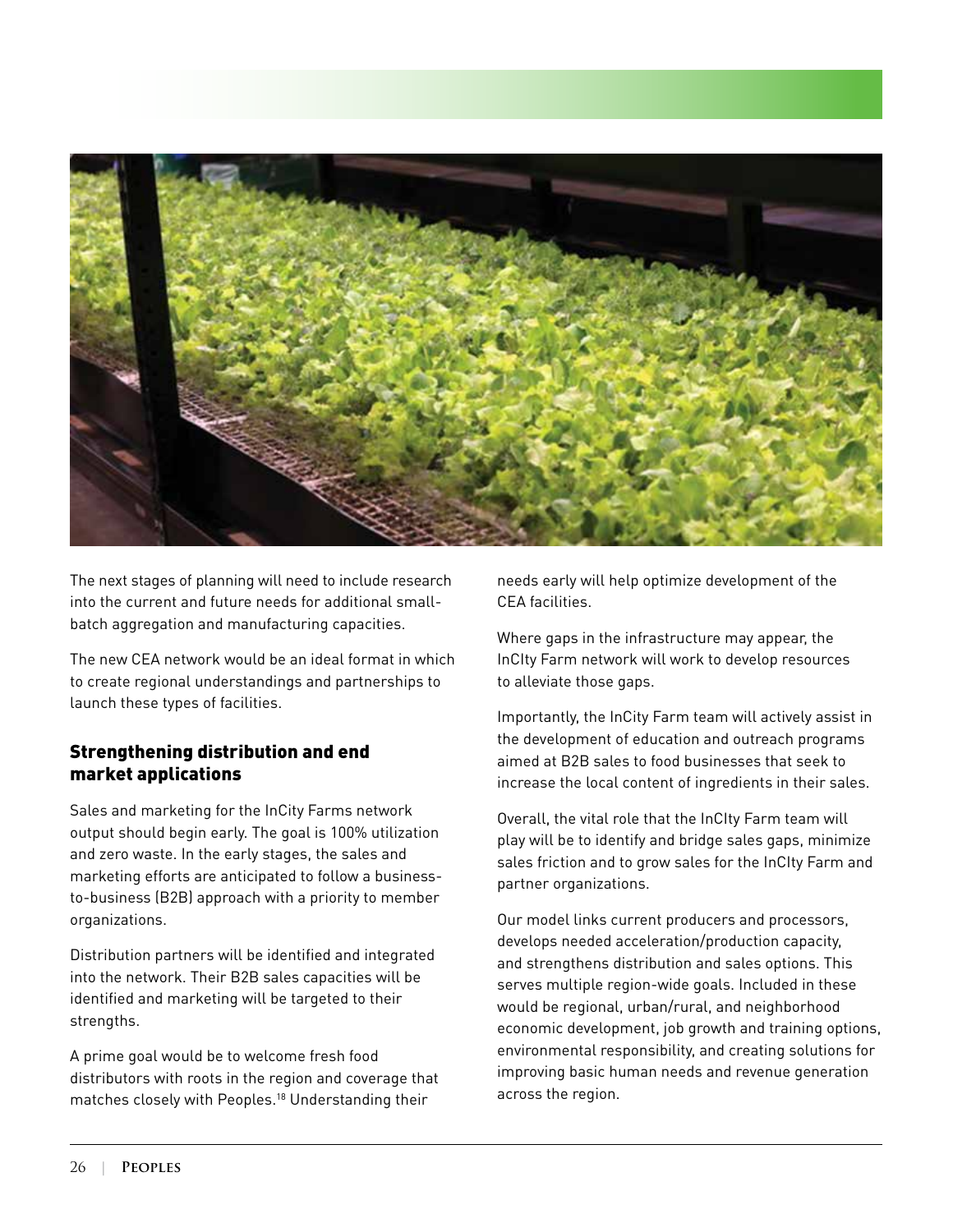

The next stages of planning will need to include research into the current and future needs for additional smallbatch aggregation and manufacturing capacities.

The new CEA network would be an ideal format in which to create regional understandings and partnerships to launch these types of facilities.

## Strengthening distribution and end market applications

Sales and marketing for the InCity Farms network output should begin early. The goal is 100% utilization and zero waste. In the early stages, the sales and marketing efforts are anticipated to follow a businessto-business (B2B) approach with a priority to member organizations.

Distribution partners will be identified and integrated into the network. Their B2B sales capacities will be identified and marketing will be targeted to their strengths.

A prime goal would be to welcome fresh food distributors with roots in the region and coverage that matches closely with Peoples.18 Understanding their

needs early will help optimize development of the CEA facilities.

Where gaps in the infrastructure may appear, the InCIty Farm network will work to develop resources to alleviate those gaps.

Importantly, the InCity Farm team will actively assist in the development of education and outreach programs aimed at B2B sales to food businesses that seek to increase the local content of ingredients in their sales.

Overall, the vital role that the InCIty Farm team will play will be to identify and bridge sales gaps, minimize sales friction and to grow sales for the InCIty Farm and partner organizations.

Our model links current producers and processors, develops needed acceleration/production capacity, and strengthens distribution and sales options. This serves multiple region-wide goals. Included in these would be regional, urban/rural, and neighborhood economic development, job growth and training options, environmental responsibility, and creating solutions for improving basic human needs and revenue generation across the region.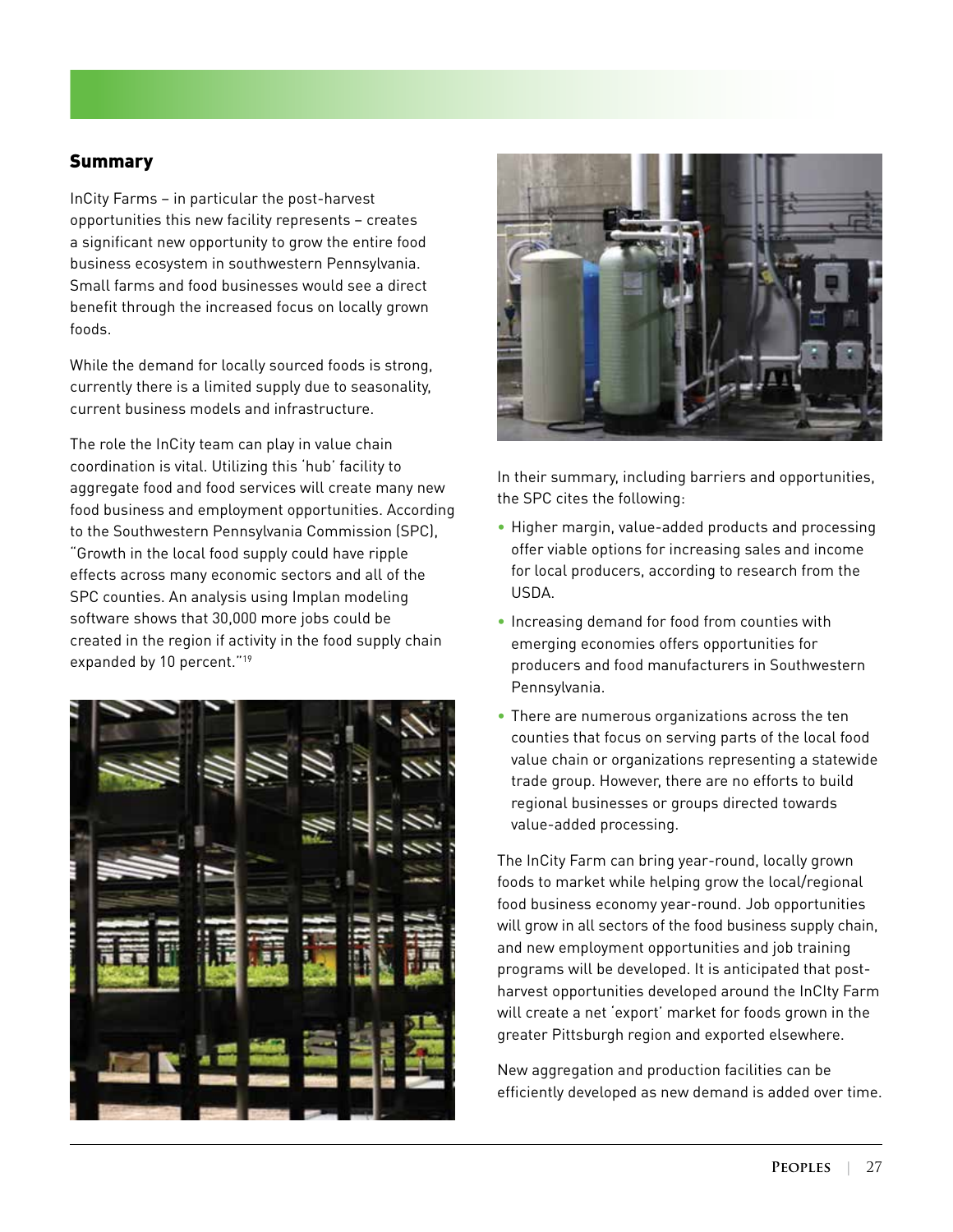### Summary

InCity Farms – in particular the post-harvest opportunities this new facility represents – creates a significant new opportunity to grow the entire food business ecosystem in southwestern Pennsylvania. Small farms and food businesses would see a direct benefit through the increased focus on locally grown foods.

While the demand for locally sourced foods is strong, currently there is a limited supply due to seasonality, current business models and infrastructure.

The role the InCity team can play in value chain coordination is vital. Utilizing this 'hub' facility to aggregate food and food services will create many new food business and employment opportunities. According to the Southwestern Pennsylvania Commission (SPC), "Growth in the local food supply could have ripple effects across many economic sectors and all of the SPC counties. An analysis using Implan modeling software shows that 30,000 more jobs could be created in the region if activity in the food supply chain expanded by 10 percent."<sup>19</sup>





In their summary, including barriers and opportunities, the SPC cites the following:

- Higher margin, value-added products and processing offer viable options for increasing sales and income for local producers, according to research from the USDA.
- Increasing demand for food from counties with emerging economies offers opportunities for producers and food manufacturers in Southwestern Pennsylvania.
- There are numerous organizations across the ten counties that focus on serving parts of the local food value chain or organizations representing a statewide trade group. However, there are no efforts to build regional businesses or groups directed towards value-added processing.

The InCity Farm can bring year-round, locally grown foods to market while helping grow the local/regional food business economy year-round. Job opportunities will grow in all sectors of the food business supply chain, and new employment opportunities and job training programs will be developed. It is anticipated that postharvest opportunities developed around the InCIty Farm will create a net 'export' market for foods grown in the greater Pittsburgh region and exported elsewhere.

New aggregation and production facilities can be efficiently developed as new demand is added over time.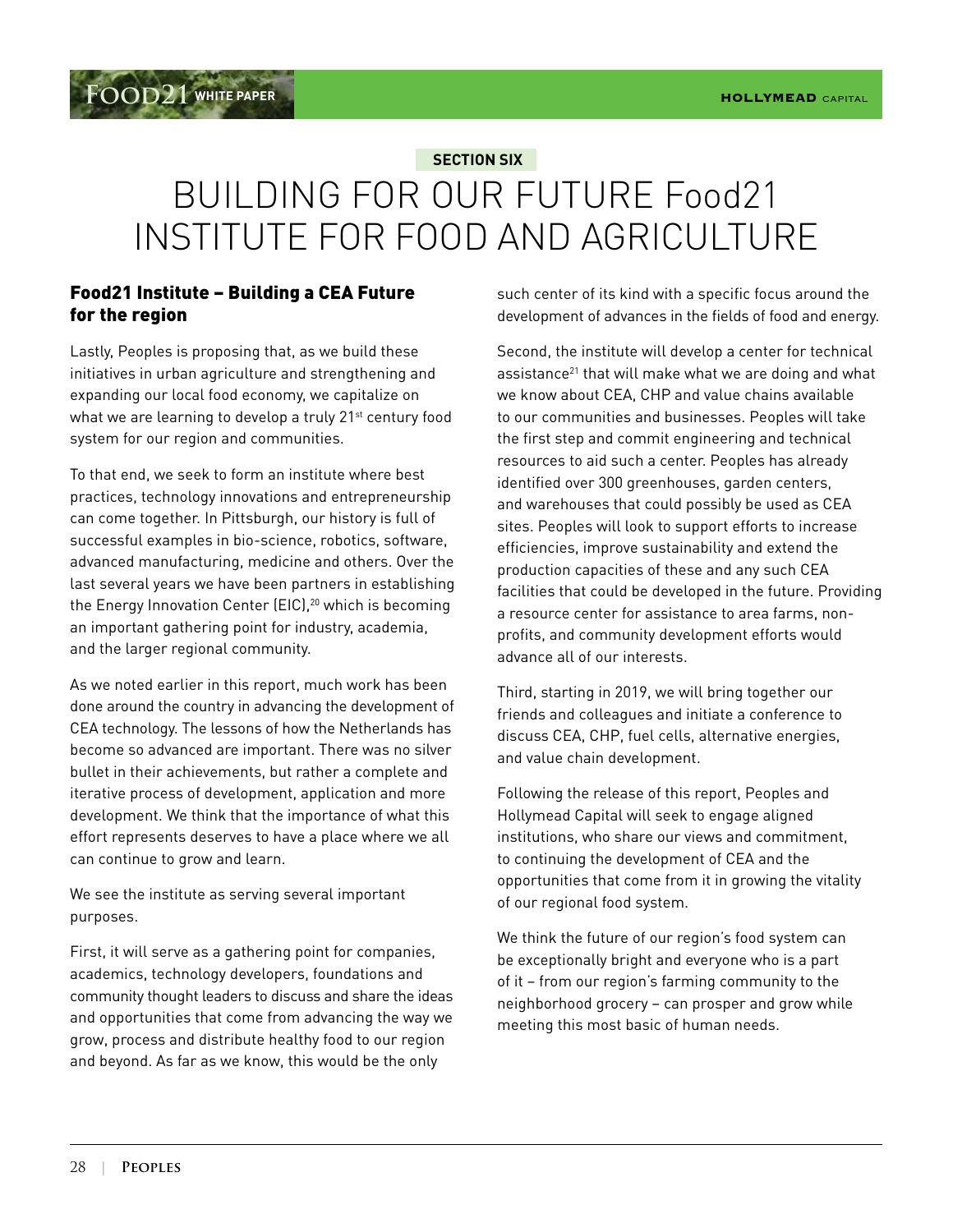

## **SECTION SIX**  BUILDING FOR OUR FUTURE Food21 INSTITUTE FOR FOOD AND AGRICULTURE

## Food21 Institute – Building a CEA Future for the region

Lastly, Peoples is proposing that, as we build these initiatives in urban agriculture and strengthening and expanding our local food economy, we capitalize on what we are learning to develop a truly 21<sup>st</sup> century food system for our region and communities.

To that end, we seek to form an institute where best practices, technology innovations and entrepreneurship can come together. In Pittsburgh, our history is full of successful examples in bio-science, robotics, software, advanced manufacturing, medicine and others. Over the last several years we have been partners in establishing the Energy Innovation Center (EIC),<sup>20</sup> which is becoming an important gathering point for industry, academia, and the larger regional community.

As we noted earlier in this report, much work has been done around the country in advancing the development of CEA technology. The lessons of how the Netherlands has become so advanced are important. There was no silver bullet in their achievements, but rather a complete and iterative process of development, application and more development. We think that the importance of what this effort represents deserves to have a place where we all can continue to grow and learn.

We see the institute as serving several important purposes.

First, it will serve as a gathering point for companies, academics, technology developers, foundations and community thought leaders to discuss and share the ideas and opportunities that come from advancing the way we grow, process and distribute healthy food to our region and beyond. As far as we know, this would be the only

such center of its kind with a specific focus around the development of advances in the fields of food and energy.

Second, the institute will develop a center for technical assistance<sup>21</sup> that will make what we are doing and what we know about CEA, CHP and value chains available to our communities and businesses. Peoples will take the first step and commit engineering and technical resources to aid such a center. Peoples has already identified over 300 greenhouses, garden centers, and warehouses that could possibly be used as CEA sites. Peoples will look to support efforts to increase efficiencies, improve sustainability and extend the production capacities of these and any such CEA facilities that could be developed in the future. Providing a resource center for assistance to area farms, nonprofits, and community development efforts would advance all of our interests.

Third, starting in 2019, we will bring together our friends and colleagues and initiate a conference to discuss CEA, CHP, fuel cells, alternative energies, and value chain development.

Following the release of this report, Peoples and Hollymead Capital will seek to engage aligned institutions, who share our views and commitment, to continuing the development of CEA and the opportunities that come from it in growing the vitality of our regional food system.

We think the future of our region's food system can be exceptionally bright and everyone who is a part of it – from our region's farming community to the neighborhood grocery – can prosper and grow while meeting this most basic of human needs.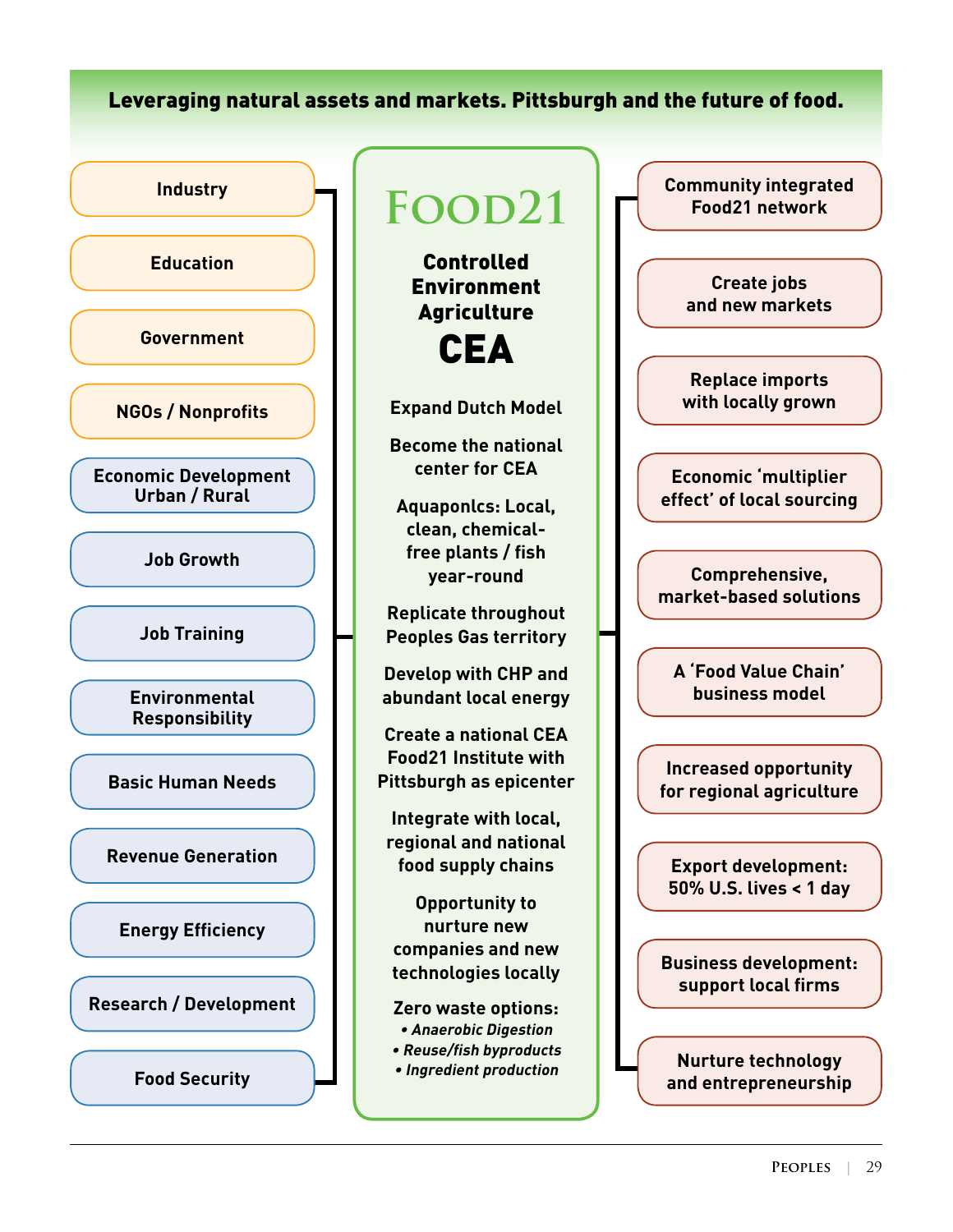## Leveraging natural assets and markets. Pittsburgh and the future of food.

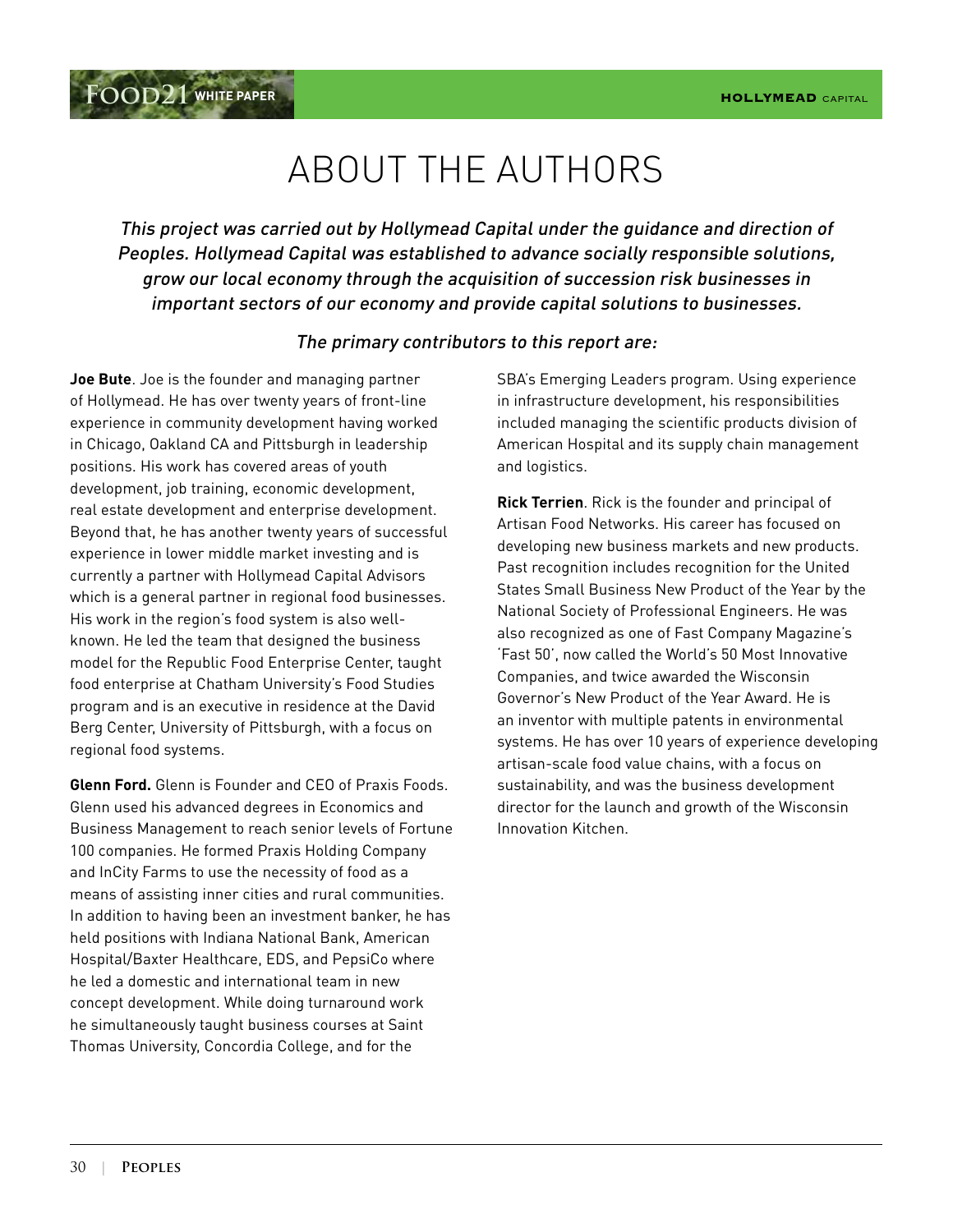

# ABOUT THE AUTHORS

This project was carried out by Hollymead Capital under the guidance and direction of Peoples. Hollymead Capital was established to advance socially responsible solutions, grow our local economy through the acquisition of succession risk businesses in important sectors of our economy and provide capital solutions to businesses.

### The primary contributors to this report are:

**Joe Bute**. Joe is the founder and managing partner of Hollymead. He has over twenty years of front-line experience in community development having worked in Chicago, Oakland CA and Pittsburgh in leadership positions. His work has covered areas of youth development, job training, economic development, real estate development and enterprise development. Beyond that, he has another twenty years of successful experience in lower middle market investing and is currently a partner with Hollymead Capital Advisors which is a general partner in regional food businesses. His work in the region's food system is also wellknown. He led the team that designed the business model for the Republic Food Enterprise Center, taught food enterprise at Chatham University's Food Studies program and is an executive in residence at the David Berg Center, University of Pittsburgh, with a focus on regional food systems.

**Glenn Ford.** Glenn is Founder and CEO of Praxis Foods. Glenn used his advanced degrees in Economics and Business Management to reach senior levels of Fortune 100 companies. He formed Praxis Holding Company and InCity Farms to use the necessity of food as a means of assisting inner cities and rural communities. In addition to having been an investment banker, he has held positions with Indiana National Bank, American Hospital/Baxter Healthcare, EDS, and PepsiCo where he led a domestic and international team in new concept development. While doing turnaround work he simultaneously taught business courses at Saint Thomas University, Concordia College, and for the

SBA's Emerging Leaders program. Using experience in infrastructure development, his responsibilities included managing the scientific products division of American Hospital and its supply chain management and logistics.

**Rick Terrien**. Rick is the founder and principal of Artisan Food Networks. His career has focused on developing new business markets and new products. Past recognition includes recognition for the United States Small Business New Product of the Year by the National Society of Professional Engineers. He was also recognized as one of Fast Company Magazine's 'Fast 50', now called the World's 50 Most Innovative Companies, and twice awarded the Wisconsin Governor's New Product of the Year Award. He is an inventor with multiple patents in environmental systems. He has over 10 years of experience developing artisan-scale food value chains, with a focus on sustainability, and was the business development director for the launch and growth of the Wisconsin Innovation Kitchen.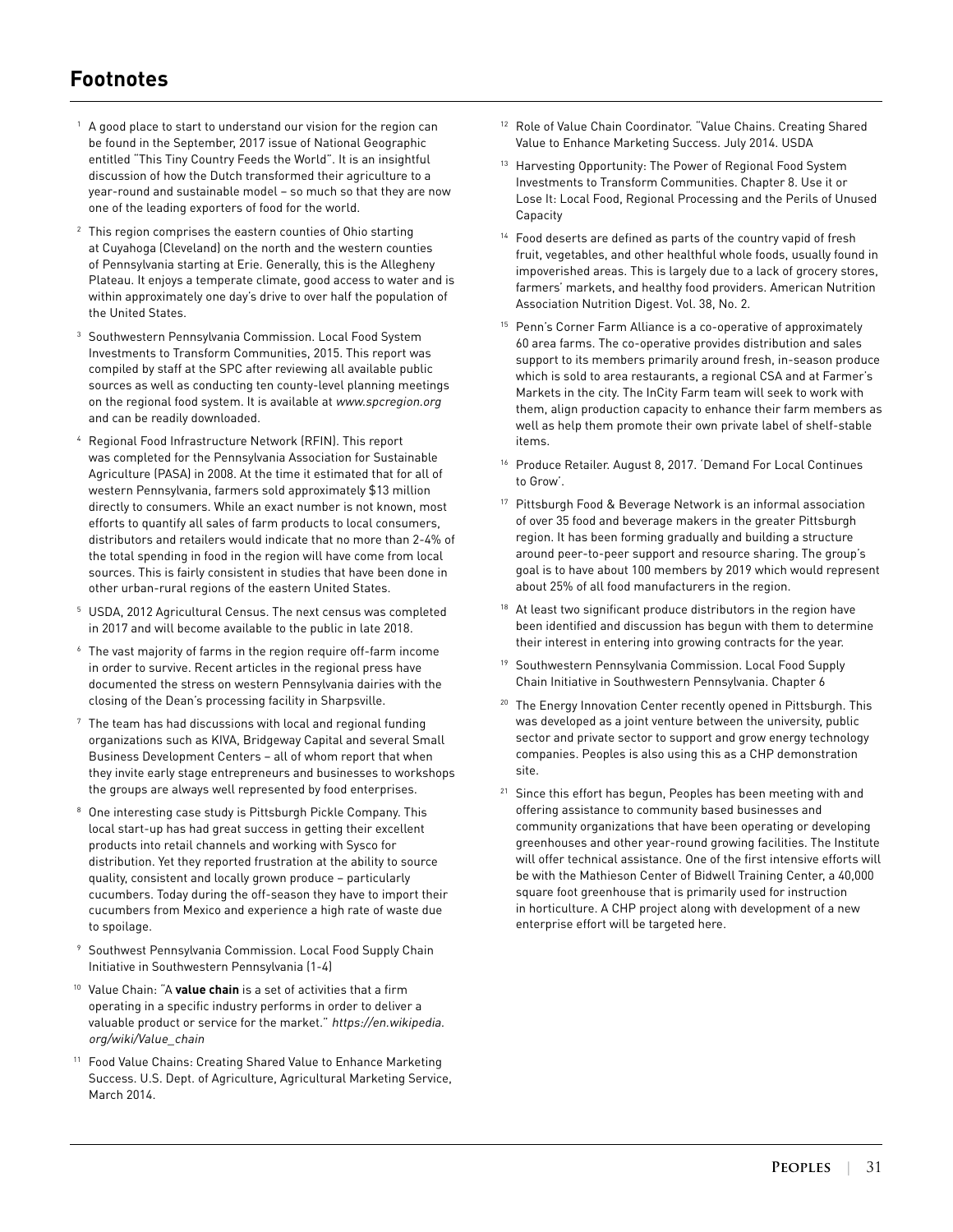## **Footnotes**

- $1$  A good place to start to understand our vision for the region can be found in the September, 2017 issue of National Geographic entitled "This Tiny Country Feeds the World". It is an insightful discussion of how the Dutch transformed their agriculture to a year-round and sustainable model – so much so that they are now one of the leading exporters of food for the world.
- $2$  This region comprises the eastern counties of Ohio starting at Cuyahoga (Cleveland) on the north and the western counties of Pennsylvania starting at Erie. Generally, this is the Allegheny Plateau. It enjoys a temperate climate, good access to water and is within approximately one day's drive to over half the population of the United States.
- <sup>3</sup> Southwestern Pennsylvania Commission. Local Food System Investments to Transform Communities, 2015. This report was compiled by staff at the SPC after reviewing all available public sources as well as conducting ten county-level planning meetings on the regional food system. It is available at www.spcregion.org and can be readily downloaded.
- <sup>4</sup> Regional Food Infrastructure Network (RFIN). This report was completed for the Pennsylvania Association for Sustainable Agriculture (PASA) in 2008. At the time it estimated that for all of western Pennsylvania, farmers sold approximately \$13 million directly to consumers. While an exact number is not known, most efforts to quantify all sales of farm products to local consumers, distributors and retailers would indicate that no more than 2-4% of the total spending in food in the region will have come from local sources. This is fairly consistent in studies that have been done in other urban-rural regions of the eastern United States.
- <sup>5</sup> USDA, 2012 Agricultural Census. The next census was completed in 2017 and will become available to the public in late 2018.
- $6$  The vast majority of farms in the region require off-farm income in order to survive. Recent articles in the regional press have documented the stress on western Pennsylvania dairies with the closing of the Dean's processing facility in Sharpsville.
- <sup>7</sup> The team has had discussions with local and regional funding organizations such as KIVA, Bridgeway Capital and several Small Business Development Centers – all of whom report that when they invite early stage entrepreneurs and businesses to workshops the groups are always well represented by food enterprises.
- One interesting case study is Pittsburgh Pickle Company. This local start-up has had great success in getting their excellent products into retail channels and working with Sysco for distribution. Yet they reported frustration at the ability to source quality, consistent and locally grown produce – particularly cucumbers. Today during the off-season they have to import their cucumbers from Mexico and experience a high rate of waste due to spoilage.
- Southwest Pennsylvania Commission. Local Food Supply Chain Initiative in Southwestern Pennsylvania (1-4)
- <sup>10</sup> Value Chain: "A **value chain** is a set of activities that a firm operating in a specific industry performs in order to deliver a valuable product or service for the market." https://en.wikipedia. org/wiki/Value\_chain
- <sup>11</sup> Food Value Chains: Creating Shared Value to Enhance Marketing Success. U.S. Dept. of Agriculture, Agricultural Marketing Service, March 2014.
- <sup>12</sup> Role of Value Chain Coordinator. "Value Chains. Creating Shared Value to Enhance Marketing Success. July 2014. USDA
- <sup>13</sup> Harvesting Opportunity: The Power of Regional Food System Investments to Transform Communities. Chapter 8. Use it or Lose It: Local Food, Regional Processing and the Perils of Unused Capacity
- <sup>14</sup> Food deserts are defined as parts of the country vapid of fresh fruit, vegetables, and other healthful whole foods, usually found in impoverished areas. This is largely due to a lack of grocery stores, farmers' markets, and healthy food providers. American Nutrition Association Nutrition Digest. Vol. 38, No. 2.
- <sup>15</sup> Penn's Corner Farm Alliance is a co-operative of approximately 60 area farms. The co-operative provides distribution and sales support to its members primarily around fresh, in-season produce which is sold to area restaurants, a regional CSA and at Farmer's Markets in the city. The InCity Farm team will seek to work with them, align production capacity to enhance their farm members as well as help them promote their own private label of shelf-stable items.
- <sup>16</sup> Produce Retailer. August 8, 2017. 'Demand For Local Continues to Grow'.
- <sup>17</sup> Pittsburgh Food & Beverage Network is an informal association of over 35 food and beverage makers in the greater Pittsburgh region. It has been forming gradually and building a structure around peer-to-peer support and resource sharing. The group's goal is to have about 100 members by 2019 which would represent about 25% of all food manufacturers in the region.
- <sup>18</sup> At least two significant produce distributors in the region have been identified and discussion has begun with them to determine their interest in entering into growing contracts for the year.
- <sup>19</sup> Southwestern Pennsylvania Commission. Local Food Supply Chain Initiative in Southwestern Pennsylvania. Chapter 6
- <sup>20</sup> The Energy Innovation Center recently opened in Pittsburgh. This was developed as a joint venture between the university, public sector and private sector to support and grow energy technology companies. Peoples is also using this as a CHP demonstration site.
- $21$  Since this effort has begun, Peoples has been meeting with and offering assistance to community based businesses and community organizations that have been operating or developing greenhouses and other year-round growing facilities. The Institute will offer technical assistance. One of the first intensive efforts will be with the Mathieson Center of Bidwell Training Center, a 40,000 square foot greenhouse that is primarily used for instruction in horticulture. A CHP project along with development of a new enterprise effort will be targeted here.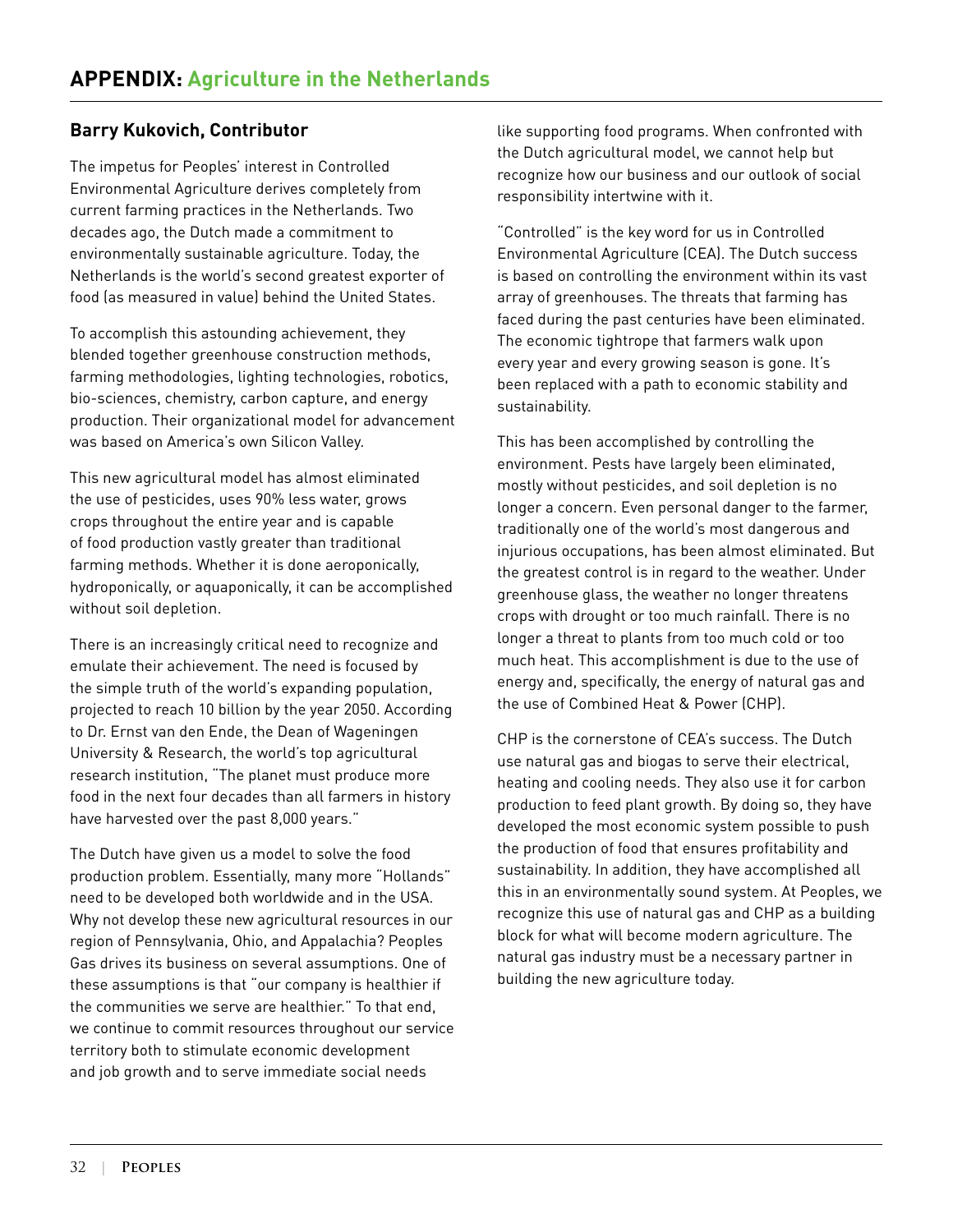## **Barry Kukovich, Contributor**

The impetus for Peoples' interest in Controlled Environmental Agriculture derives completely from current farming practices in the Netherlands. Two decades ago, the Dutch made a commitment to environmentally sustainable agriculture. Today, the Netherlands is the world's second greatest exporter of food (as measured in value) behind the United States.

To accomplish this astounding achievement, they blended together greenhouse construction methods, farming methodologies, lighting technologies, robotics, bio-sciences, chemistry, carbon capture, and energy production. Their organizational model for advancement was based on America's own Silicon Valley.

This new agricultural model has almost eliminated the use of pesticides, uses 90% less water, grows crops throughout the entire year and is capable of food production vastly greater than traditional farming methods. Whether it is done aeroponically, hydroponically, or aquaponically, it can be accomplished without soil depletion.

There is an increasingly critical need to recognize and emulate their achievement. The need is focused by the simple truth of the world's expanding population, projected to reach 10 billion by the year 2050. According to Dr. Ernst van den Ende, the Dean of Wageningen University & Research, the world's top agricultural research institution, "The planet must produce more food in the next four decades than all farmers in history have harvested over the past 8,000 years."

The Dutch have given us a model to solve the food production problem. Essentially, many more "Hollands" need to be developed both worldwide and in the USA. Why not develop these new agricultural resources in our region of Pennsylvania, Ohio, and Appalachia? Peoples Gas drives its business on several assumptions. One of these assumptions is that "our company is healthier if the communities we serve are healthier." To that end, we continue to commit resources throughout our service territory both to stimulate economic development and job growth and to serve immediate social needs

like supporting food programs. When confronted with the Dutch agricultural model, we cannot help but recognize how our business and our outlook of social responsibility intertwine with it.

"Controlled" is the key word for us in Controlled Environmental Agriculture (CEA). The Dutch success is based on controlling the environment within its vast array of greenhouses. The threats that farming has faced during the past centuries have been eliminated. The economic tightrope that farmers walk upon every year and every growing season is gone. It's been replaced with a path to economic stability and sustainability.

This has been accomplished by controlling the environment. Pests have largely been eliminated, mostly without pesticides, and soil depletion is no longer a concern. Even personal danger to the farmer, traditionally one of the world's most dangerous and injurious occupations, has been almost eliminated. But the greatest control is in regard to the weather. Under greenhouse glass, the weather no longer threatens crops with drought or too much rainfall. There is no longer a threat to plants from too much cold or too much heat. This accomplishment is due to the use of energy and, specifically, the energy of natural gas and the use of Combined Heat & Power (CHP).

CHP is the cornerstone of CEA's success. The Dutch use natural gas and biogas to serve their electrical, heating and cooling needs. They also use it for carbon production to feed plant growth. By doing so, they have developed the most economic system possible to push the production of food that ensures profitability and sustainability. In addition, they have accomplished all this in an environmentally sound system. At Peoples, we recognize this use of natural gas and CHP as a building block for what will become modern agriculture. The natural gas industry must be a necessary partner in building the new agriculture today.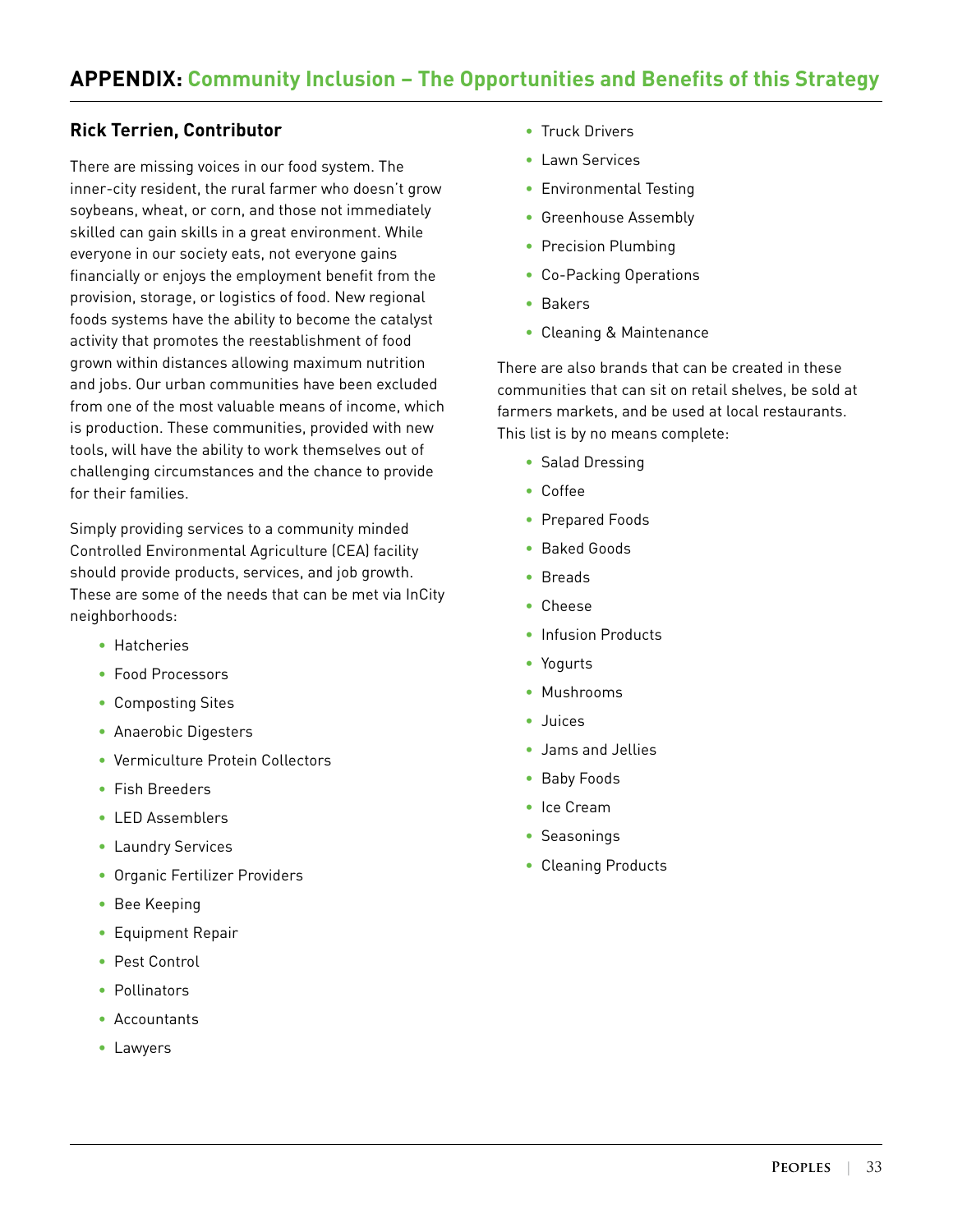## **Rick Terrien, Contributor**

There are missing voices in our food system. The inner-city resident, the rural farmer who doesn't grow soybeans, wheat, or corn, and those not immediately skilled can gain skills in a great environment. While everyone in our society eats, not everyone gains financially or enjoys the employment benefit from the provision, storage, or logistics of food. New regional foods systems have the ability to become the catalyst activity that promotes the reestablishment of food grown within distances allowing maximum nutrition and jobs. Our urban communities have been excluded from one of the most valuable means of income, which is production. These communities, provided with new tools, will have the ability to work themselves out of challenging circumstances and the chance to provide for their families.

Simply providing services to a community minded Controlled Environmental Agriculture (CEA) facility should provide products, services, and job growth. These are some of the needs that can be met via InCity neighborhoods:

- Hatcheries
- Food Processors
- Composting Sites
- Anaerobic Digesters
- Vermiculture Protein Collectors
- Fish Breeders
- LED Assemblers
- Laundry Services
- Organic Fertilizer Providers
- Bee Keeping
- Equipment Repair
- Pest Control
- Pollinators
- Accountants
- Lawyers
- Truck Drivers
- Lawn Services
- Environmental Testing
- Greenhouse Assembly
- Precision Plumbing
- Co-Packing Operations
- Bakers
- Cleaning & Maintenance

There are also brands that can be created in these communities that can sit on retail shelves, be sold at farmers markets, and be used at local restaurants. This list is by no means complete:

- Salad Dressing
- Coffee
- Prepared Foods
- Baked Goods
- Breads
- Cheese
- Infusion Products
- Yogurts
- Mushrooms
- Juices
- Jams and Jellies
- Baby Foods
- Ice Cream
- Seasonings
- Cleaning Products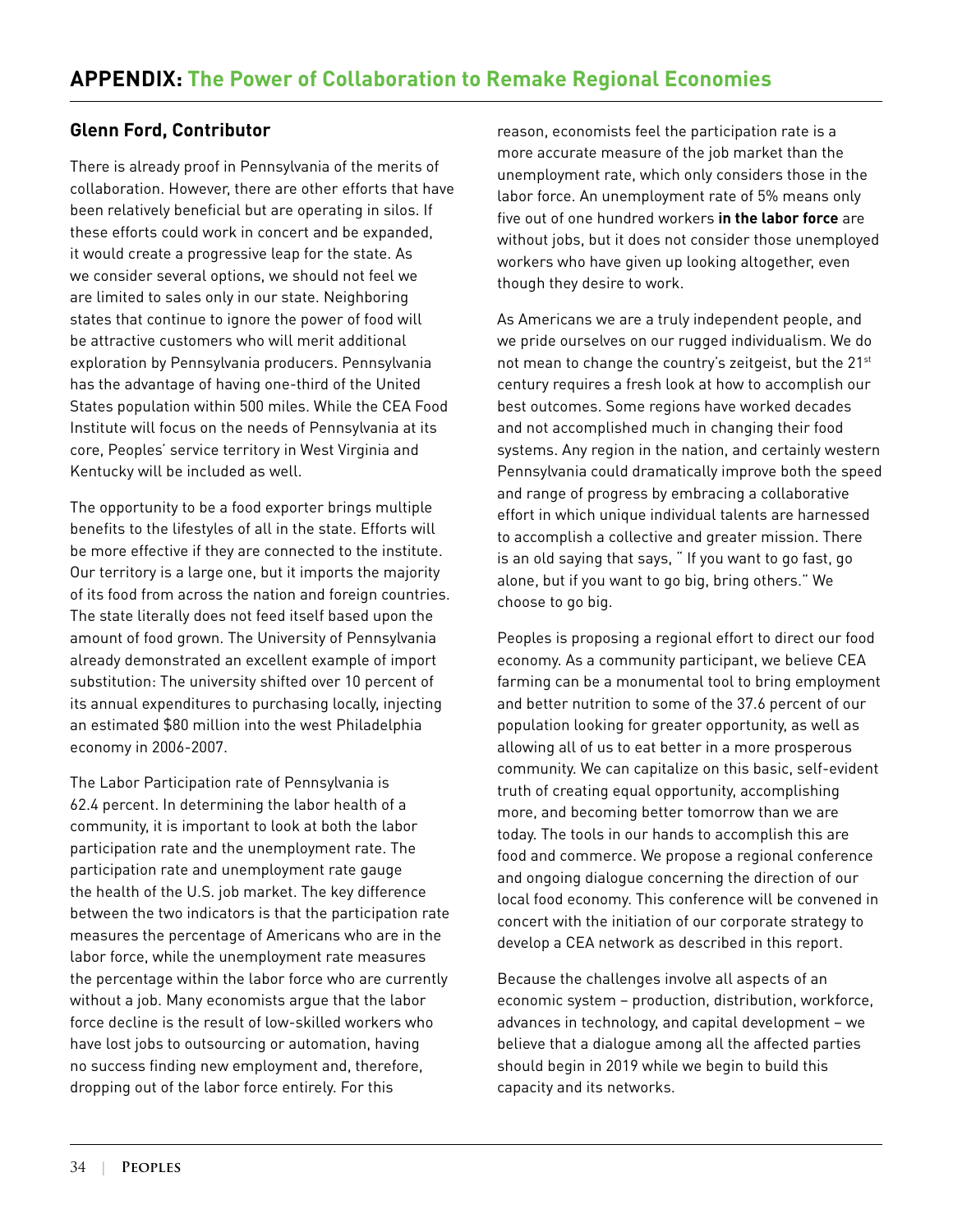## **Glenn Ford, Contributor**

There is already proof in Pennsylvania of the merits of collaboration. However, there are other efforts that have been relatively beneficial but are operating in silos. If these efforts could work in concert and be expanded, it would create a progressive leap for the state. As we consider several options, we should not feel we are limited to sales only in our state. Neighboring states that continue to ignore the power of food will be attractive customers who will merit additional exploration by Pennsylvania producers. Pennsylvania has the advantage of having one-third of the United States population within 500 miles. While the CEA Food Institute will focus on the needs of Pennsylvania at its core, Peoples' service territory in West Virginia and Kentucky will be included as well.

The opportunity to be a food exporter brings multiple benefits to the lifestyles of all in the state. Efforts will be more effective if they are connected to the institute. Our territory is a large one, but it imports the majority of its food from across the nation and foreign countries. The state literally does not feed itself based upon the amount of food grown. The University of Pennsylvania already demonstrated an excellent example of import substitution: The university shifted over 10 percent of its annual expenditures to purchasing locally, injecting an estimated \$80 million into the west Philadelphia economy in 2006-2007.

The Labor Participation rate of Pennsylvania is 62.4 percent. In determining the labor health of a community, it is important to look at both the labor participation rate and the unemployment rate. The participation rate and unemployment rate gauge the health of the U.S. job market. The key difference between the two indicators is that the participation rate measures the percentage of Americans who are in the labor force, while the unemployment rate measures the percentage within the labor force who are currently without a job. Many economists argue that the labor force decline is the result of low-skilled workers who have lost jobs to outsourcing or automation, having no success finding new employment and, therefore, dropping out of the labor force entirely. For this

reason, economists feel the participation rate is a more accurate measure of the job market than the unemployment rate, which only considers those in the labor force. An unemployment rate of 5% means only five out of one hundred workers **in the labor force** are without jobs, but it does not consider those unemployed workers who have given up looking altogether, even though they desire to work.

As Americans we are a truly independent people, and we pride ourselves on our rugged individualism. We do not mean to change the country's zeitgeist, but the 21<sup>st</sup> century requires a fresh look at how to accomplish our best outcomes. Some regions have worked decades and not accomplished much in changing their food systems. Any region in the nation, and certainly western Pennsylvania could dramatically improve both the speed and range of progress by embracing a collaborative effort in which unique individual talents are harnessed to accomplish a collective and greater mission. There is an old saying that says, " If you want to go fast, go alone, but if you want to go big, bring others." We choose to go big.

Peoples is proposing a regional effort to direct our food economy. As a community participant, we believe CEA farming can be a monumental tool to bring employment and better nutrition to some of the 37.6 percent of our population looking for greater opportunity, as well as allowing all of us to eat better in a more prosperous community. We can capitalize on this basic, self-evident truth of creating equal opportunity, accomplishing more, and becoming better tomorrow than we are today. The tools in our hands to accomplish this are food and commerce. We propose a regional conference and ongoing dialogue concerning the direction of our local food economy. This conference will be convened in concert with the initiation of our corporate strategy to develop a CEA network as described in this report.

Because the challenges involve all aspects of an economic system – production, distribution, workforce, advances in technology, and capital development – we believe that a dialogue among all the affected parties should begin in 2019 while we begin to build this capacity and its networks.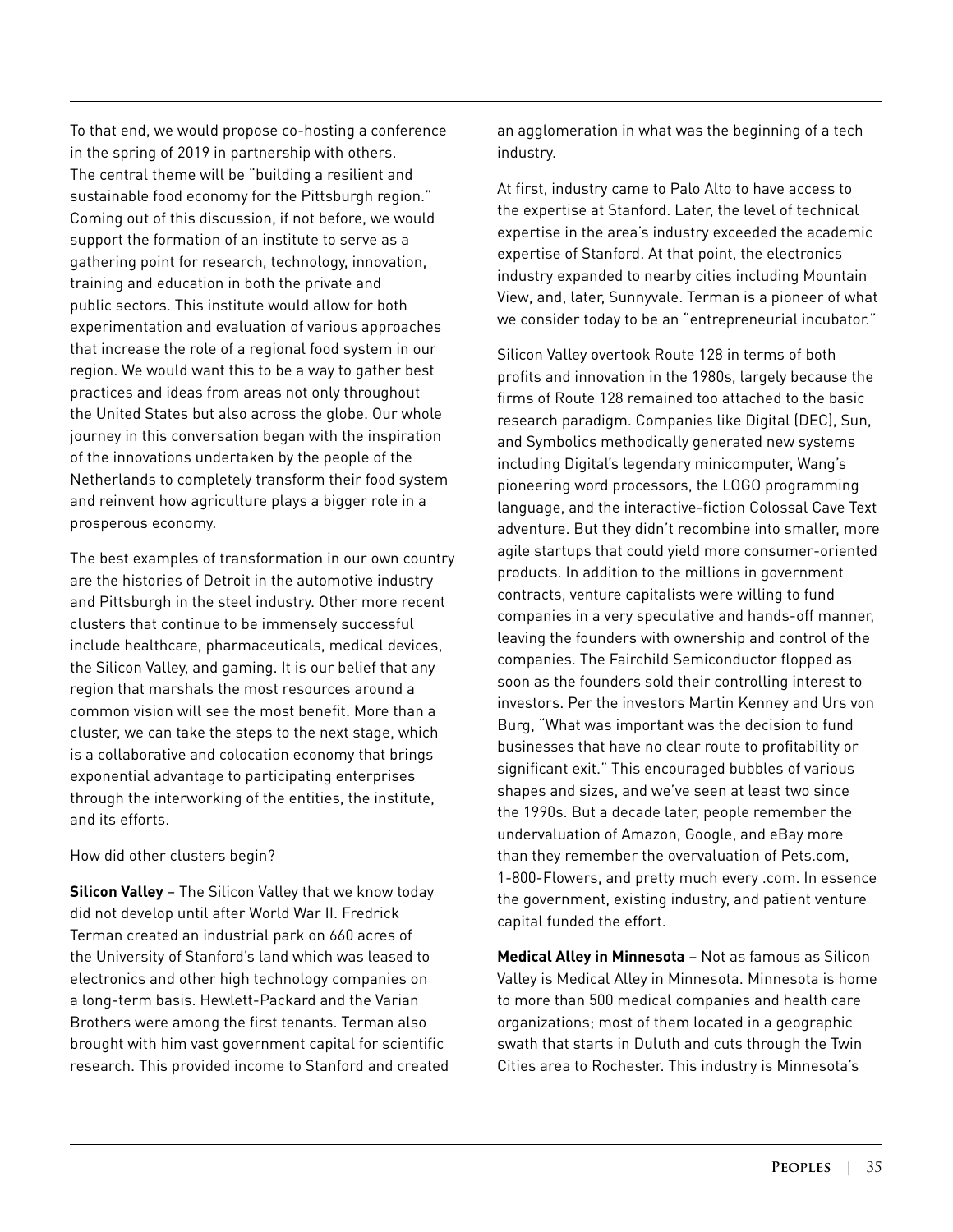To that end, we would propose co-hosting a conference in the spring of 2019 in partnership with others. The central theme will be "building a resilient and sustainable food economy for the Pittsburgh region." Coming out of this discussion, if not before, we would support the formation of an institute to serve as a gathering point for research, technology, innovation, training and education in both the private and public sectors. This institute would allow for both experimentation and evaluation of various approaches that increase the role of a regional food system in our region. We would want this to be a way to gather best practices and ideas from areas not only throughout the United States but also across the globe. Our whole journey in this conversation began with the inspiration of the innovations undertaken by the people of the Netherlands to completely transform their food system and reinvent how agriculture plays a bigger role in a prosperous economy.

The best examples of transformation in our own country are the histories of Detroit in the automotive industry and Pittsburgh in the steel industry. Other more recent clusters that continue to be immensely successful include healthcare, pharmaceuticals, medical devices, the Silicon Valley, and gaming. It is our belief that any region that marshals the most resources around a common vision will see the most benefit. More than a cluster, we can take the steps to the next stage, which is a collaborative and colocation economy that brings exponential advantage to participating enterprises through the interworking of the entities, the institute, and its efforts.

#### How did other clusters begin?

**Silicon Valley** – The Silicon Valley that we know today did not develop until after World War II. Fredrick Terman created an industrial park on 660 acres of the University of Stanford's land which was leased to electronics and other high technology companies on a long-term basis. Hewlett-Packard and the Varian Brothers were among the first tenants. Terman also brought with him vast government capital for scientific research. This provided income to Stanford and created an agglomeration in what was the beginning of a tech industry.

At first, industry came to Palo Alto to have access to the expertise at Stanford. Later, the level of technical expertise in the area's industry exceeded the academic expertise of Stanford. At that point, the electronics industry expanded to nearby cities including Mountain View, and, later, Sunnyvale. Terman is a pioneer of what we consider today to be an "entrepreneurial incubator."

Silicon Valley overtook Route 128 in terms of both profits and innovation in the 1980s, largely because the firms of Route 128 remained too attached to the basic research paradigm. Companies like Digital (DEC), Sun, and Symbolics methodically generated new systems including Digital's legendary minicomputer, Wang's pioneering word processors, the LOGO programming language, and the interactive-fiction Colossal Cave Text adventure. But they didn't recombine into smaller, more agile startups that could yield more consumer-oriented products. In addition to the millions in government contracts, venture capitalists were willing to fund companies in a very speculative and hands-off manner, leaving the founders with ownership and control of the companies. The Fairchild Semiconductor flopped as soon as the founders sold their controlling interest to investors. Per the investors Martin Kenney and Urs von Burg, "What was important was the decision to fund businesses that have no clear route to profitability or significant exit." This encouraged bubbles of various shapes and sizes, and we've seen at least two since the 1990s. But a decade later, people remember the undervaluation of Amazon, Google, and eBay more than they remember the overvaluation of Pets.com, 1-800-Flowers, and pretty much every .com. In essence the government, existing industry, and patient venture capital funded the effort.

**Medical Alley in Minnesota** – Not as famous as Silicon Valley is Medical Alley in Minnesota. Minnesota is home to more than 500 medical companies and health care organizations; most of them located in a geographic swath that starts in Duluth and cuts through the Twin Cities area to Rochester. This industry is Minnesota's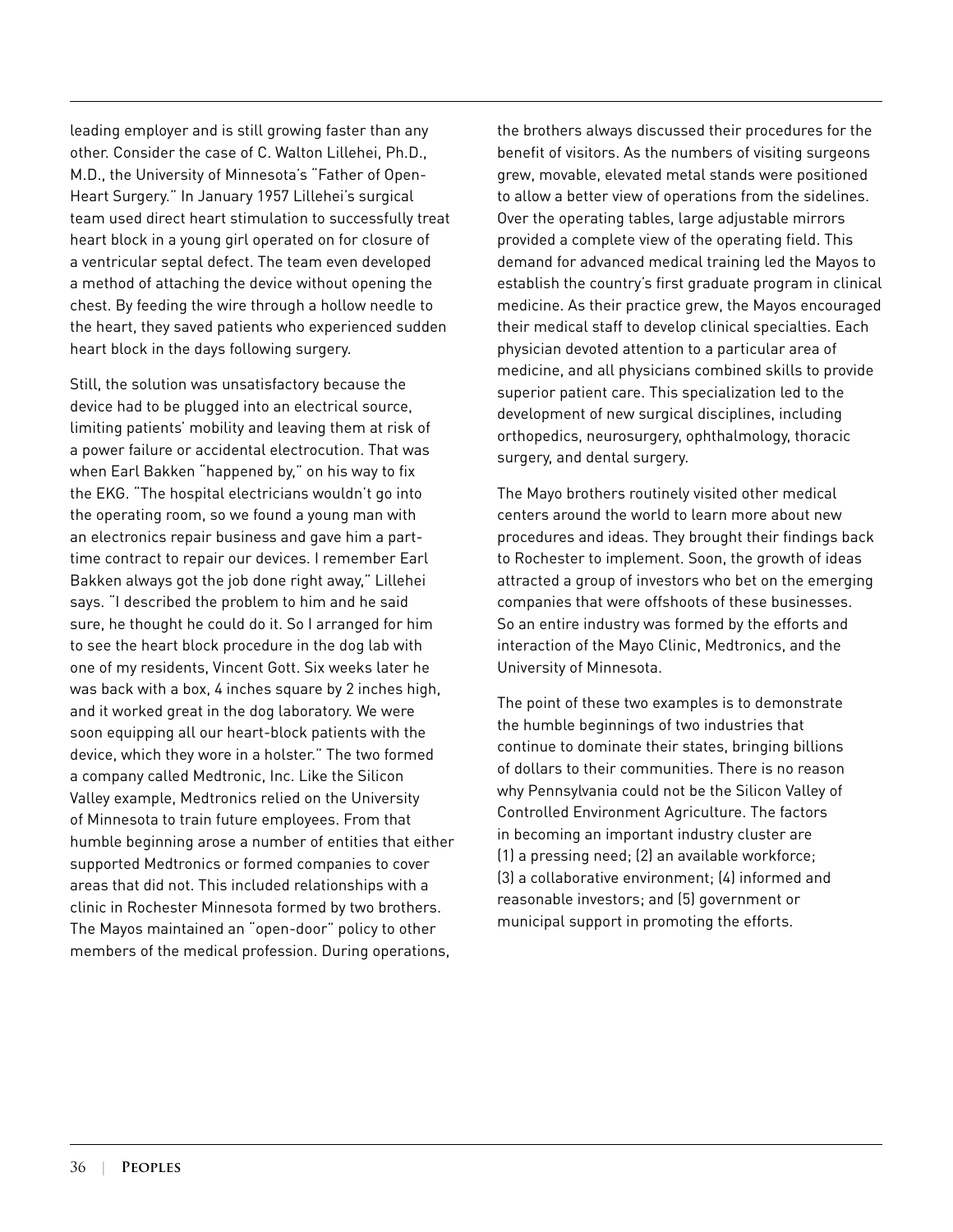leading employer and is still growing faster than any other. Consider the case of C. Walton Lillehei, Ph.D., M.D., the University of Minnesota's "Father of Open-Heart Surgery." In January 1957 Lillehei's surgical team used direct heart stimulation to successfully treat heart block in a young girl operated on for closure of a ventricular septal defect. The team even developed a method of attaching the device without opening the chest. By feeding the wire through a hollow needle to the heart, they saved patients who experienced sudden heart block in the days following surgery.

Still, the solution was unsatisfactory because the device had to be plugged into an electrical source, limiting patients' mobility and leaving them at risk of a power failure or accidental electrocution. That was when Earl Bakken "happened by," on his way to fix the EKG. "The hospital electricians wouldn't go into the operating room, so we found a young man with an electronics repair business and gave him a parttime contract to repair our devices. I remember Earl Bakken always got the job done right away," Lillehei says. "I described the problem to him and he said sure, he thought he could do it. So I arranged for him to see the heart block procedure in the dog lab with one of my residents, Vincent Gott. Six weeks later he was back with a box, 4 inches square by 2 inches high, and it worked great in the dog laboratory. We were soon equipping all our heart-block patients with the device, which they wore in a holster." The two formed a company called Medtronic, Inc. Like the Silicon Valley example, Medtronics relied on the University of Minnesota to train future employees. From that humble beginning arose a number of entities that either supported Medtronics or formed companies to cover areas that did not. This included relationships with a clinic in Rochester Minnesota formed by two brothers. The Mayos maintained an "open-door" policy to other members of the medical profession. During operations,

the brothers always discussed their procedures for the benefit of visitors. As the numbers of visiting surgeons grew, movable, elevated metal stands were positioned to allow a better view of operations from the sidelines. Over the operating tables, large adjustable mirrors provided a complete view of the operating field. This demand for advanced medical training led the Mayos to establish the country's first graduate program in clinical medicine. As their practice grew, the Mayos encouraged their medical staff to develop clinical specialties. Each physician devoted attention to a particular area of medicine, and all physicians combined skills to provide superior patient care. This specialization led to the development of new surgical disciplines, including orthopedics, neurosurgery, ophthalmology, thoracic surgery, and dental surgery.

The Mayo brothers routinely visited other medical centers around the world to learn more about new procedures and ideas. They brought their findings back to Rochester to implement. Soon, the growth of ideas attracted a group of investors who bet on the emerging companies that were offshoots of these businesses. So an entire industry was formed by the efforts and interaction of the Mayo Clinic, Medtronics, and the University of Minnesota.

The point of these two examples is to demonstrate the humble beginnings of two industries that continue to dominate their states, bringing billions of dollars to their communities. There is no reason why Pennsylvania could not be the Silicon Valley of Controlled Environment Agriculture. The factors in becoming an important industry cluster are (1) a pressing need; (2) an available workforce; (3) a collaborative environment; (4) informed and reasonable investors; and (5) government or municipal support in promoting the efforts.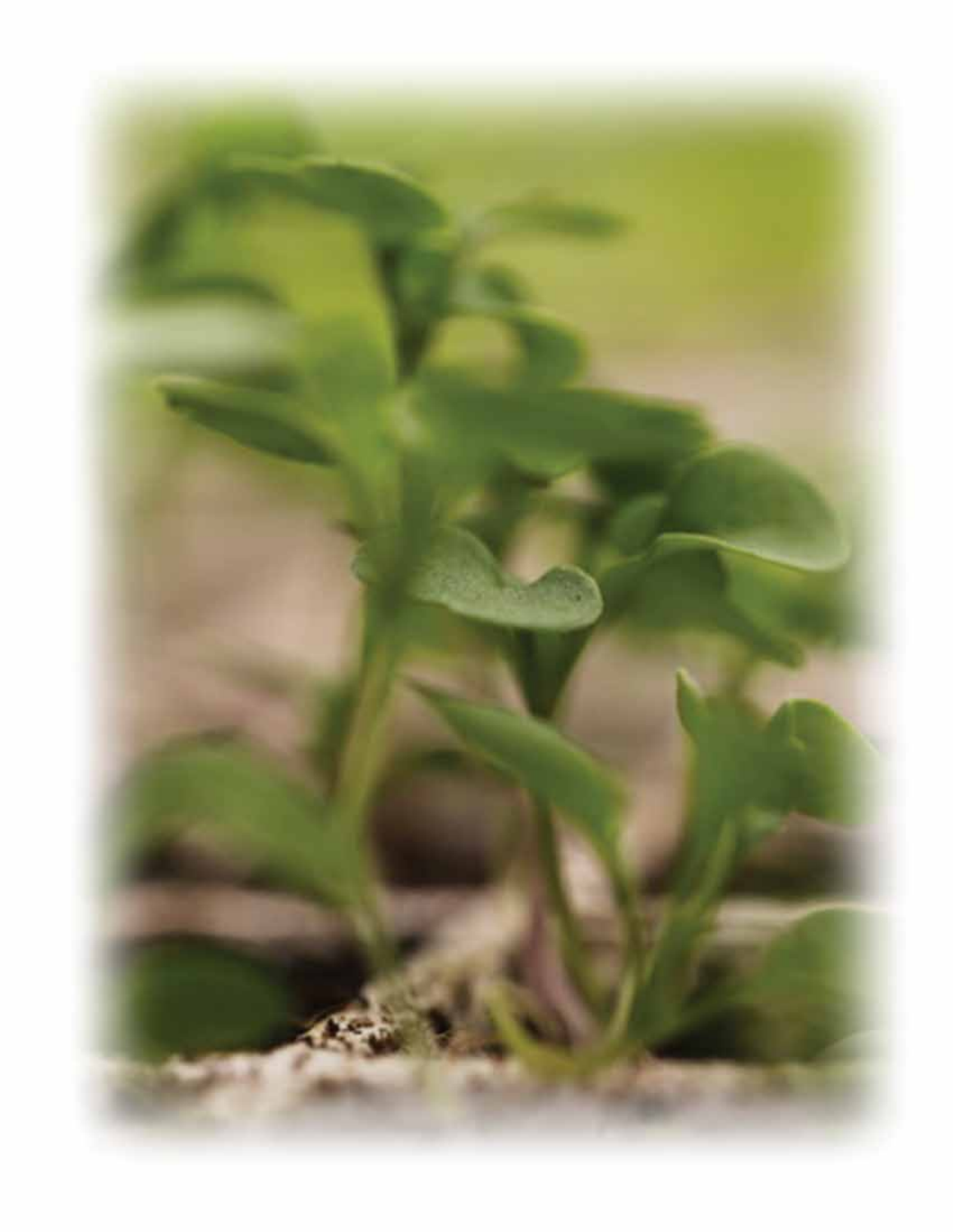